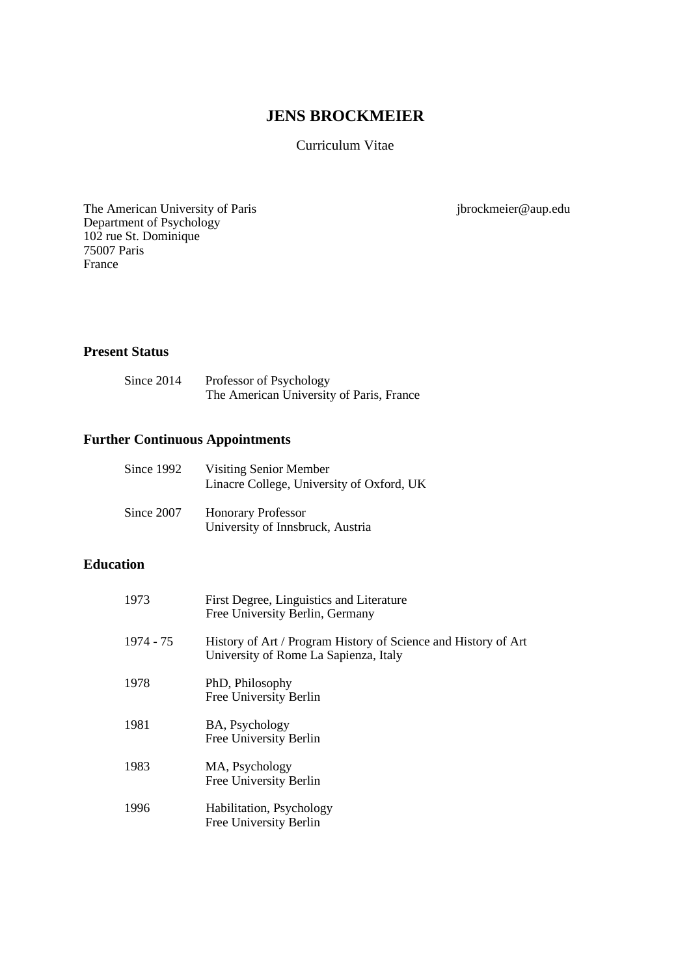# **JENS BROCKMEIER**

Curriculum Vitae

The American University of Paris jbrockmeier@aup.edu Department of Psychology 102 rue St. Dominique 75007 Paris France

# **Present Status**

| Since 2014 | Professor of Psychology                  |
|------------|------------------------------------------|
|            | The American University of Paris, France |

# **Further Continuous Appointments**

| Since $1992$ | Visiting Senior Member<br>Linacre College, University of Oxford, UK |
|--------------|---------------------------------------------------------------------|
| Since 2007   | <b>Honorary Professor</b><br>University of Innsbruck, Austria       |

# **Education**

| 1973      | First Degree, Linguistics and Literature<br>Free University Berlin, Germany                             |
|-----------|---------------------------------------------------------------------------------------------------------|
| 1974 - 75 | History of Art / Program History of Science and History of Art<br>University of Rome La Sapienza, Italy |
| 1978      | PhD, Philosophy<br>Free University Berlin                                                               |
| 1981      | BA, Psychology<br>Free University Berlin                                                                |
| 1983      | MA, Psychology<br>Free University Berlin                                                                |
| 1996      | Habilitation, Psychology<br>Free University Berlin                                                      |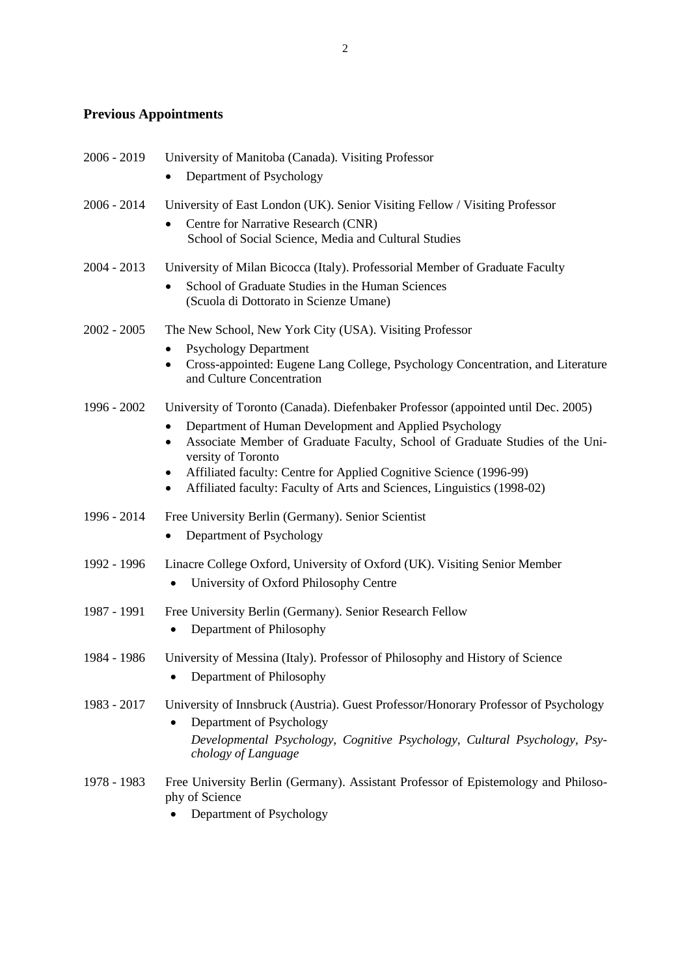# **Previous Appointments**

| 2006 - 2019   | University of Manitoba (Canada). Visiting Professor                                                                                                                                                                                                                                                                                                                                                                                            |
|---------------|------------------------------------------------------------------------------------------------------------------------------------------------------------------------------------------------------------------------------------------------------------------------------------------------------------------------------------------------------------------------------------------------------------------------------------------------|
|               | Department of Psychology<br>٠                                                                                                                                                                                                                                                                                                                                                                                                                  |
| $2006 - 2014$ | University of East London (UK). Senior Visiting Fellow / Visiting Professor<br>Centre for Narrative Research (CNR)<br>$\bullet$<br>School of Social Science, Media and Cultural Studies                                                                                                                                                                                                                                                        |
| $2004 - 2013$ | University of Milan Bicocca (Italy). Professorial Member of Graduate Faculty<br>School of Graduate Studies in the Human Sciences<br>(Scuola di Dottorato in Scienze Umane)                                                                                                                                                                                                                                                                     |
| $2002 - 2005$ | The New School, New York City (USA). Visiting Professor<br><b>Psychology Department</b><br>٠<br>Cross-appointed: Eugene Lang College, Psychology Concentration, and Literature<br>$\bullet$<br>and Culture Concentration                                                                                                                                                                                                                       |
| 1996 - 2002   | University of Toronto (Canada). Diefenbaker Professor (appointed until Dec. 2005)<br>Department of Human Development and Applied Psychology<br>$\bullet$<br>Associate Member of Graduate Faculty, School of Graduate Studies of the Uni-<br>$\bullet$<br>versity of Toronto<br>Affiliated faculty: Centre for Applied Cognitive Science (1996-99)<br>٠<br>Affiliated faculty: Faculty of Arts and Sciences, Linguistics (1998-02)<br>$\bullet$ |
| 1996 - 2014   | Free University Berlin (Germany). Senior Scientist<br>Department of Psychology                                                                                                                                                                                                                                                                                                                                                                 |
| 1992 - 1996   | Linacre College Oxford, University of Oxford (UK). Visiting Senior Member<br>University of Oxford Philosophy Centre                                                                                                                                                                                                                                                                                                                            |
| 1987 - 1991   | Free University Berlin (Germany). Senior Research Fellow<br>Department of Philosophy                                                                                                                                                                                                                                                                                                                                                           |
| 1984 - 1986   | University of Messina (Italy). Professor of Philosophy and History of Science<br>Department of Philosophy                                                                                                                                                                                                                                                                                                                                      |
| 1983 - 2017   | University of Innsbruck (Austria). Guest Professor/Honorary Professor of Psychology<br>Department of Psychology<br>Developmental Psychology, Cognitive Psychology, Cultural Psychology, Psy-<br>chology of Language                                                                                                                                                                                                                            |
| 1978 - 1983   | Free University Berlin (Germany). Assistant Professor of Epistemology and Philoso-<br>phy of Science<br>Department of Psychology                                                                                                                                                                                                                                                                                                               |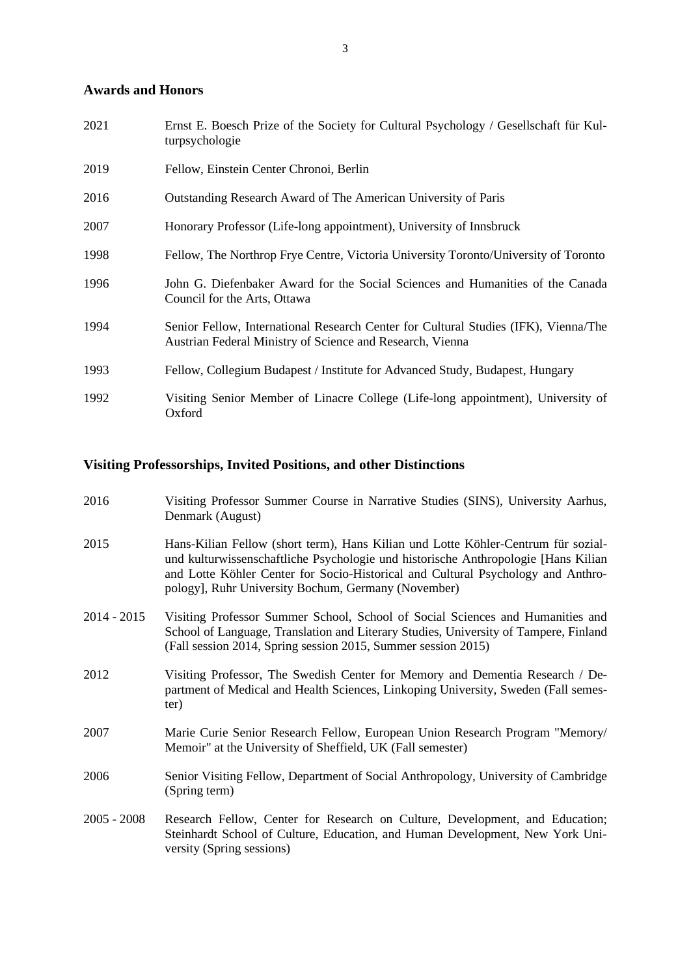# **Awards and Honors**

| 2021 | Ernst E. Boesch Prize of the Society for Cultural Psychology / Gesellschaft für Kul-<br>turpsychologie                                           |
|------|--------------------------------------------------------------------------------------------------------------------------------------------------|
| 2019 | Fellow, Einstein Center Chronoi, Berlin                                                                                                          |
| 2016 | Outstanding Research Award of The American University of Paris                                                                                   |
| 2007 | Honorary Professor (Life-long appointment), University of Innsbruck                                                                              |
| 1998 | Fellow, The Northrop Frye Centre, Victoria University Toronto/University of Toronto                                                              |
| 1996 | John G. Diefenbaker Award for the Social Sciences and Humanities of the Canada<br>Council for the Arts, Ottawa                                   |
| 1994 | Senior Fellow, International Research Center for Cultural Studies (IFK), Vienna/The<br>Austrian Federal Ministry of Science and Research, Vienna |
| 1993 | Fellow, Collegium Budapest / Institute for Advanced Study, Budapest, Hungary                                                                     |
| 1992 | Visiting Senior Member of Linacre College (Life-long appointment), University of<br>Oxford                                                       |

# **Visiting Professorships, Invited Positions, and other Distinctions**

- 2016 Visiting Professor Summer Course in Narrative Studies (SINS), University Aarhus, Denmark (August)
- 2015 Hans-Kilian Fellow (short term), Hans Kilian und Lotte Köhler-Centrum für sozialund kulturwissenschaftliche Psychologie und historische Anthropologie [Hans Kilian and Lotte Köhler Center for Socio-Historical and Cultural Psychology and Anthropology], Ruhr University Bochum, Germany (November)
- 2014 2015 Visiting Professor Summer School, School of Social Sciences and Humanities and School of Language, Translation and Literary Studies, University of Tampere, Finland (Fall session 2014, Spring session 2015, Summer session 2015)
- 2012 Visiting Professor, The Swedish Center for Memory and Dementia Research / Department of Medical and Health Sciences, Linkoping University, Sweden (Fall semester)
- 2007 Marie Curie Senior Research Fellow, European Union Research Program "Memory/ Memoir" at the University of Sheffield, UK (Fall semester)
- 2006 Senior Visiting Fellow, Department of Social Anthropology, University of Cambridge (Spring term)
- 2005 2008 Research Fellow, Center for Research on Culture, Development, and Education; Steinhardt School of Culture, Education, and Human Development, New York University (Spring sessions)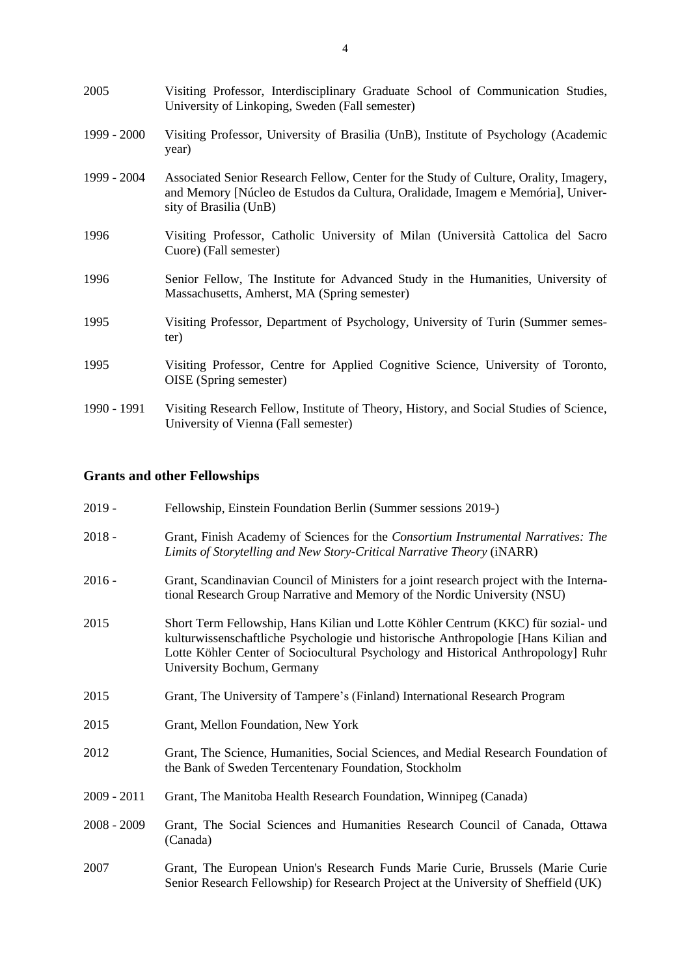| 2005        | Visiting Professor, Interdisciplinary Graduate School of Communication Studies,<br>University of Linkoping, Sweden (Fall semester)                                                                 |
|-------------|----------------------------------------------------------------------------------------------------------------------------------------------------------------------------------------------------|
| 1999 - 2000 | Visiting Professor, University of Brasilia (UnB), Institute of Psychology (Academic<br>year)                                                                                                       |
| 1999 - 2004 | Associated Senior Research Fellow, Center for the Study of Culture, Orality, Imagery,<br>and Memory [Núcleo de Estudos da Cultura, Oralidade, Imagem e Memória], Univer-<br>sity of Brasilia (UnB) |
| 1996        | Visiting Professor, Catholic University of Milan (Università Cattolica del Sacro<br>Cuore) (Fall semester)                                                                                         |
| 1996        | Senior Fellow, The Institute for Advanced Study in the Humanities, University of<br>Massachusetts, Amherst, MA (Spring semester)                                                                   |
| 1995        | Visiting Professor, Department of Psychology, University of Turin (Summer semes-<br>ter)                                                                                                           |
| 1995        | Visiting Professor, Centre for Applied Cognitive Science, University of Toronto,<br>OISE (Spring semester)                                                                                         |
| 1990 - 1991 | Visiting Research Fellow, Institute of Theory, History, and Social Studies of Science,<br>University of Vienna (Fall semester)                                                                     |

# **Grants and other Fellowships**

| $2019 -$      | Fellowship, Einstein Foundation Berlin (Summer sessions 2019-)                                                                                                                                                                                                                             |
|---------------|--------------------------------------------------------------------------------------------------------------------------------------------------------------------------------------------------------------------------------------------------------------------------------------------|
| $2018 -$      | Grant, Finish Academy of Sciences for the Consortium Instrumental Narratives: The<br>Limits of Storytelling and New Story-Critical Narrative Theory (iNARR)                                                                                                                                |
| $2016 -$      | Grant, Scandinavian Council of Ministers for a joint research project with the Interna-<br>tional Research Group Narrative and Memory of the Nordic University (NSU)                                                                                                                       |
| 2015          | Short Term Fellowship, Hans Kilian und Lotte Köhler Centrum (KKC) für sozial- und<br>kulturwissenschaftliche Psychologie und historische Anthropologie [Hans Kilian and<br>Lotte Köhler Center of Sociocultural Psychology and Historical Anthropology] Ruhr<br>University Bochum, Germany |
| 2015          | Grant, The University of Tampere's (Finland) International Research Program                                                                                                                                                                                                                |
| 2015          | Grant, Mellon Foundation, New York                                                                                                                                                                                                                                                         |
| 2012          | Grant, The Science, Humanities, Social Sciences, and Medial Research Foundation of<br>the Bank of Sweden Tercentenary Foundation, Stockholm                                                                                                                                                |
| $2009 - 2011$ | Grant, The Manitoba Health Research Foundation, Winnipeg (Canada)                                                                                                                                                                                                                          |
| $2008 - 2009$ | Grant, The Social Sciences and Humanities Research Council of Canada, Ottawa<br>(Canada)                                                                                                                                                                                                   |
| 2007          | Grant, The European Union's Research Funds Marie Curie, Brussels (Marie Curie<br>Senior Research Fellowship) for Research Project at the University of Sheffield (UK)                                                                                                                      |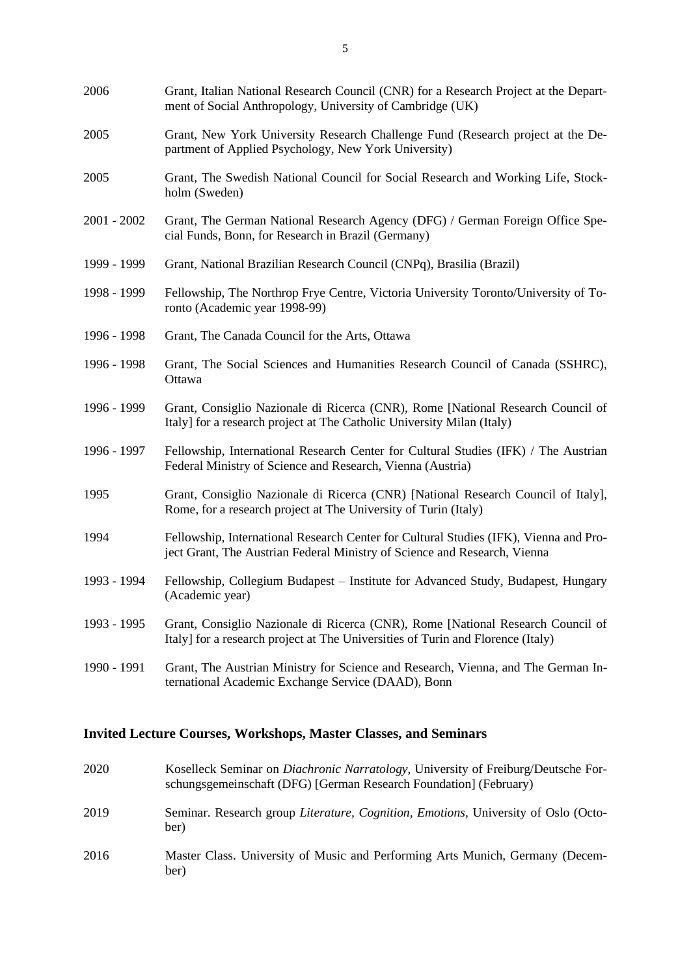| 2006        | Grant, Italian National Research Council (CNR) for a Research Project at the Depart-<br>ment of Social Anthropology, University of Cambridge (UK)                  |
|-------------|--------------------------------------------------------------------------------------------------------------------------------------------------------------------|
| 2005        | Grant, New York University Research Challenge Fund (Research project at the De-<br>partment of Applied Psychology, New York University)                            |
| 2005        | Grant, The Swedish National Council for Social Research and Working Life, Stock-<br>holm (Sweden)                                                                  |
| 2001 - 2002 | Grant, The German National Research Agency (DFG) / German Foreign Office Spe-<br>cial Funds, Bonn, for Research in Brazil (Germany)                                |
| 1999 - 1999 | Grant, National Brazilian Research Council (CNPq), Brasilia (Brazil)                                                                                               |
| 1998 - 1999 | Fellowship, The Northrop Frye Centre, Victoria University Toronto/University of To-<br>ronto (Academic year 1998-99)                                               |
| 1996 - 1998 | Grant, The Canada Council for the Arts, Ottawa                                                                                                                     |
| 1996 - 1998 | Grant, The Social Sciences and Humanities Research Council of Canada (SSHRC),<br>Ottawa                                                                            |
| 1996 - 1999 | Grant, Consiglio Nazionale di Ricerca (CNR), Rome [National Research Council of<br>Italy] for a research project at The Catholic University Milan (Italy)          |
| 1996 - 1997 | Fellowship, International Research Center for Cultural Studies (IFK) / The Austrian<br>Federal Ministry of Science and Research, Vienna (Austria)                  |
| 1995        | Grant, Consiglio Nazionale di Ricerca (CNR) [National Research Council of Italy],<br>Rome, for a research project at The University of Turin (Italy)               |
| 1994        | Fellowship, International Research Center for Cultural Studies (IFK), Vienna and Pro-<br>ject Grant, The Austrian Federal Ministry of Science and Research, Vienna |
| 1993 - 1994 | Fellowship, Collegium Budapest - Institute for Advanced Study, Budapest, Hungary<br>(Academic year)                                                                |
| 1993 - 1995 | Grant, Consiglio Nazionale di Ricerca (CNR), Rome [National Research Council of<br>Italy] for a research project at The Universities of Turin and Florence (Italy) |
| 1990 - 1991 | Grant, The Austrian Ministry for Science and Research, Vienna, and The German In-<br>ternational Academic Exchange Service (DAAD), Bonn                            |

# **Invited Lecture Courses, Workshops, Master Classes, and Seminars**

| 2020 | Koselleck Seminar on <i>Diachronic Narratology</i> , University of Freiburg/Deutsche For-<br>schungsgemeinschaft (DFG) [German Research Foundation] (February) |
|------|----------------------------------------------------------------------------------------------------------------------------------------------------------------|
| 2019 | Seminar. Research group <i>Literature, Cognition, Emotions</i> , University of Oslo (Octo-<br>ber)                                                             |
| 2016 | Master Class. University of Music and Performing Arts Munich, Germany (Decem-<br>ber)                                                                          |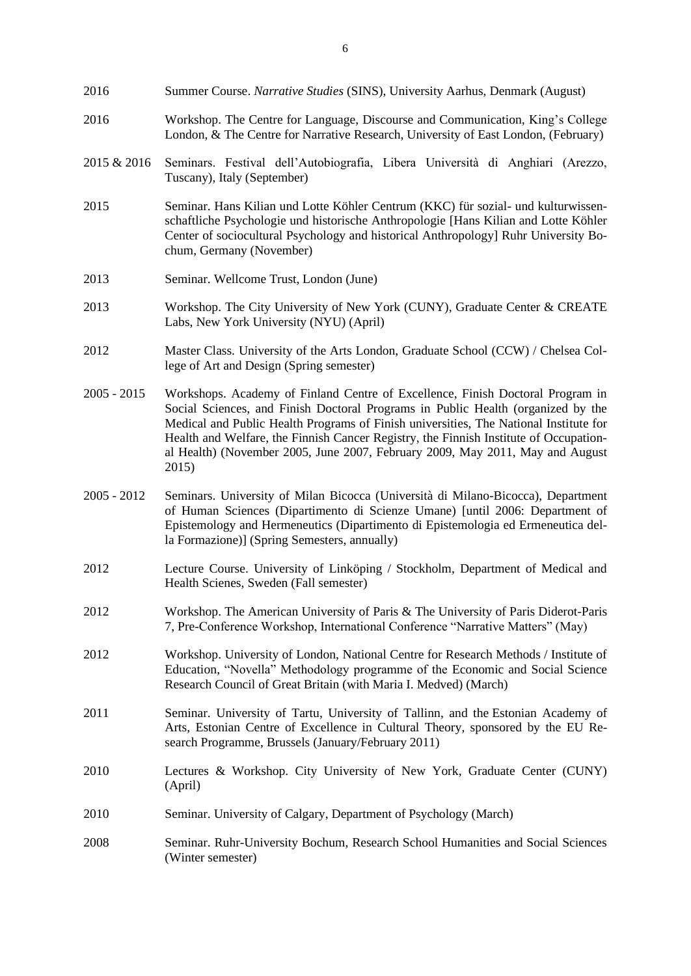- 2016 Summer Course. *Narrative Studies* (SINS), University Aarhus, Denmark (August) 2016 Workshop. The Centre for Language, Discourse and Communication, King's College London, & The Centre for Narrative Research, University of East London, (February) 2015 & 2016 Seminars. Festival dell'Autobiografia, Libera Università di Anghiari (Arezzo, Tuscany), Italy (September) 2015 Seminar. Hans Kilian und Lotte Köhler Centrum (KKC) für sozial- und kulturwissen-
- schaftliche Psychologie und historische Anthropologie [Hans Kilian and Lotte Köhler Center of sociocultural Psychology and historical Anthropology] Ruhr University Bochum, Germany (November)
- 2013 Seminar. Wellcome Trust, London (June)
- 2013 Workshop. The City University of New York (CUNY), Graduate Center & CREATE Labs, New York University (NYU) (April)
- 2012 Master Class. University of the Arts London, Graduate School (CCW) / Chelsea College of Art and Design (Spring semester)
- 2005 2015 Workshops. Academy of Finland Centre of Excellence, Finish Doctoral Program in Social Sciences, and Finish Doctoral Programs in Public Health (organized by the Medical and Public Health Programs of Finish universities, The National Institute for Health and Welfare, the Finnish Cancer Registry, the Finnish Institute of Occupational Health) (November 2005, June 2007, February 2009, May 2011, May and August 2015)
- 2005 2012 Seminars. University of Milan Bicocca (Università di Milano-Bicocca), Department of Human Sciences (Dipartimento di Scienze Umane) [until 2006: Department of Epistemology and Hermeneutics (Dipartimento di Epistemologia ed Ermeneutica della Formazione)] (Spring Semesters, annually)
- 2012 Lecture Course. University of Linköping / Stockholm, Department of Medical and Health Scienes, Sweden (Fall semester)
- 2012 Workshop. The American University of Paris & The University of Paris Diderot-Paris 7, Pre-Conference Workshop, International Conference "Narrative Matters" (May)
- 2012 Workshop. University of London, National Centre for Research Methods / Institute of Education, "Novella" Methodology programme of the Economic and Social Science Research Council of Great Britain (with Maria I. Medved) (March)
- 2011 Seminar. University of Tartu, University of Tallinn, and the Estonian Academy of Arts, Estonian Centre of Excellence in Cultural Theory, sponsored by the EU Research Programme, Brussels (January/February 2011)
- 2010 Lectures & Workshop. City University of New York, Graduate Center (CUNY) (April)
- 2010 Seminar. University of Calgary, Department of Psychology (March)
- 2008 Seminar. Ruhr-University Bochum, Research School Humanities and Social Sciences (Winter semester)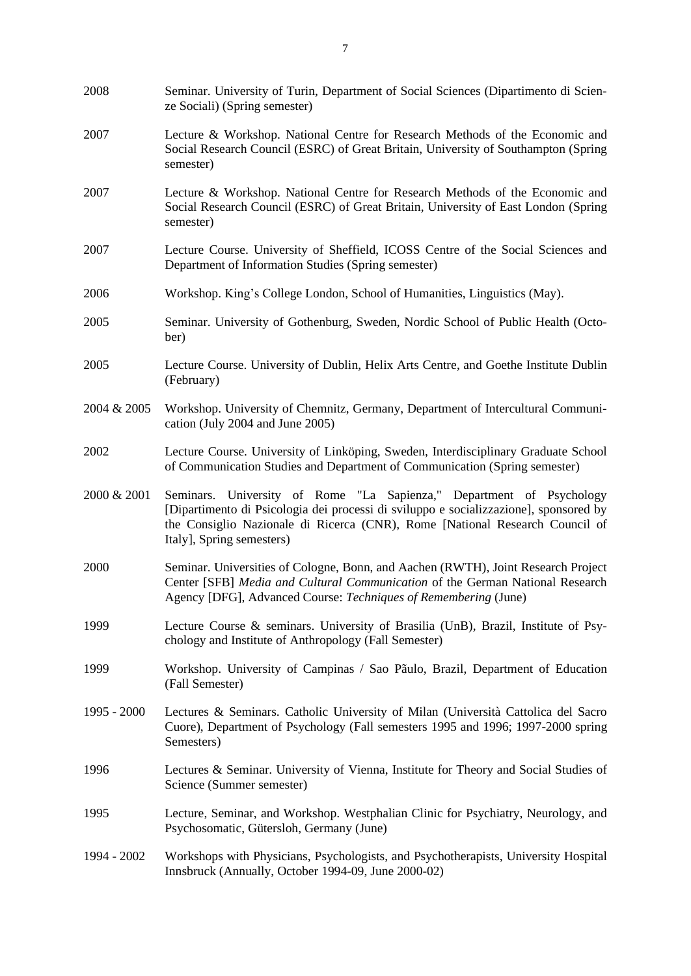| 2008        | Seminar. University of Turin, Department of Social Sciences (Dipartimento di Scien-<br>ze Sociali) (Spring semester)                                                                                                                                                       |
|-------------|----------------------------------------------------------------------------------------------------------------------------------------------------------------------------------------------------------------------------------------------------------------------------|
| 2007        | Lecture & Workshop. National Centre for Research Methods of the Economic and<br>Social Research Council (ESRC) of Great Britain, University of Southampton (Spring<br>semester)                                                                                            |
| 2007        | Lecture & Workshop. National Centre for Research Methods of the Economic and<br>Social Research Council (ESRC) of Great Britain, University of East London (Spring<br>semester)                                                                                            |
| 2007        | Lecture Course. University of Sheffield, ICOSS Centre of the Social Sciences and<br>Department of Information Studies (Spring semester)                                                                                                                                    |
| 2006        | Workshop. King's College London, School of Humanities, Linguistics (May).                                                                                                                                                                                                  |
| 2005        | Seminar. University of Gothenburg, Sweden, Nordic School of Public Health (Octo-<br>ber)                                                                                                                                                                                   |
| 2005        | Lecture Course. University of Dublin, Helix Arts Centre, and Goethe Institute Dublin<br>(February)                                                                                                                                                                         |
| 2004 & 2005 | Workshop. University of Chemnitz, Germany, Department of Intercultural Communi-<br>cation (July 2004 and June 2005)                                                                                                                                                        |
| 2002        | Lecture Course. University of Linköping, Sweden, Interdisciplinary Graduate School<br>of Communication Studies and Department of Communication (Spring semester)                                                                                                           |
| 2000 & 2001 | Seminars. University of Rome "La Sapienza," Department of Psychology<br>[Dipartimento di Psicologia dei processi di sviluppo e socializzazione], sponsored by<br>the Consiglio Nazionale di Ricerca (CNR), Rome [National Research Council of<br>Italy], Spring semesters) |
| 2000        | Seminar. Universities of Cologne, Bonn, and Aachen (RWTH), Joint Research Project<br>Center [SFB] Media and Cultural Communication of the German National Research<br>Agency [DFG], Advanced Course: Techniques of Remembering (June)                                      |
| 1999        | Lecture Course & seminars. University of Brasilia (UnB), Brazil, Institute of Psy-<br>chology and Institute of Anthropology (Fall Semester)                                                                                                                                |
| 1999        | Workshop. University of Campinas / Sao Pãulo, Brazil, Department of Education<br>(Fall Semester)                                                                                                                                                                           |
| 1995 - 2000 | Lectures & Seminars. Catholic University of Milan (Università Cattolica del Sacro<br>Cuore), Department of Psychology (Fall semesters 1995 and 1996; 1997-2000 spring<br>Semesters)                                                                                        |
| 1996        | Lectures & Seminar. University of Vienna, Institute for Theory and Social Studies of<br>Science (Summer semester)                                                                                                                                                          |
| 1995        | Lecture, Seminar, and Workshop. Westphalian Clinic for Psychiatry, Neurology, and<br>Psychosomatic, Gütersloh, Germany (June)                                                                                                                                              |
| 1994 - 2002 | Workshops with Physicians, Psychologists, and Psychotherapists, University Hospital<br>Innsbruck (Annually, October 1994-09, June 2000-02)                                                                                                                                 |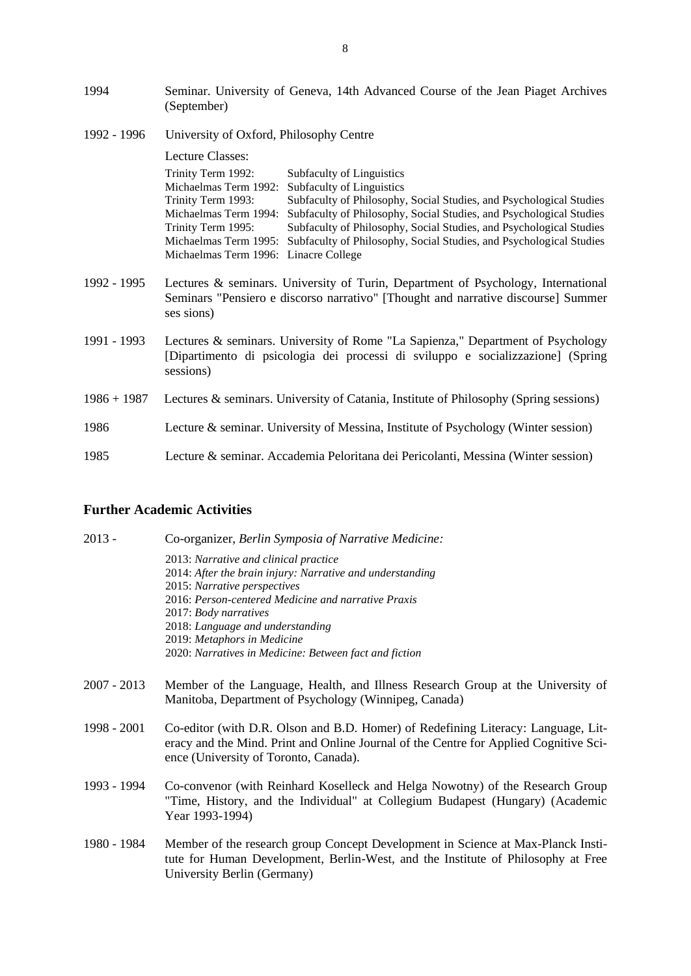| 1994          | Seminar. University of Geneva, 14th Advanced Course of the Jean Piaget Archives<br>(September)                                                                                       |
|---------------|--------------------------------------------------------------------------------------------------------------------------------------------------------------------------------------|
| 1992 - 1996   | University of Oxford, Philosophy Centre                                                                                                                                              |
|               | Lecture Classes:                                                                                                                                                                     |
|               | Trinity Term 1992:<br>Subfaculty of Linguistics                                                                                                                                      |
|               | Michaelmas Term 1992:<br>Subfaculty of Linguistics                                                                                                                                   |
|               | Trinity Term 1993:<br>Subfaculty of Philosophy, Social Studies, and Psychological Studies<br>Michaelmas Term 1994:                                                                   |
|               | Subfaculty of Philosophy, Social Studies, and Psychological Studies<br>Trinity Term 1995:<br>Subfaculty of Philosophy, Social Studies, and Psychological Studies                     |
|               | Subfaculty of Philosophy, Social Studies, and Psychological Studies<br>Michaelmas Term 1995:                                                                                         |
|               | Michaelmas Term 1996: Linacre College                                                                                                                                                |
| 1992 - 1995   | Lectures & seminars. University of Turin, Department of Psychology, International<br>Seminars "Pensiero e discorso narrativo" [Thought and narrative discourse] Summer<br>ses sions) |
| 1991 - 1993   | Lectures & seminars. University of Rome "La Sapienza," Department of Psychology<br>[Dipartimento di psicologia dei processi di sviluppo e socializzazione] (Spring<br>sessions)      |
| $1986 + 1987$ | Lectures & seminars. University of Catania, Institute of Philosophy (Spring sessions)                                                                                                |
| 1986          | Lecture & seminar. University of Messina, Institute of Psychology (Winter session)                                                                                                   |
| 1985          | Lecture & seminar. Accademia Peloritana dei Pericolanti, Messina (Winter session)                                                                                                    |

# **Further Academic Activities**

| $2013 -$    | Co-organizer, Berlin Symposia of Narrative Medicine:                                                                                                                                                                |
|-------------|---------------------------------------------------------------------------------------------------------------------------------------------------------------------------------------------------------------------|
|             | 2013: Narrative and clinical practice<br>2014: After the brain injury: Narrative and understanding<br>2015: Narrative perspectives                                                                                  |
|             | 2016: Person-centered Medicine and narrative Praxis<br>2017: Body narratives                                                                                                                                        |
|             | 2018: Language and understanding                                                                                                                                                                                    |
|             | 2019: Metaphors in Medicine<br>2020: Narratives in Medicine: Between fact and fiction                                                                                                                               |
|             |                                                                                                                                                                                                                     |
| 2007 - 2013 | Member of the Language, Health, and Illness Research Group at the University of<br>Manitoba, Department of Psychology (Winnipeg, Canada)                                                                            |
| 1998 - 2001 | Co-editor (with D.R. Olson and B.D. Homer) of Redefining Literacy: Language, Lit-<br>eracy and the Mind. Print and Online Journal of the Centre for Applied Cognitive Sci-<br>ence (University of Toronto, Canada). |
| 1993 - 1994 | Co-convenor (with Reinhard Koselleck and Helga Nowotny) of the Research Group<br>"Time, History, and the Individual" at Collegium Budapest (Hungary) (Academic<br>Year 1993-1994)                                   |
| 1980 - 1984 | Member of the research group Concept Development in Science at Max-Planck Insti-<br>tute for Human Development, Berlin-West, and the Institute of Philosophy at Free<br>University Berlin (Germany)                 |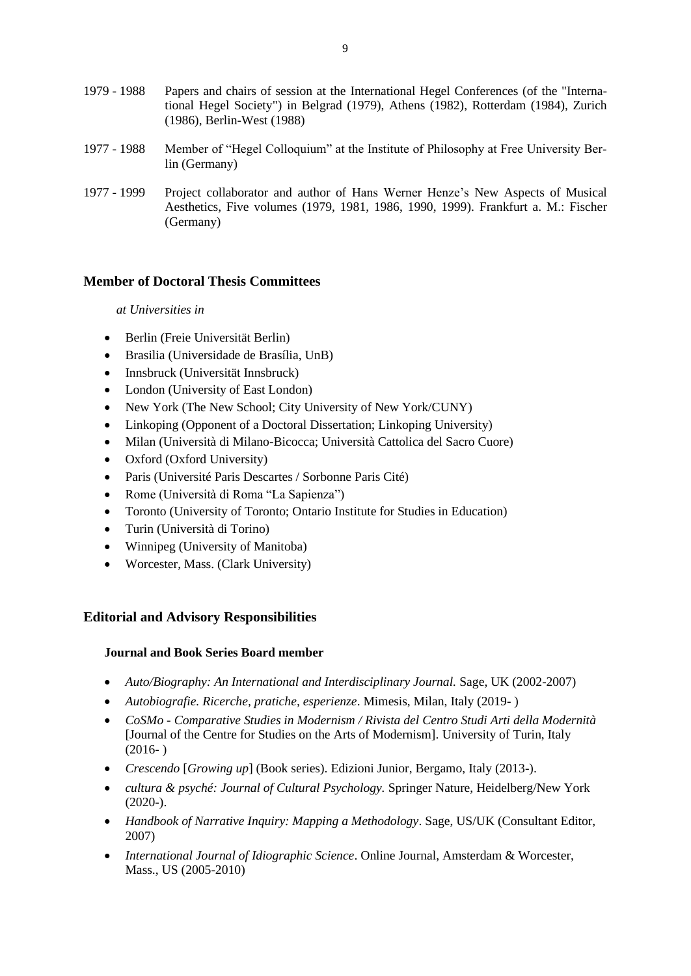| 1979 - 1988 | Papers and chairs of session at the International Hegel Conferences (of the "Interna-<br>tional Hegel Society") in Belgrad (1979), Athens (1982), Rotterdam (1984), Zurich<br>(1986), Berlin-West (1988) |
|-------------|----------------------------------------------------------------------------------------------------------------------------------------------------------------------------------------------------------|
| 1977 - 1988 | Member of "Hegel Colloquium" at the Institute of Philosophy at Free University Ber-<br>lin (Germany)                                                                                                     |
| 1977 - 1999 | Project collaborator and author of Hans Werner Henze's New Aspects of Musical<br>Aesthetics, Five volumes (1979, 1981, 1986, 1990, 1999). Frankfurt a. M.: Fischer                                       |

# **Member of Doctoral Thesis Committees**

(Germany)

# *at Universities in*

- Berlin (Freie Universität Berlin)
- Brasilia (Universidade de Brasília, UnB)
- Innsbruck (Universität Innsbruck)
- London (University of East London)
- New York (The New School; City University of New York/CUNY)
- Linkoping (Opponent of a Doctoral Dissertation; Linkoping University)
- Milan (Università di Milano-Bicocca; Università Cattolica del Sacro Cuore)
- Oxford (Oxford University)
- Paris (Université Paris Descartes / Sorbonne Paris Cité)
- Rome (Università di Roma "La Sapienza")
- Toronto (University of Toronto; Ontario Institute for Studies in Education)
- Turin (Università di Torino)
- Winnipeg (University of Manitoba)
- Worcester, Mass. (Clark University)

# **Editorial and Advisory Responsibilities**

# **Journal and Book Series Board member**

- *Auto/Biography: An International and Interdisciplinary Journal. Sage, UK (2002-2007)*
- *Autobiografie. Ricerche, pratiche, esperienze*. Mimesis, Milan, Italy (2019- )
- *CoSMo - Comparative Studies in Modernism / Rivista del Centro Studi Arti della Modernità* [Journal of the Centre for Studies on the Arts of Modernism]. University of Turin, Italy  $(2016-)$
- *Crescendo* [*Growing up*] (Book series). Edizioni Junior, Bergamo, Italy (2013-).
- *cultura & psyché: Journal of Cultural Psychology.* Springer Nature, Heidelberg/New York  $(2020-).$
- *Handbook of Narrative Inquiry: Mapping a Methodology*. Sage, US/UK (Consultant Editor, 2007)
- *International Journal of Idiographic Science*. Online Journal, Amsterdam & Worcester, Mass., US (2005-2010)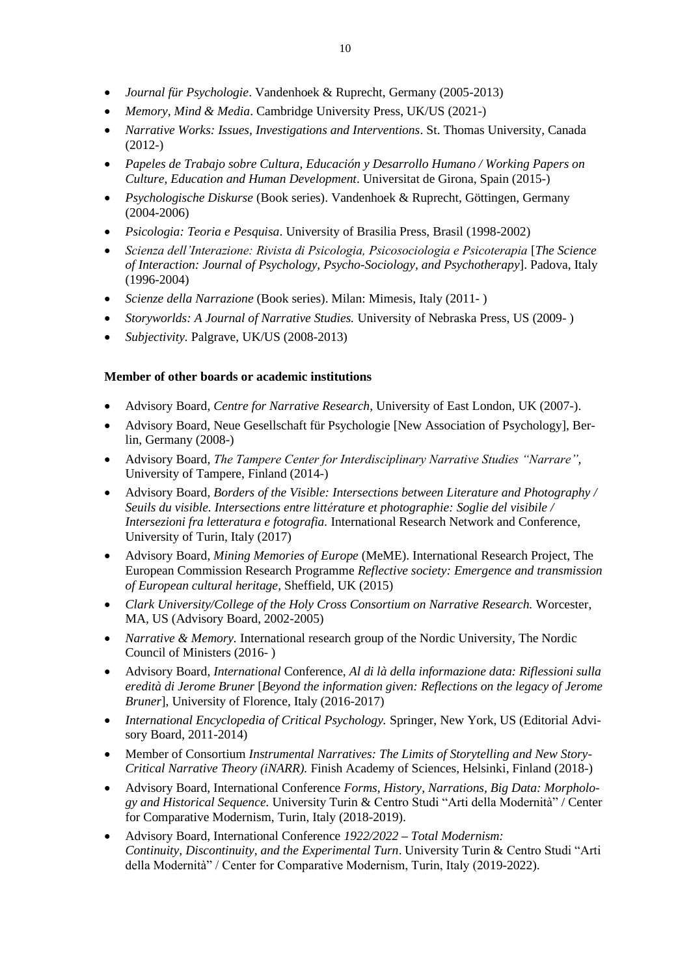- *Journal für Psychologie*. Vandenhoek & Ruprecht, Germany (2005-2013)
- *Memory, Mind & Media*. Cambridge University Press, UK/US (2021-)
- *Narrative Works: Issues, Investigations and Interventions*. St. Thomas University, Canada (2012-)
- *Papeles de Trabajo sobre Cultura, Educación y Desarrollo Humano / Working Papers on Culture, Education and Human Development*. Universitat de Girona, Spain (2015-)
- *Psychologische Diskurse* (Book series). Vandenhoek & Ruprecht, Göttingen, Germany (2004-2006)
- *Psicologia: Teoria e Pesquisa*. University of Brasilia Press, Brasil (1998-2002)
- *Scienza dell'Interazione: Rivista di Psicologia, Psicosociologia e Psicoterapia* [*The Science of Interaction: Journal of Psychology, Psycho-Sociology, and Psychotherapy*]. Padova, Italy (1996-2004)
- *Scienze della Narrazione* (Book series). Milan: Mimesis*,* Italy (2011- )
- *Storyworlds: A Journal of Narrative Studies.* University of Nebraska Press, US (2009-)
- *Subjectivity.* Palgrave, UK/US (2008-2013)

# **Member of other boards or academic institutions**

- Advisory Board, *Centre for Narrative Research*, University of East London, UK (2007-).
- Advisory Board, Neue Gesellschaft für Psychologie [New Association of Psychology], Berlin, Germany (2008-)
- Advisory Board, *The Tampere Center for Interdisciplinary Narrative Studies "Narrare",*  University of Tampere, Finland (2014-)
- Advisory Board, *Borders of the Visible: Intersections between Literature and Photography / Seuils du visible. Intersections entre littérature et photographie: Soglie del visibile / Intersezioni fra letteratura e fotografia.* International Research Network and Conference, University of Turin, Italy (2017)
- Advisory Board, *Mining Memories of Europe* (MeME). International Research Project, The European Commission Research Programme *Reflective society: Emergence and transmission of European cultural heritage,* Sheffield, UK (2015)
- *Clark University/College of the Holy Cross Consortium on Narrative Research.* Worcester, MA*,* US (Advisory Board, 2002-2005)
- *Narrative & Memory.* International research group of the Nordic University, The Nordic Council of Ministers (2016- )
- Advisory Board, *International* Conference, *Al di là della informazione data: Riflessioni sulla eredità di Jerome Bruner* [*Beyond the information given: Reflections on the legacy of Jerome Bruner*], University of Florence, Italy (2016-2017)
- *International Encyclopedia of Critical Psychology.* Springer, New York, US (Editorial Advisory Board, 2011-2014)
- Member of Consortium *Instrumental Narratives: The Limits of Storytelling and New Story-Critical Narrative Theory (iNARR).* Finish Academy of Sciences, Helsinki, Finland (2018-)
- Advisory Board, International Conference *Forms, History, Narrations, Big Data: Morphology and Historical Sequence.* University Turin & Centro Studi "Arti della Modernità" / Center for Comparative Modernism, Turin, Italy (2018-2019).
- Advisory Board, International Conference *1922/2022 – Total Modernism: Continuity, Discontinuity, and the Experimental Turn*. University Turin & Centro Studi "Arti della Modernità" / Center for Comparative Modernism, Turin, Italy (2019-2022).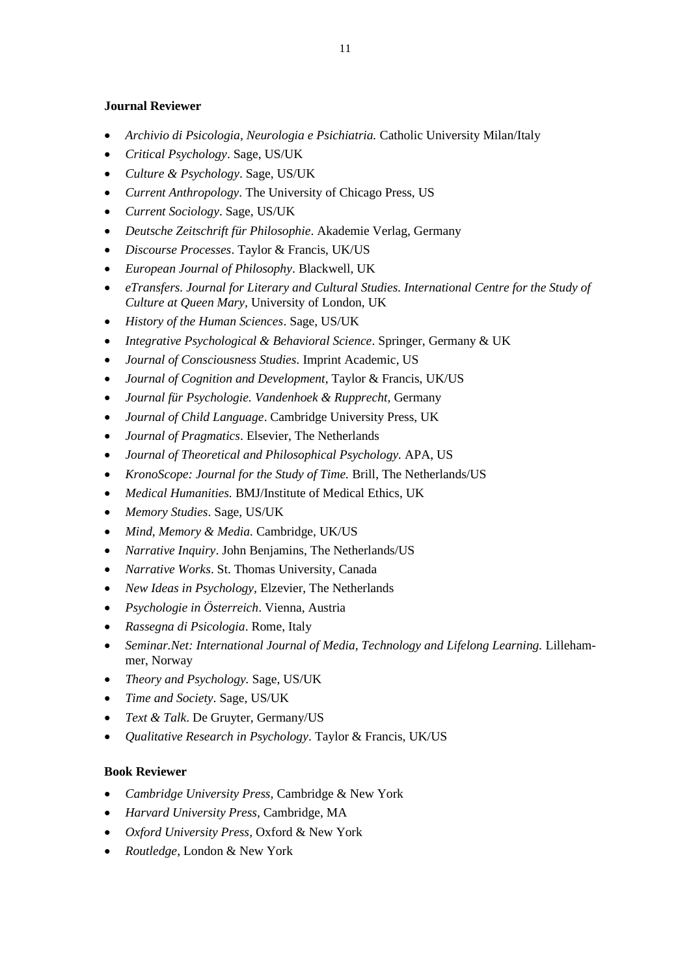# **Journal Reviewer**

- *Archivio di Psicologia, Neurologia e Psichiatria.* Catholic University Milan/Italy
- *Critical Psychology*. Sage, US/UK
- *Culture & Psychology*. Sage, US/UK
- *Current Anthropology*. The University of Chicago Press, US
- *Current Sociology*. Sage, US/UK
- *Deutsche Zeitschrift für Philosophie*. Akademie Verlag*,* Germany
- *Discourse Processes*. Taylor & Francis, UK/US
- *European Journal of Philosophy*. Blackwell, UK
- *eTransfers. Journal for Literary and Cultural Studies. International Centre for the Study of Culture at Queen Mary, University of London, UK*
- *History of the Human Sciences*. Sage, US/UK
- *Integrative Psychological & Behavioral Science*. Springer, Germany & UK
- *Journal of Consciousness Studies.* Imprint Academic, US
- *Journal of Cognition and Development*, Taylor & Francis, UK/US
- *Journal für Psychologie. Vandenhoek & Rupprecht,* Germany
- *Journal of Child Language*. Cambridge University Press, UK
- *Journal of Pragmatics*. Elsevier, The Netherlands
- *Journal of Theoretical and Philosophical Psychology.* APA, US
- *KronoScope: Journal for the Study of Time.* Brill, The Netherlands/US
- *Medical Humanities.* BMJ/Institute of Medical Ethics, UK
- *Memory Studies*. Sage, US/UK
- *Mind, Memory & Media.* Cambridge, UK/US
- *Narrative Inquiry*. John Benjamins, The Netherlands/US
- *Narrative Works*. St. Thomas University, Canada
- *New Ideas in Psychology,* Elzevier, The Netherlands
- *Psychologie in Österreich*. Vienna, Austria
- *Rassegna di Psicologia*. Rome, Italy
- *Seminar.Net: International Journal of Media, Technology and Lifelong Learning. Lilleham*mer, Norway
- *Theory and Psychology.* Sage, US/UK
- *Time and Society*. Sage, US/UK
- *Text & Talk*. De Gruyter, Germany/US
- *Qualitative Research in Psychology*. Taylor & Francis, UK/US

# **Book Reviewer**

- *Cambridge University Press,* Cambridge & New York
- *Harvard University Press,* Cambridge, MA
- *Oxford University Press*, Oxford & New York
- *Routledge*, London & New York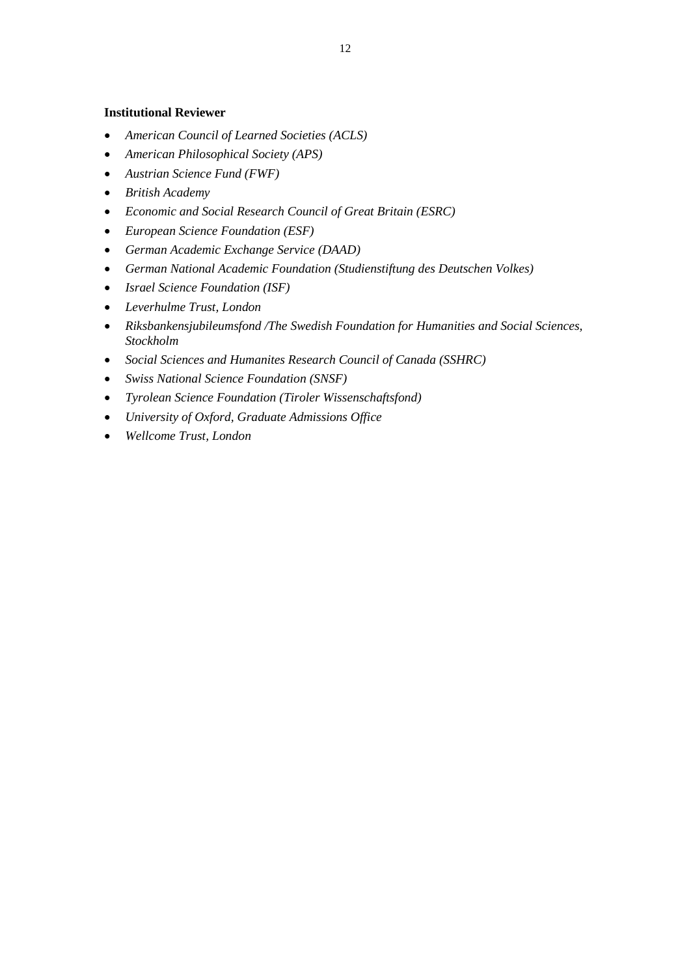# **Institutional Reviewer**

- *American Council of Learned Societies (ACLS)*
- *American Philosophical Society (APS)*
- *Austrian Science Fund (FWF)*
- *British Academy*
- *Economic and Social Research Council of Great Britain (ESRC)*
- *European Science Foundation (ESF)*
- *German Academic Exchange Service (DAAD)*
- *German National Academic Foundation (Studienstiftung des Deutschen Volkes)*
- *Israel Science Foundation (ISF)*
- *Leverhulme Trust, London*
- *Riksbankensjubileumsfond /The Swedish Foundation for Humanities and Social Sciences, Stockholm*
- *Social Sciences and Humanites Research Council of Canada (SSHRC)*
- *Swiss National Science Foundation (SNSF)*
- *Tyrolean Science Foundation (Tiroler Wissenschaftsfond)*
- *University of Oxford, Graduate Admissions Office*
- *Wellcome Trust, London*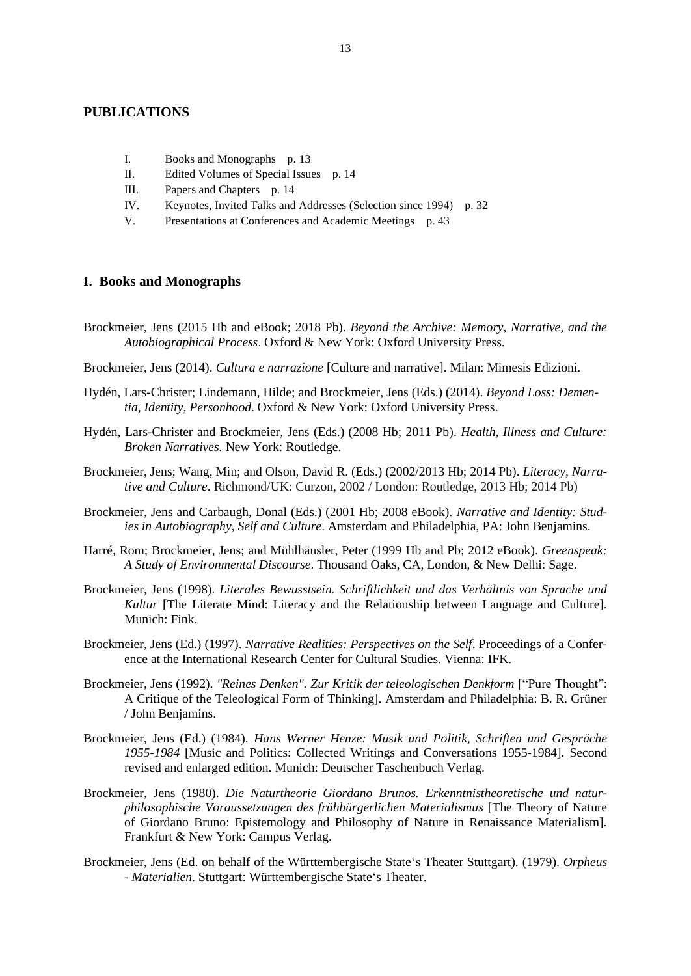# **PUBLICATIONS**

- I. Books and Monographs p. 13
- II. Edited Volumes of Special Issues p. 14
- III. Papers and Chapters p. 14
- IV. Keynotes, Invited Talks and Addresses (Selection since 1994) p. 32
- V. Presentations at Conferences and Academic Meetings p. 43

## **I. Books and Monographs**

- Brockmeier, Jens (2015 Hb and eBook; 2018 Pb). *Beyond the Archive: Memory, Narrative, and the Autobiographical Process*. Oxford & New York: Oxford University Press.
- Brockmeier, Jens (2014). *Cultura e narrazione* [Culture and narrative]. Milan: Mimesis Edizioni.
- Hydén, Lars-Christer; Lindemann, Hilde; and Brockmeier, Jens (Eds.) (2014). *Beyond Loss: Dementia, Identity, Personhood*. Oxford & New York: Oxford University Press.
- Hydén, Lars-Christer and Brockmeier, Jens (Eds.) (2008 Hb; 2011 Pb). *Health, Illness and Culture: Broken Narratives.* New York: Routledge.
- Brockmeier, Jens; Wang, Min; and Olson, David R. (Eds.) (2002/2013 Hb; 2014 Pb). *Literacy, Narrative and Culture*. Richmond/UK: Curzon, 2002 / London: Routledge, 2013 Hb; 2014 Pb)
- Brockmeier, Jens and Carbaugh, Donal (Eds.) (2001 Hb; 2008 eBook). *Narrative and Identity: Studies in Autobiography, Self and Culture*. Amsterdam and Philadelphia, PA: John Benjamins.
- Harré, Rom; Brockmeier, Jens; and Mühlhäusler, Peter (1999 Hb and Pb; 2012 eBook). *Greenspeak: A Study of Environmental Discourse*. Thousand Oaks, CA, London, & New Delhi: Sage.
- Brockmeier, Jens (1998). *Literales Bewusstsein. Schriftlichkeit und das Verhältnis von Sprache und Kultur* [The Literate Mind: Literacy and the Relationship between Language and Culture]*.*  Munich: Fink.
- Brockmeier, Jens (Ed.) (1997). *Narrative Realities: Perspectives on the Self*. Proceedings of a Conference at the International Research Center for Cultural Studies. Vienna: IFK.
- Brockmeier, Jens (1992). "Reines Denken". Zur Kritik der teleologischen Denkform ["Pure Thought": A Critique of the Teleological Form of Thinking]*.* Amsterdam and Philadelphia: B. R. Grüner / John Benjamins.
- Brockmeier, Jens (Ed.) (1984). *Hans Werner Henze: Musik und Politik, Schriften und Gespräche 1955-1984* [Music and Politics: Collected Writings and Conversations 1955-1984]*.* Second revised and enlarged edition. Munich: Deutscher Taschenbuch Verlag.
- Brockmeier, Jens (1980). *Die Naturtheorie Giordano Brunos. Erkenntnistheoretische und naturphilosophische Voraussetzungen des frühbürgerlichen Materialismus* [The Theory of Nature of Giordano Bruno: Epistemology and Philosophy of Nature in Renaissance Materialism]. Frankfurt & New York: Campus Verlag.
- Brockmeier, Jens (Ed. on behalf of the Württembergische State's Theater Stuttgart). (1979). *Orpheus - Materialien*. Stuttgart: Württembergische State's Theater.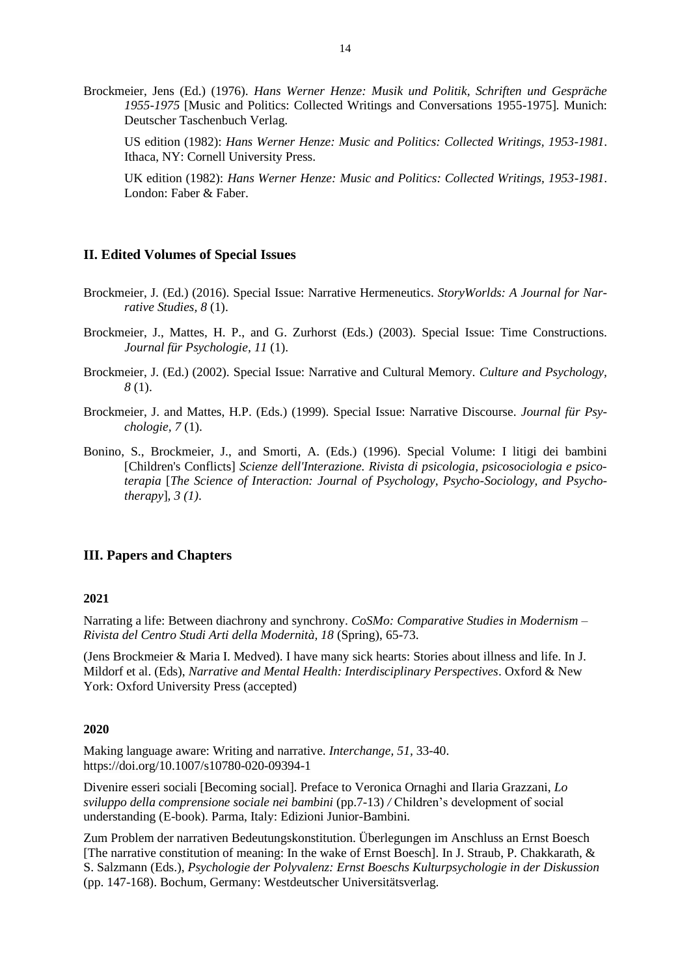Brockmeier, Jens (Ed.) (1976). *Hans Werner Henze: Musik und Politik, Schriften und Gespräche 1955-1975* [Music and Politics: Collected Writings and Conversations 1955-1975]*.* Munich: Deutscher Taschenbuch Verlag.

US edition (1982): *Hans Werner Henze: Music and Politics: Collected Writings, 1953-1981*. Ithaca, NY: Cornell University Press.

UK edition (1982): *Hans Werner Henze: Music and Politics: Collected Writings, 1953-1981*. London: Faber & Faber.

# **II. Edited Volumes of Special Issues**

- Brockmeier, J. (Ed.) (2016). Special Issue: Narrative Hermeneutics. *StoryWorlds: A Journal for Narrative Studies, 8* (1).
- Brockmeier, J., Mattes, H. P., and G. Zurhorst (Eds.) (2003). Special Issue: Time Constructions. *Journal für Psychologie, 11* (1).
- Brockmeier, J. (Ed.) (2002). Special Issue: Narrative and Cultural Memory*. Culture and Psychology, 8* (1).
- Brockmeier, J. and Mattes, H.P. (Eds.) (1999). Special Issue: Narrative Discourse. *Journal für Psychologie, 7* (1).
- Bonino, S., Brockmeier, J., and Smorti, A. (Eds.) (1996). Special Volume: I litigi dei bambini [Children's Conflicts] *Scienze dell'Interazione. Rivista di psicologia, psicosociologia e psicoterapia* [*The Science of Interaction: Journal of Psychology, Psycho-Sociology, and Psychotherapy*]*, 3 (1)*.

## **III. Papers and Chapters**

### **2021**

Narrating a life: Between diachrony and synchrony. *CoSMo: Comparative Studies in Modernism – Rivista del Centro Studi Arti della Modernità, 18* (Spring), 65-73.

(Jens Brockmeier & Maria I. Medved). I have many sick hearts: Stories about illness and life. In J. Mildorf et al. (Eds), *Narrative and Mental Health: Interdisciplinary Perspectives*. Oxford & New York: Oxford University Press (accepted)

## **2020**

Making language aware: Writing and narrative. *Interchange, 51,* 33-40. https://doi.org/10.1007/s10780-020-09394-1

Divenire esseri sociali [Becoming social]. Preface to Veronica Ornaghi and Ilaria Grazzani, *Lo sviluppo della comprensione sociale nei bambini* (pp.7-13) */* Children's development of social understanding (E-book). Parma, Italy: Edizioni Junior-Bambini*.*

Zum Problem der narrativen Bedeutungskonstitution. Überlegungen im Anschluss an Ernst Boesch [The narrative constitution of meaning: In the wake of Ernst Boesch]. In J. Straub, P. Chakkarath, & S. Salzmann (Eds.), *Psychologie der Polyvalenz: Ernst Boeschs Kulturpsychologie in der Diskussion* (pp. 147-168). Bochum, Germany: Westdeutscher Universitätsverlag.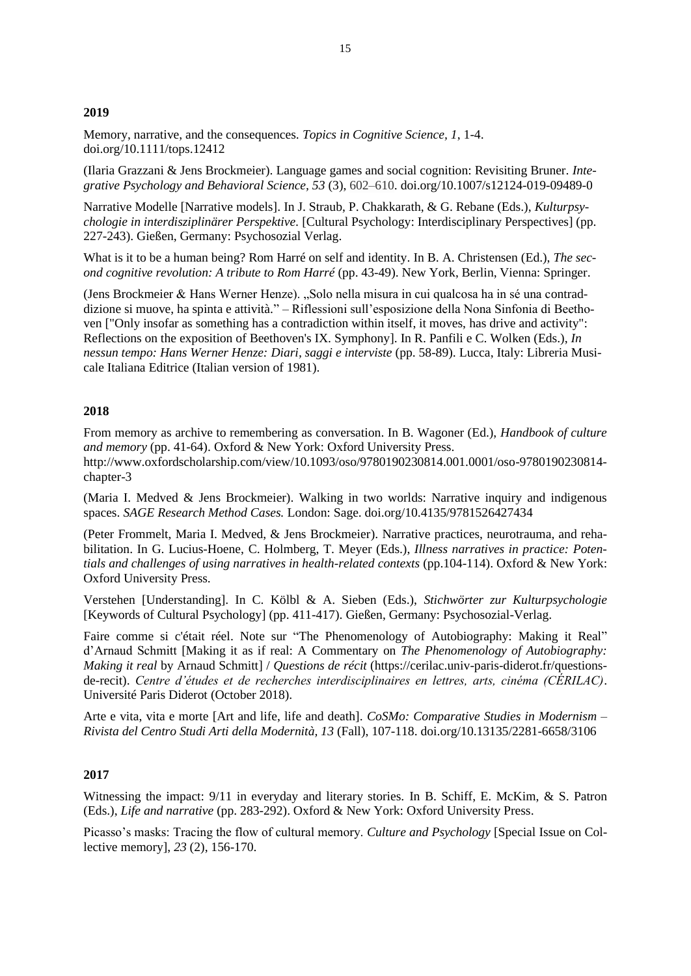## **2019**

Memory, narrative, and the consequences. *Topics in Cognitive Science, 1*, 1-4. [doi.org/10.1111/tops.12412](https://doi.org/10.1111/tops.12412)

(Ilaria Grazzani & Jens Brockmeier). Language games and social cognition: Revisiting Bruner. *Integrative Psychology and Behavioral Science, 53* (3), 602–610. [doi.org/10.1007/s12124-019-09489-0](https://doi.org/10.1007/s12124-019-09489-0)

Narrative Modelle [Narrative models]. In J. Straub, P. Chakkarath, & G. Rebane (Eds.), *Kulturpsychologie in interdisziplinärer Perspektive.* [Cultural Psychology: Interdisciplinary Perspectives] (pp. 227-243). Gießen, Germany: Psychosozial Verlag.

What is it to be a human being? Rom Harré on self and identity. In B. A. Christensen (Ed.), *The second cognitive revolution: A tribute to Rom Harré* (pp. 43-49). New York, Berlin, Vienna: Springer.

(Jens Brockmeier & Hans Werner Henze). "Solo nella misura in cui qualcosa ha in sé una contraddizione si muove, ha spinta e attività." – Riflessioni sull'esposizione della Nona Sinfonia di Beethoven ["Only insofar as something has a contradiction within itself, it moves, has drive and activity": Reflections on the exposition of Beethoven's IX. Symphony]. In R. Panfili e C. Wolken (Eds.), *In nessun tempo: Hans Werner Henze: Diari, saggi e interviste* (pp. 58-89). Lucca, Italy: Libreria Musicale Italiana Editrice (Italian version of 1981).

## **2018**

From memory as archive to remembering as conversation. In B. Wagoner (Ed.), *Handbook of culture and memory* (pp. 41-64). Oxford & New York: Oxford University Press. [http://www.oxfordscholarship.com/view/10.1093/oso/9780190230814.001.0001/oso-9780190230814](http://www.oxfordscholarship.com/view/10.1093/oso/9780190230814.001.0001/oso-9780190230814-chapter-3) [chapter-3](http://www.oxfordscholarship.com/view/10.1093/oso/9780190230814.001.0001/oso-9780190230814-chapter-3)

(Maria I. Medved & Jens Brockmeier). Walking in two worlds: Narrative inquiry and indigenous spaces. *SAGE Research Method Cases.* London: Sage. [doi.org/10.4135/9781526427434](http://dx.doi.org/10.4135/9781526427434)

(Peter Frommelt, Maria I. Medved, & Jens Brockmeier). Narrative practices, neurotrauma, and rehabilitation. In G. Lucius-Hoene, C. Holmberg, T. Meyer (Eds.), *Illness narratives in practice: Potentials and challenges of using narratives in health-related contexts* (pp.104-114). Oxford & New York: Oxford University Press.

Verstehen [Understanding]. In C. Kölbl & A. Sieben (Eds.), *Stichwörter zur Kulturpsychologie* [Keywords of Cultural Psychology] (pp. 411-417). Gießen, Germany: Psychosozial-Verlag.

Faire comme si c'était réel. Note sur "The Phenomenology of Autobiography: Making it Real" d'Arnaud Schmitt [Making it as if real: A Commentary on *The Phenomenology of Autobiography: Making it real* by Arnaud Schmitt] / *Questions de récit* (https://cerilac.univ-paris-diderot.fr/questionsde-recit). *Centre d'études et de recherches interdisciplinaires en lettres, arts, cinéma (CÉRILAC)*. Université Paris Diderot (October 2018).

Arte e vita, vita e morte [Art and life, life and death]. *CoSMo: Comparative Studies in Modernism – Rivista del Centro Studi Arti della Modernità, 13* (Fall), 107-118. [doi.org/10.13135/2281-6658/3106](http://dx.doi.org/10.13135/2281-6658/3106)

### **2017**

Witnessing the impact: 9/11 in everyday and literary stories. In B. Schiff, E. McKim, & S. Patron (Eds.), *Life and narrative* (pp. 283-292). Oxford & New York: Oxford University Press.

Picasso's masks: Tracing the flow of cultural memory. *Culture and Psychology* [Special Issue on Collective memory], *23* (2), 156-170.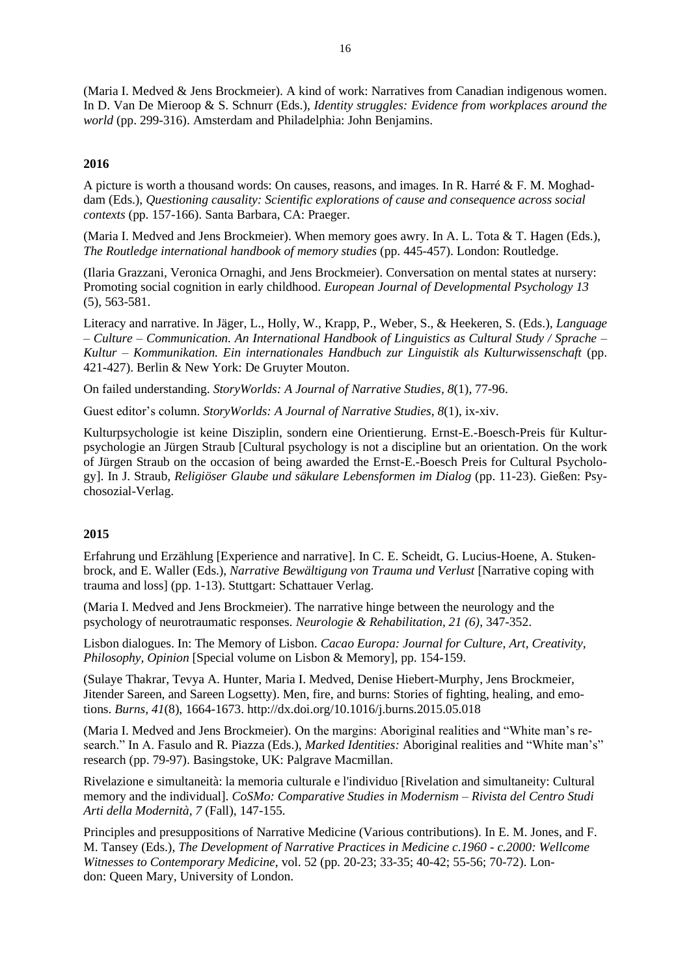(Maria I. Medved & Jens Brockmeier). A kind of work: Narratives from Canadian indigenous women. In D. Van De Mieroop & S. Schnurr (Eds.), *Identity struggles: Evidence from workplaces around the world* (pp. 299-316). Amsterdam and Philadelphia: John Benjamins.

# **2016**

A picture is worth a thousand words: On causes, reasons, and images. In R. Harré & F. M. Moghaddam (Eds.), *Questioning causality: Scientific explorations of cause and consequence across social contexts* (pp. 157-166). Santa Barbara, CA: Praeger.

(Maria I. Medved and Jens Brockmeier). When memory goes awry. In A. L. Tota & T. Hagen (Eds.), *The Routledge international handbook of memory studies* (pp. 445-457). London: Routledge.

(Ilaria Grazzani, Veronica Ornaghi, and Jens Brockmeier). Conversation on mental states at nursery: Promoting social cognition in early childhood. *European Journal of Developmental Psychology 13*  (5), 563-581.

Literacy and narrative. In Jäger, L., Holly, W., Krapp, P., Weber, S., & Heekeren, S. (Eds.), *Language – Culture – Communication. An International Handbook of Linguistics as Cultural Study / Sprache – Kultur – Kommunikation. Ein internationales Handbuch zur Linguistik als Kulturwissenschaft* (pp. 421-427). Berlin & New York: De Gruyter Mouton.

On failed understanding. *StoryWorlds: A Journal of Narrative Studies, 8*(1), 77-96.

Guest editor's column. *StoryWorlds: A Journal of Narrative Studies, 8*(1), ix-xiv.

Kulturpsychologie ist keine Disziplin, sondern eine Orientierung. Ernst-E.-Boesch-Preis für Kulturpsychologie an Jürgen Straub [Cultural psychology is not a discipline but an orientation. On the work of Jürgen Straub on the occasion of being awarded the Ernst-E.-Boesch Preis for Cultural Psychology]. In J. Straub, *Religiöser Glaube und säkulare Lebensformen im Dialog* (pp. 11-23). Gießen: Psychosozial-Verlag.

# **2015**

Erfahrung und Erzählung [Experience and narrative]. In C. E. Scheidt, G. Lucius-Hoene, A. Stukenbrock, and E. Waller (Eds.), *Narrative Bewältigung von Trauma und Verlust* [Narrative coping with trauma and loss] (pp. 1-13). Stuttgart: Schattauer Verlag.

(Maria I. Medved and Jens Brockmeier). The narrative hinge between the neurology and the psychology of neurotraumatic responses. *Neurologie & Rehabilitation, 21 (6)*, 347-352.

Lisbon dialogues. In: The Memory of Lisbon. *Cacao Europa: Journal for Culture, Art, Creativity, Philosophy, Opinion* [Special volume on Lisbon & Memory], pp. 154-159.

(Sulaye Thakrar, Tevya A. Hunter, Maria I. Medved, Denise Hiebert-Murphy, Jens Brockmeier, Jitender Sareen, and Sareen Logsetty). Men, fire, and burns: Stories of fighting, healing, and emotions. *Burns, 41*(8), 1664-1673.<http://dx.doi.org/10.1016/j.burns.2015.05.018>

(Maria I. Medved and Jens Brockmeier). On the margins: Aboriginal realities and "White man's research." In A. Fasulo and R. Piazza (Eds.), *Marked Identities:* Aboriginal realities and "White man's" research (pp. 79-97). Basingstoke, UK: Palgrave Macmillan.

Rivelazione e simultaneità: la memoria culturale e l'individuo [Rivelation and simultaneity: Cultural memory and the individual]. *CoSMo: Comparative Studies in Modernism – Rivista del Centro Studi Arti della Modernità, 7* (Fall), 147-155*.* 

Principles and presuppositions of Narrative Medicine (Various contributions). In E. M. Jones, and F. M. Tansey (Eds.), *The Development of Narrative Practices in Medicine c.1960 - c.2000: Wellcome Witnesses to Contemporary Medicine,* vol. 52 (pp. 20-23; 33-35; 40-42; 55-56; 70-72). London: Queen Mary, University of London.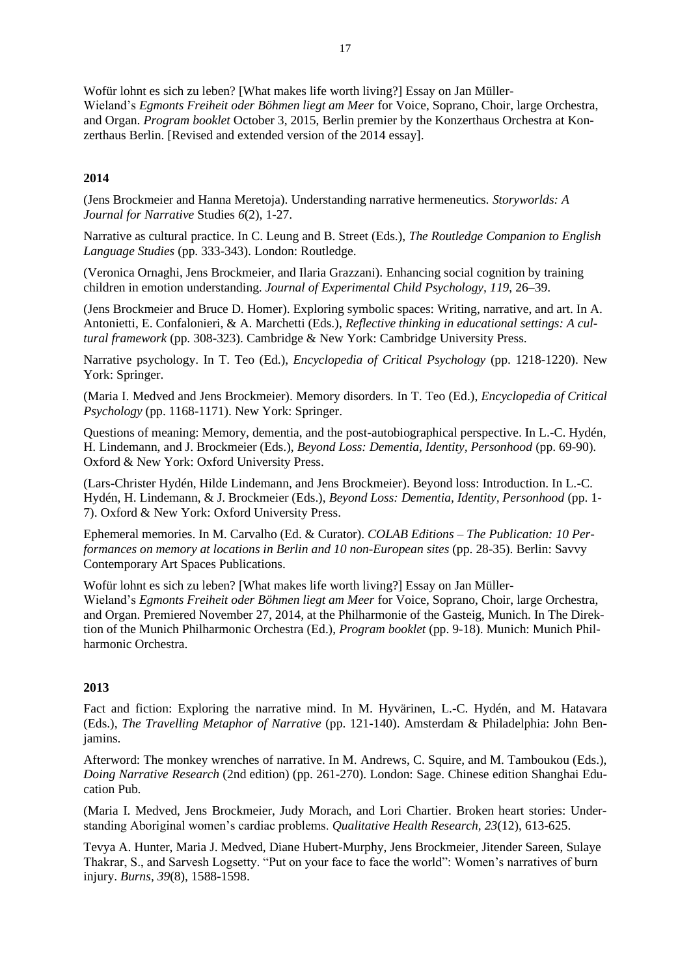Wofür lohnt es sich zu leben? [What makes life worth living?] Essay on Jan Müller-Wieland's *Egmonts Freiheit oder Böhmen liegt am Meer* for Voice, Soprano, Choir, large Orchestra, and Organ. *Program booklet* October 3, 2015, Berlin premier by the Konzerthaus Orchestra at Konzerthaus Berlin. [Revised and extended version of the 2014 essay].

## **2014**

(Jens Brockmeier and Hanna Meretoja). Understanding narrative hermeneutics*. Storyworlds: A Journal for Narrative* Studies *6*(2), 1-27.

Narrative as cultural practice. In C. Leung and B. Street (Eds.), *The Routledge Companion to English Language Studies* (pp. 333-343). London: Routledge.

(Veronica Ornaghi, Jens Brockmeier, and Ilaria Grazzani). Enhancing social cognition by training children in emotion understanding. *Journal of Experimental Child Psychology, 119*, 26–39.

(Jens Brockmeier and Bruce D. Homer). Exploring symbolic spaces: Writing, narrative, and art. In A. Antonietti, E. Confalonieri, & A. Marchetti (Eds.), *Reflective thinking in educational settings: A cultural framework* (pp. 308-323). Cambridge & New York: Cambridge University Press.

Narrative psychology. In T. Teo (Ed.), *Encyclopedia of Critical Psychology* (pp. 1218-1220). New York: Springer.

(Maria I. Medved and Jens Brockmeier). Memory disorders. In T. Teo (Ed.), *Encyclopedia of Critical Psychology* (pp. 1168-1171). New York: Springer.

Questions of meaning: Memory, dementia, and the post-autobiographical perspective. In L.-C. Hydén, H. Lindemann, and J. Brockmeier (Eds.), *Beyond Loss: Dementia, Identity, Personhood* (pp. 69-90). Oxford & New York: Oxford University Press.

(Lars-Christer Hydén, Hilde Lindemann, and Jens Brockmeier). Beyond loss: Introduction. In L.-C. Hydén, H. Lindemann, & J. Brockmeier (Eds.), *Beyond Loss: Dementia, Identity, Personhood* (pp. 1- 7). Oxford & New York: Oxford University Press.

Ephemeral memories. In M. Carvalho (Ed. & Curator). *COLAB Editions – The Publication: 10 Performances on memory at locations in Berlin and 10 non-European sites* (pp. 28-35). Berlin: Savvy Contemporary Art Spaces Publications.

Wofür lohnt es sich zu leben? [What makes life worth living?] Essay on Jan Müller-Wieland's *Egmonts Freiheit oder Böhmen liegt am Meer* for Voice, Soprano, Choir, large Orchestra, and Organ. Premiered November 27, 2014, at the Philharmonie of the Gasteig, Munich. In The Direktion of the Munich Philharmonic Orchestra (Ed.), *Program booklet* (pp. 9-18). Munich: Munich Philharmonic Orchestra.

### **2013**

Fact and fiction: Exploring the narrative mind. In M. Hyvärinen, L.-C. Hydén, and M. Hatavara (Eds.), *The Travelling Metaphor of Narrative* (pp. 121-140). Amsterdam & Philadelphia: John Benjamins.

Afterword: The monkey wrenches of narrative. In M. Andrews, C. Squire, and M. Tamboukou (Eds.), *Doing Narrative Research* (2nd edition) (pp. 261-270). London: Sage. Chinese edition Shanghai Education Pub.

(Maria I. Medved, Jens Brockmeier, Judy Morach, and Lori Chartier. Broken heart stories: Understanding Aboriginal women's cardiac problems. *Qualitative Health Research, 23*(12), 613-625.

Tevya A. Hunter, Maria J. Medved, Diane Hubert-Murphy, Jens Brockmeier, Jitender Sareen, Sulaye Thakrar, S., and Sarvesh Logsetty. "Put on your face to face the world": Women's narratives of burn injury. *Burns, 39*(8), 1588-1598.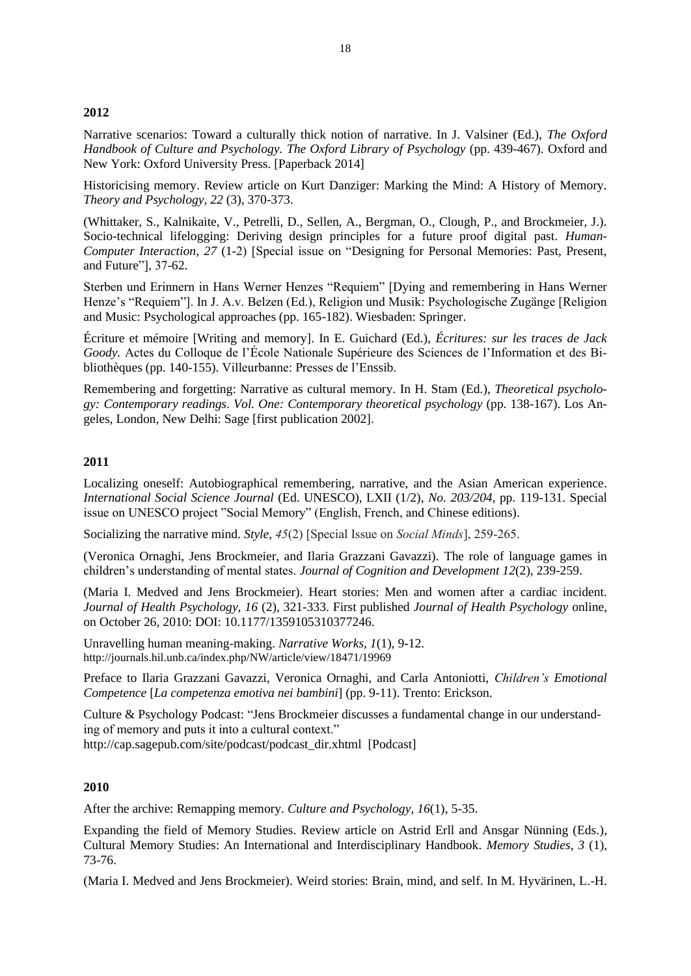## **2012**

Narrative scenarios: Toward a culturally thick notion of narrative. In J. Valsiner (Ed.), *The Oxford Handbook of Culture and Psychology. The Oxford Library of Psychology* (pp. 439-467). Oxford and New York: Oxford University Press. [Paperback 2014]

Historicising memory. Review article on Kurt Danziger: Marking the Mind: A History of Memory. *Theory and Psychology, 22* (3), 370-373.

(Whittaker, S., Kalnikaite, V., Petrelli, D., Sellen, A., Bergman, O., Clough, P., and Brockmeier, J.). Socio-technical lifelogging: Deriving design principles for a future proof digital past. *Human-Computer Interaction*, *27* (1-2) [Special issue on "Designing for Personal Memories: Past, Present, and Future"], 37-62.

Sterben und Erinnern in Hans Werner Henzes "Requiem" [Dying and remembering in Hans Werner Henze's "Requiem"]. In J. A.v. Belzen (Ed.), Religion und Musik: Psychologische Zugänge [Religion and Music: Psychological approaches (pp. 165-182). Wiesbaden: Springer.

Écriture et mémoire [Writing and memory]. In E. Guichard (Ed.), *Écritures: sur les traces de Jack Goody.* Actes du Colloque de l'École Nationale Supérieure des Sciences de l'Information et des Bibliothèques (pp. 140-155). Villeurbanne: Presses de l'Enssib.

Remembering and forgetting: Narrative as cultural memory. In H. Stam (Ed.), *Theoretical psychology: Contemporary readings*. *Vol. One: Contemporary theoretical psychology* (pp. 138-167). Los Angeles, London, New Delhi: Sage [first publication 2002].

### **2011**

Localizing oneself: Autobiographical remembering, narrative, and the Asian American experience. *International Social Science Journal* (Ed. UNESCO), LXII (1/2), *No. 203/204*, pp. 119-131. Special issue on UNESCO project "Social Memory" (English, French, and Chinese editions).

Socializing the narrative mind. *Style, 45*(2) [Special Issue on *Social Minds*], 259-265.

(Veronica Ornaghi, Jens Brockmeier, and Ilaria Grazzani Gavazzi). The role of language games in children's understanding of mental states. *Journal of Cognition and Development 12*(2), 239-259.

(Maria I. Medved and Jens Brockmeier). Heart stories: Men and women after a cardiac incident. *Journal of Health Psychology, 16* (2)*,* 321-333. First published *Journal of Health Psychology* online, on October 26, 2010: DOI: 10.1177/1359105310377246.

Unravelling human meaning-making. *Narrative Works, 1*(1)*,* 9-12. <http://journals.hil.unb.ca/index.php/NW/article/view/18471/19969>

Preface to Ilaria Grazzani Gavazzi, Veronica Ornaghi, and Carla Antoniotti, *Children's Emotional Competence* [*La competenza emotiva nei bambini*] (pp. 9-11). Trento: Erickson.

Culture & Psychology Podcast: "Jens Brockmeier discusses a fundamental change in our understanding of memory and puts it into a cultural context."

[http://cap.sagepub.com/site/podcast/podcast\\_dir.xhtml](http://cap.sagepub.com/site/podcast/podcast_dir.xhtml) [Podcast]

### **2010**

After the archive: Remapping memory. *Culture and Psychology, 16*(1), 5-35.

Expanding the field of Memory Studies. Review article on Astrid Erll and Ansgar Nünning (Eds*.*)*,*  Cultural Memory Studies: An International and Interdisciplinary Handbook. *Memory Studies, 3* (1), 73-76.

(Maria I. Medved and Jens Brockmeier). Weird stories: Brain, mind, and self. In M. Hyvärinen, L.-H.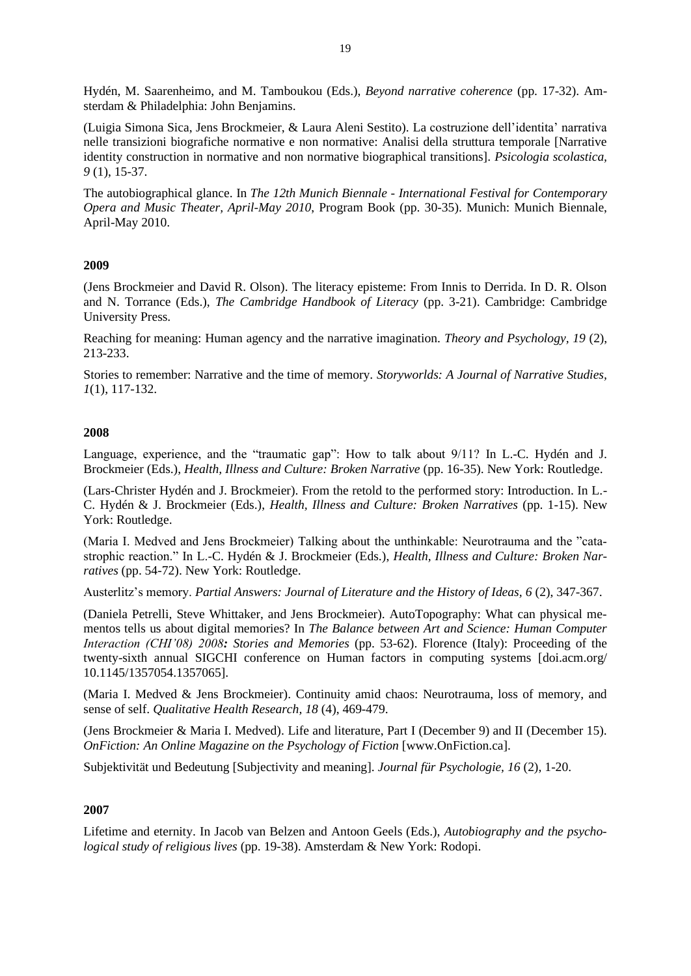Hydén, M. Saarenheimo, and M. Tamboukou (Eds.), *Beyond narrative coherence* (pp. 17-32). Amsterdam & Philadelphia: John Benjamins.

(Luigia Simona Sica, Jens Brockmeier, & Laura Aleni Sestito). La costruzione dell'identita' narrativa nelle transizioni biografiche normative e non normative: Analisi della struttura temporale [Narrative identity construction in normative and non normative biographical transitions]. *Psicologia scolastica, 9* (1), 15-37.

The autobiographical glance. In *The 12th Munich Biennale - International Festival for Contemporary Opera and Music Theater, April-May 2010*, Program Book (pp. 30-35). Munich: Munich Biennale, April-May 2010.

## **2009**

(Jens Brockmeier and David R. Olson). The literacy episteme: From Innis to Derrida. In D. R. Olson and N. Torrance (Eds.), *The Cambridge Handbook of Literacy* (pp. 3-21). Cambridge: Cambridge University Press.

Reaching for meaning: Human agency and the narrative imagination. *Theory and Psychology, 19* (2), 213-233.

Stories to remember: Narrative and the time of memory. *Storyworlds: A Journal of Narrative Studies, 1*(1), 117-132.

### **2008**

Language, experience, and the "traumatic gap": How to talk about 9/11? In L.-C. Hydén and J. Brockmeier (Eds.), *Health, Illness and Culture: Broken Narrative* (pp. 16-35). New York: Routledge.

(Lars-Christer Hydén and J. Brockmeier). From the retold to the performed story: Introduction. In L.- C. Hydén & J. Brockmeier (Eds.), *Health, Illness and Culture: Broken Narratives* (pp. 1-15). New York: Routledge.

(Maria I. Medved and Jens Brockmeier) Talking about the unthinkable: Neurotrauma and the "catastrophic reaction." In L.-C. Hydén & J. Brockmeier (Eds.), *Health, Illness and Culture: Broken Narratives* (pp. 54-72). New York: Routledge.

Austerlitz's memory. *Partial Answers: Journal of Literature and the History of Ideas, 6 (2), 347-367.* 

(Daniela Petrelli, Steve Whittaker, and Jens Brockmeier). AutoTopography: What can physical mementos tells us about digital memories? In *The Balance between Art and Science: Human Computer Interaction (CHI'08) 2008: Stories and Memories* (pp. 53-62). Florence (Italy): Proceeding of the twenty-sixth annual SIGCHI conference on Human factors in computing systems [\[doi.acm.org/](http://doi.acm.org/10.1145/1357054.1357065)  [10.1145/1357054.1357065\]](http://doi.acm.org/10.1145/1357054.1357065).

(Maria I. Medved & Jens Brockmeier). Continuity amid chaos: Neurotrauma, loss of memory, and sense of self. *Qualitative Health Research, 18* (4), 469-479.

(Jens Brockmeier & Maria I. Medved). Life and literature, Part I (December 9) and II (December 15). *OnFiction: An Online Magazine on the Psychology of Fiction* [www.OnFiction.ca].

Subjektivität und Bedeutung [Subjectivity and meaning]. *Journal für Psychologie, 16* (2), 1-20.

### **2007**

Lifetime and eternity. In Jacob van Belzen and Antoon Geels (Eds.), *Autobiography and the psychological study of religious lives* (pp. 19-38). Amsterdam & New York: Rodopi.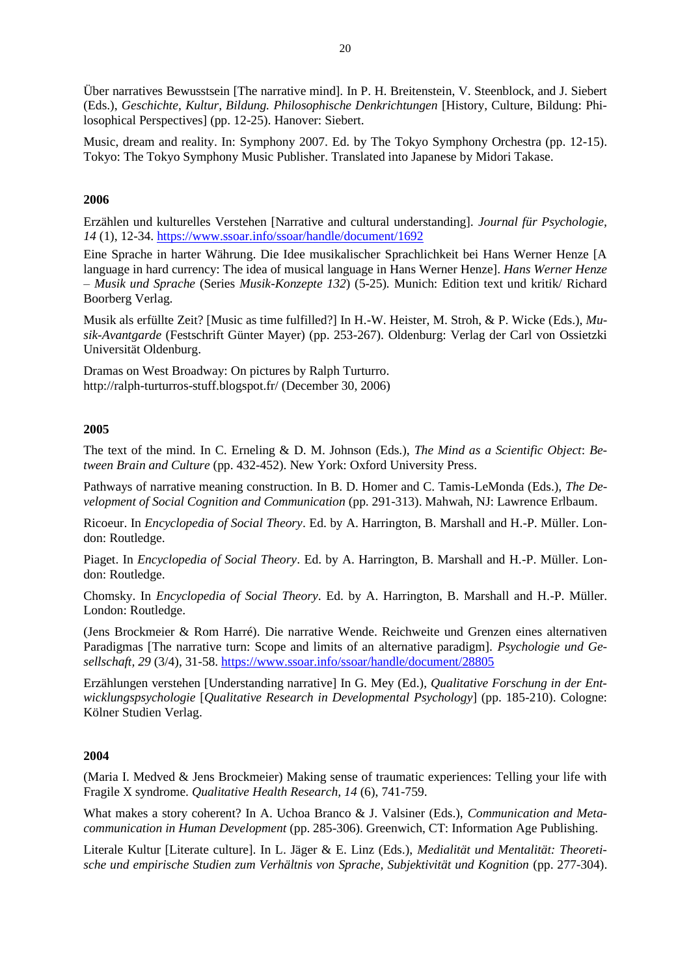Über narratives Bewusstsein [The narrative mind]. In P. H. Breitenstein, V. Steenblock, and J. Siebert (Eds.), *Geschichte, Kultur, Bildung. Philosophische Denkrichtungen* [History, Culture, Bildung: Philosophical Perspectives] (pp. 12-25). Hanover: Siebert.

Music, dream and reality. In: Symphony 2007. Ed. by The Tokyo Symphony Orchestra (pp. 12-15). Tokyo: The Tokyo Symphony Music Publisher. Translated into Japanese by Midori Takase.

# **2006**

Erzählen und kulturelles Verstehen [Narrative and cultural understanding]. *Journal für Psychologie, 14* (1), 12-34. <https://www.ssoar.info/ssoar/handle/document/1692>

Eine Sprache in harter Währung. Die Idee musikalischer Sprachlichkeit bei Hans Werner Henze [A language in hard currency: The idea of musical language in Hans Werner Henze]. *Hans Werner Henze – Musik und Sprache* (Series *Musik-Konzepte 132*) (5-25)*.* Munich: Edition text und kritik/ Richard Boorberg Verlag.

Musik als erfüllte Zeit? [Music as time fulfilled?] In H.-W. Heister, M. Stroh, & P. Wicke (Eds.), *Musik-Avantgarde* (Festschrift Günter Mayer) (pp. 253-267). Oldenburg: Verlag der Carl von Ossietzki Universität Oldenburg.

Dramas on West Broadway: On pictures by Ralph Turturro. <http://ralph-turturros-stuff.blogspot.fr/> (December 30, 2006)

## **2005**

The text of the mind. In C. Erneling & D. M. Johnson (Eds.), *The Mind as a Scientific Object*: *Between Brain and Culture* (pp. 432-452). New York: Oxford University Press.

Pathways of narrative meaning construction. In B. D. Homer and C. Tamis-LeMonda (Eds.), *The Development of Social Cognition and Communication* (pp. 291-313). Mahwah, NJ: Lawrence Erlbaum.

Ricoeur. In *Encyclopedia of Social Theory*. Ed. by A. Harrington, B. Marshall and H.-P. Müller. London: Routledge.

Piaget. In *Encyclopedia of Social Theory*. Ed. by A. Harrington, B. Marshall and H.-P. Müller. London: Routledge.

Chomsky. In *Encyclopedia of Social Theory*. Ed. by A. Harrington, B. Marshall and H.-P. Müller. London: Routledge.

(Jens Brockmeier & Rom Harré). Die narrative Wende. Reichweite und Grenzen eines alternativen Paradigmas [The narrative turn: Scope and limits of an alternative paradigm]. *Psychologie und Gesellschaft, 29* (3/4), 31-58.<https://www.ssoar.info/ssoar/handle/document/28805>

Erzählungen verstehen [Understanding narrative] In G. Mey (Ed.), *Qualitative Forschung in der Entwicklungspsychologie* [*Qualitative Research in Developmental Psychology*] (pp. 185-210). Cologne: Kölner Studien Verlag.

### **2004**

(Maria I. Medved & Jens Brockmeier) Making sense of traumatic experiences: Telling your life with Fragile X syndrome. *Qualitative Health Research, 14* (6), 741-759.

What makes a story coherent? In A. Uchoa Branco & J. Valsiner (Eds.), *Communication and Metacommunication in Human Development* (pp. 285-306). Greenwich, CT: Information Age Publishing.

Literale Kultur [Literate culture]. In L. Jäger & E. Linz (Eds.), *Medialität und Mentalität: Theoretische und empirische Studien zum Verhältnis von Sprache, Subjektivität und Kognition* (pp. 277-304).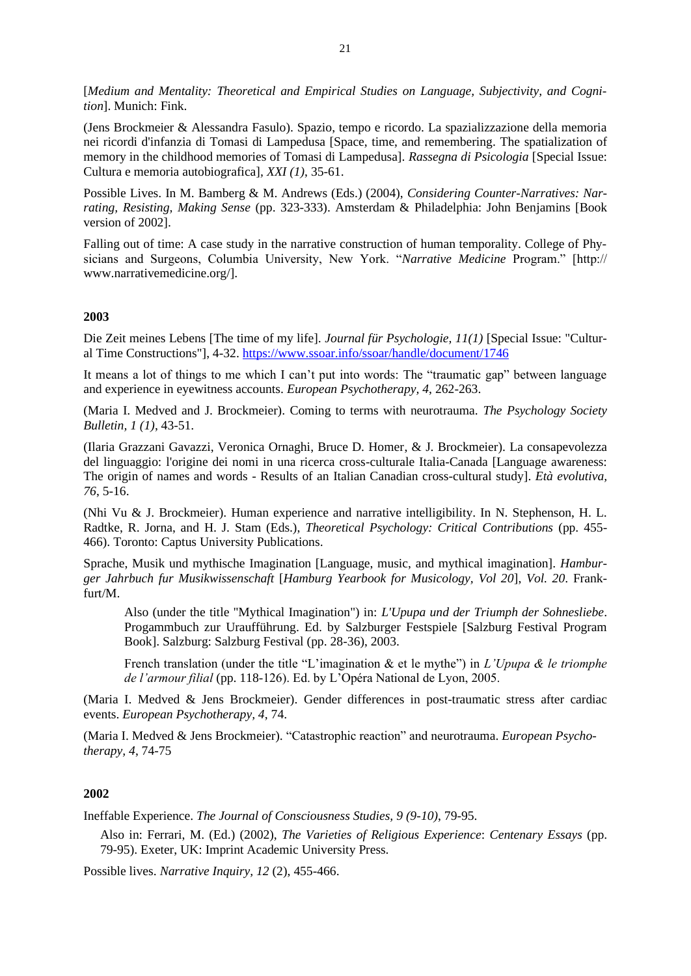[*Medium and Mentality: Theoretical and Empirical Studies on Language, Subjectivity, and Cognition*]. Munich: Fink.

(Jens Brockmeier & Alessandra Fasulo). Spazio, tempo e ricordo. La spazializzazione della memoria nei ricordi d'infanzia di Tomasi di Lampedusa [Space, time, and remembering. The spatialization of memory in the childhood memories of Tomasi di Lampedusa]. *Rassegna di Psicologia* [Special Issue: Cultura e memoria autobiografica]*, XXI (1)*, 35-61.

Possible Lives. In M. Bamberg & M. Andrews (Eds.) (2004), *Considering Counter-Narratives: Narrating, Resisting, Making Sense* (pp. 323-333). Amsterdam & Philadelphia: John Benjamins [Book version of 2002].

Falling out of time: A case study in the narrative construction of human temporality. College of Physicians and Surgeons, Columbia University, New York. "*Narrative Medicine* Program." [http:// www.narrativemedicine.org/].

#### **2003**

Die Zeit meines Lebens [The time of my life]. *Journal für Psychologie, 11(1)* [Special Issue: "Cultural Time Constructions"], 4-32. <https://www.ssoar.info/ssoar/handle/document/1746>

It means a lot of things to me which I can't put into words: The "traumatic gap" between language and experience in eyewitness accounts. *European Psychotherapy, 4*, 262-263.

(Maria I. Medved and J. Brockmeier). Coming to terms with neurotrauma. *The Psychology Society Bulletin, 1 (1)*, 43-51.

(Ilaria Grazzani Gavazzi, Veronica Ornaghi, Bruce D. Homer, & J. Brockmeier). La consapevolezza del linguaggio: l'origine dei nomi in una ricerca cross-culturale Italia-Canada [Language awareness: The origin of names and words - Results of an Italian Canadian cross-cultural study]. *Età evolutiva, 76*, 5-16.

(Nhi Vu & J. Brockmeier). Human experience and narrative intelligibility. In N. Stephenson, H. L. Radtke, R. Jorna, and H. J. Stam (Eds.), *Theoretical Psychology: Critical Contributions* (pp. 455- 466). Toronto: Captus University Publications.

Sprache, Musik und mythische Imagination [Language, music, and mythical imagination]. *Hamburger Jahrbuch fur Musikwissenschaft* [*Hamburg Yearbook for Musicology, Vol 20*], *Vol. 20*. Frankfurt/M.

Also (under the title "Mythical Imagination") in: *L'Upupa und der Triumph der Sohnesliebe*. Progammbuch zur Uraufführung. Ed. by Salzburger Festspiele [Salzburg Festival Program Book]. Salzburg: Salzburg Festival (pp. 28-36), 2003.

French translation (under the title "L'imagination & et le mythe") in *L'Upupa & le triomphe de l'armour filial* (pp. 118-126). Ed. by L'Opéra National de Lyon, 2005.

(Maria I. Medved & Jens Brockmeier). Gender differences in post-traumatic stress after cardiac events. *European Psychotherapy, 4*, 74.

(Maria I. Medved & Jens Brockmeier). "Catastrophic reaction" and neurotrauma. *European Psychotherapy, 4*, 74-75

# **2002**

Ineffable Experience. *The Journal of Consciousness Studies, 9 (9-10)*, 79-95.

Also in: Ferrari, M. (Ed.) (2002), *The Varieties of Religious Experience*: *Centenary Essays* (pp. 79-95). Exeter, UK: Imprint Academic University Press.

Possible lives. *Narrative Inquiry, 12* (2), 455-466.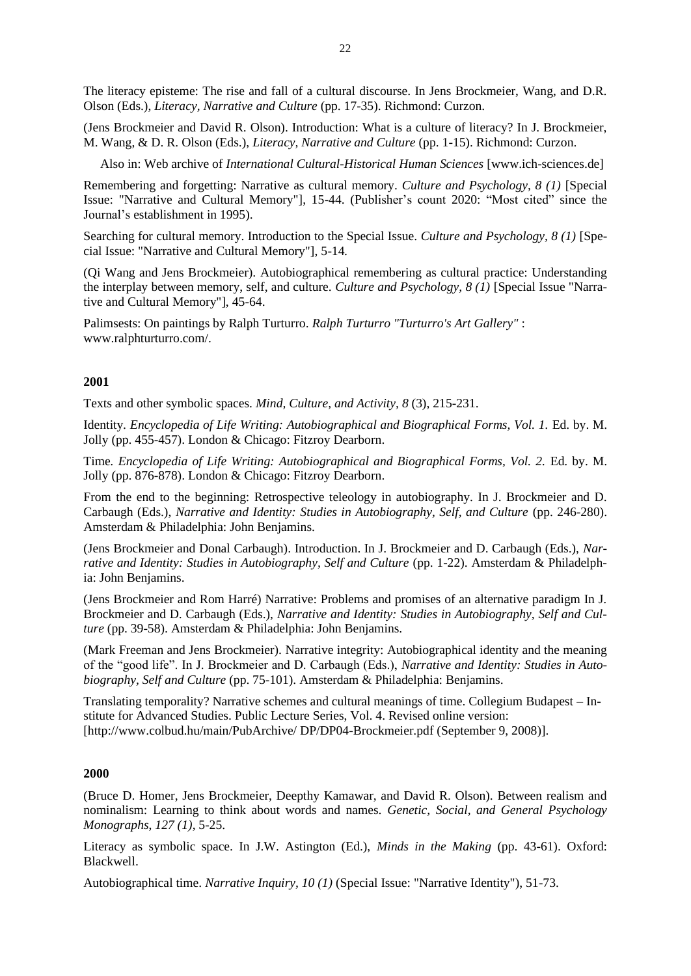The literacy episteme: The rise and fall of a cultural discourse. In Jens Brockmeier, Wang, and D.R. Olson (Eds.), *Literacy, Narrative and Culture* (pp. 17-35). Richmond: Curzon.

(Jens Brockmeier and David R. Olson). Introduction: What is a culture of literacy? In J. Brockmeier, M. Wang, & D. R. Olson (Eds.), *Literacy, Narrative and Culture* (pp. 1-15). Richmond: Curzon.

Also in: Web archive of *International Cultural-Historical Human Sciences* [www.ich-sciences.de]

Remembering and forgetting: Narrative as cultural memory. *Culture and Psychology, 8 (1)* [Special Issue: "Narrative and Cultural Memory"], 15-44. (Publisher's count 2020: "Most cited" since the Journal's establishment in 1995).

Searching for cultural memory. Introduction to the Special Issue. *Culture and Psychology, 8 (1)* [Special Issue: "Narrative and Cultural Memory"], 5-14*.* 

(Qi Wang and Jens Brockmeier). Autobiographical remembering as cultural practice: Understanding the interplay between memory, self, and culture. *Culture and Psychology, 8 (1)* [Special Issue "Narrative and Cultural Memory"], 45-64.

Palimsests: On paintings by Ralph Turturro. *Ralph Turturro "Turturro's Art Gallery"* : www.ralphturturro.com/.

## **2001**

Texts and other symbolic spaces. *Mind, Culture, and Activity, 8* (3), 215-231.

Identity. *Encyclopedia of Life Writing: Autobiographical and Biographical Forms, Vol. 1.* Ed. by. M. Jolly (pp. 455-457). London & Chicago: Fitzroy Dearborn.

Time. *Encyclopedia of Life Writing: Autobiographical and Biographical Forms, Vol. 2. Ed. by. M.* Jolly (pp. 876-878). London & Chicago: Fitzroy Dearborn.

From the end to the beginning: Retrospective teleology in autobiography. In J. Brockmeier and D. Carbaugh (Eds.), *Narrative and Identity: Studies in Autobiography, Self, and Culture* (pp. 246-280). Amsterdam & Philadelphia: John Benjamins.

(Jens Brockmeier and Donal Carbaugh). Introduction. In J. Brockmeier and D. Carbaugh (Eds.), *Narrative and Identity: Studies in Autobiography, Self and Culture* (pp. 1-22). Amsterdam & Philadelphia: John Benjamins.

(Jens Brockmeier and Rom Harré) Narrative: Problems and promises of an alternative paradigm In J. Brockmeier and D. Carbaugh (Eds.), *Narrative and Identity: Studies in Autobiography, Self and Culture* (pp. 39-58). Amsterdam & Philadelphia: John Benjamins.

(Mark Freeman and Jens Brockmeier). Narrative integrity: Autobiographical identity and the meaning of the "good life". In J. Brockmeier and D. Carbaugh (Eds.), *Narrative and Identity: Studies in Autobiography, Self and Culture* (pp. 75-101). Amsterdam & Philadelphia: Benjamins.

Translating temporality? Narrative schemes and cultural meanings of time. Collegium Budapest – Institute for Advanced Studies. Public Lecture Series, Vol. 4. Revised online version: [http://www.colbud.hu/main/PubArchive/ DP/DP04-Brockmeier.pdf (September 9, 2008)].

#### **2000**

(Bruce D. Homer, Jens Brockmeier, Deepthy Kamawar, and David R. Olson). Between realism and nominalism: Learning to think about words and names*. Genetic, Social, and General Psychology Monographs*, *127 (1)*, 5-25.

Literacy as symbolic space. In J.W. Astington (Ed.), *Minds in the Making* (pp. 43-61). Oxford: Blackwell.

Autobiographical time. *Narrative Inquiry, 10 (1)* (Special Issue: "Narrative Identity"), 51-73.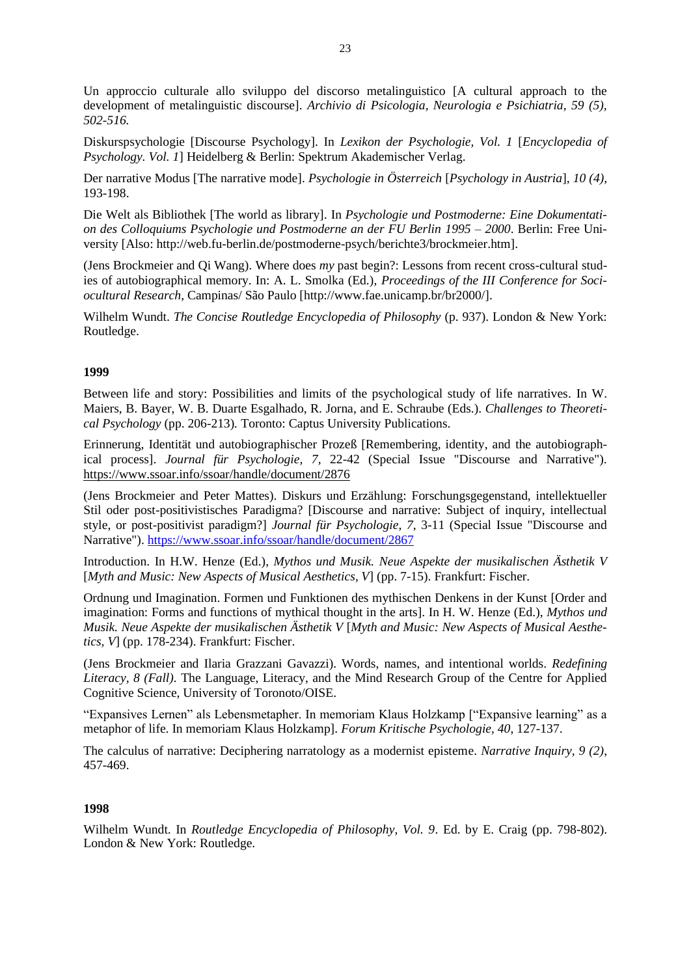Un approccio culturale allo sviluppo del discorso metalinguistico [A cultural approach to the development of metalinguistic discourse]. *Archivio di Psicologia, Neurologia e Psichiatria, 59 (5), 502-516.*

Diskurspsychologie [Discourse Psychology]. In *Lexikon der Psychologie, Vol. 1* [*Encyclopedia of Psychology. Vol. 1*] Heidelberg & Berlin: Spektrum Akademischer Verlag.

Der narrative Modus [The narrative mode]. *Psychologie in Österreich* [*Psychology in Austria*], *10 (4)*, 193-198.

Die Welt als Bibliothek [The world as library]. In *Psychologie und Postmoderne: Eine Dokumentation des Colloquiums Psychologie und Postmoderne an der FU Berlin 1995 – 2000*. Berlin: Free University [Also: http://web.fu-berlin.de/postmoderne-psych/berichte3/brockmeier.htm].

(Jens Brockmeier and Qi Wang). Where does *my* past begin?: Lessons from recent cross-cultural studies of autobiographical memory. In: A. L. Smolka (Ed.), *Proceedings of the III Conference for Sociocultural Research*, Campinas/ São Paulo [http://www.fae.unicamp.br/br2000/].

Wilhelm Wundt. *The Concise Routledge Encyclopedia of Philosophy* (p. 937). London & New York: Routledge.

### **1999**

Between life and story: Possibilities and limits of the psychological study of life narratives*.* In W. Maiers, B. Bayer, W. B. Duarte Esgalhado, R. Jorna, and E. Schraube (Eds.). *Challenges to Theoretical Psychology* (pp. 206-213)*.* Toronto: Captus University Publications.

Erinnerung, Identität und autobiographischer Prozeß [Remembering, identity, and the autobiographical process]. *Journal für Psychologie, 7*, 22-42 (Special Issue "Discourse and Narrative"). <https://www.ssoar.info/ssoar/handle/document/2876>

(Jens Brockmeier and Peter Mattes). Diskurs und Erzählung: Forschungsgegenstand, intellektueller Stil oder post-positivistisches Paradigma? [Discourse and narrative: Subject of inquiry, intellectual style, or post-positivist paradigm?] *Journal für Psychologie, 7*, 3-11 (Special Issue "Discourse and Narrative").<https://www.ssoar.info/ssoar/handle/document/2867>

Introduction. In H.W. Henze (Ed.), *Mythos und Musik. Neue Aspekte der musikalischen Ästhetik V* [*Myth and Music: New Aspects of Musical Aesthetics, V*] (pp. 7-15). Frankfurt: Fischer.

Ordnung und Imagination. Formen und Funktionen des mythischen Denkens in der Kunst [Order and imagination: Forms and functions of mythical thought in the arts]. In H. W. Henze (Ed.), *Mythos und Musik. Neue Aspekte der musikalischen Ästhetik V* [*Myth and Music: New Aspects of Musical Aesthetics, V*] (pp. 178-234). Frankfurt: Fischer.

(Jens Brockmeier and Ilaria Grazzani Gavazzi). Words, names, and intentional worlds. *Redefining Literacy, 8 (Fall).* The Language, Literacy, and the Mind Research Group of the Centre for Applied Cognitive Science, University of Toronoto/OISE.

"Expansives Lernen" als Lebensmetapher. In memoriam Klaus Holzkamp ["Expansive learning" as a metaphor of life. In memoriam Klaus Holzkamp]. *Forum Kritische Psychologie, 40*, 127-137.

The calculus of narrative: Deciphering narratology as a modernist episteme. *Narrative Inquiry, 9 (2)*, 457-469.

#### **1998**

Wilhelm Wundt. In *Routledge Encyclopedia of Philosophy, Vol. 9*. Ed. by E. Craig (pp. 798-802). London & New York: Routledge.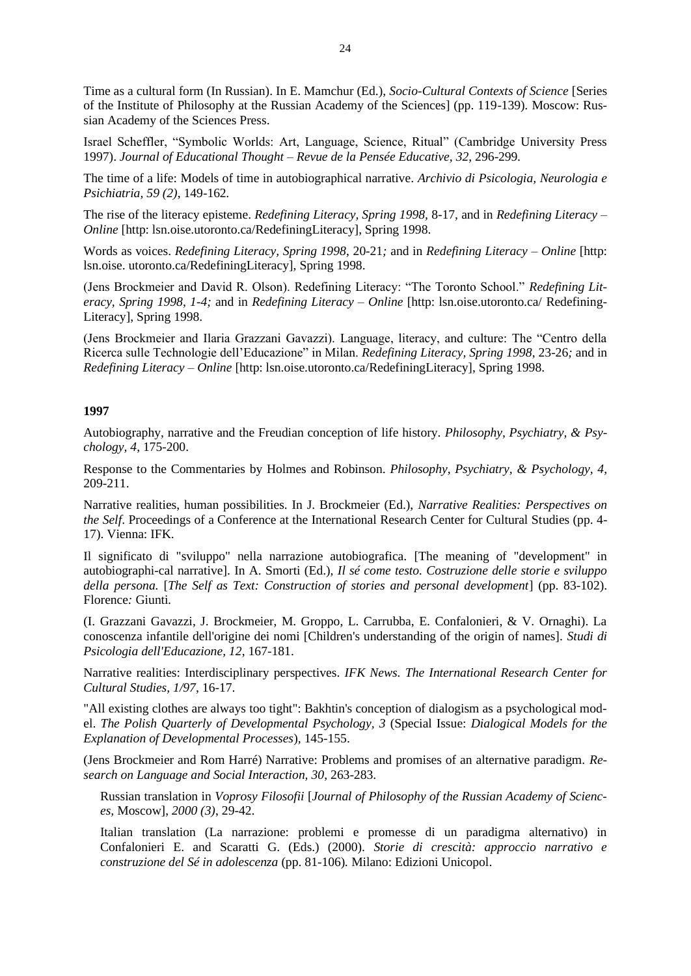Time as a cultural form (In Russian). In E. Mamchur (Ed.), *Socio-Cultural Contexts of Science* [Series of the Institute of Philosophy at the Russian Academy of the Sciences] (pp. 119-139)*.* Moscow: Russian Academy of the Sciences Press.

Israel Scheffler, "Symbolic Worlds: Art, Language, Science, Ritual" (Cambridge University Press 1997). *Journal of Educational Thought – Revue de la Pensée Educative, 32*, 296-299*.*

The time of a life: Models of time in autobiographical narrative. *Archivio di Psicologia, Neurologia e Psichiatria, 59 (2)*, 149-162*.*

The rise of the literacy episteme. *Redefining Literacy, Spring 1998,* 8-17, and in *Redefining Literacy – Online* [http: lsn.oise.utoronto.ca/RedefiningLiteracy], Spring 1998.

Words as voices. *Redefining Literacy, Spring 1998*, 20-21*;* and in *Redefining Literacy – Online* [http: lsn.oise. utoronto.ca/RedefiningLiteracy], Spring 1998.

(Jens Brockmeier and David R. Olson). Redefining Literacy: "The Toronto School." *Redefining Literacy, Spring 1998*, *1-4;* and in *Redefining Literacy – Online* [http: lsn.oise.utoronto.ca/ Redefining-Literacy], Spring 1998.

(Jens Brockmeier and Ilaria Grazzani Gavazzi). Language, literacy, and culture: The "Centro della Ricerca sulle Technologie dell'Educazione" in Milan. *Redefining Literacy, Spring 1998*, 23-26*;* and in *Redefining Literacy – Online* [http: lsn.oise.utoronto.ca/RedefiningLiteracy], Spring 1998.

#### **1997**

Autobiography, narrative and the Freudian conception of life history. *Philosophy, Psychiatry, & Psychology, 4*, 175-200.

Response to the Commentaries by Holmes and Robinson. *Philosophy, Psychiatry, & Psychology, 4*, 209-211.

Narrative realities, human possibilities. In J. Brockmeier (Ed.), *Narrative Realities: Perspectives on the Self.* Proceedings of a Conference at the International Research Center for Cultural Studies (pp. 4-17). Vienna: IFK.

Il significato di "sviluppo" nella narrazione autobiografica. [The meaning of "development" in autobiographi-cal narrative]. In A. Smorti (Ed.), *Il sé come testo. Costruzione delle storie e sviluppo della persona.* [*The Self as Text: Construction of stories and personal development*] (pp. 83-102). Florence*:* Giunti*.*

(I. Grazzani Gavazzi, J. Brockmeier, M. Groppo, L. Carrubba, E. Confalonieri, & V. Ornaghi). La conoscenza infantile dell'origine dei nomi [Children's understanding of the origin of names]. *Studi di Psicologia dell'Educazione, 12*, 167-181.

Narrative realities: Interdisciplinary perspectives. *IFK News. The International Research Center for Cultural Studies, 1/97*, 16-17.

"All existing clothes are always too tight": Bakhtin's conception of dialogism as a psychological model. *The Polish Quarterly of Developmental Psychology, 3* (Special Issue: *Dialogical Models for the Explanation of Developmental Processes*)*,* 145-155.

(Jens Brockmeier and Rom Harré) Narrative: Problems and promises of an alternative paradigm. *Research on Language and Social Interaction, 30*, 263-283.

Russian translation in *Voprosy Filosofii* [*Journal of Philosophy of the Russian Academy of Sciences,* Moscow], *2000 (3)*, 29-42.

Italian translation (La narrazione: problemi e promesse di un paradigma alternativo) in Confalonieri E. and Scaratti G. (Eds.) (2000). *Storie di crescità: approccio narrativo e construzione del Sé in adolescenza* (pp. 81-106)*.* Milano: Edizioni Unicopol.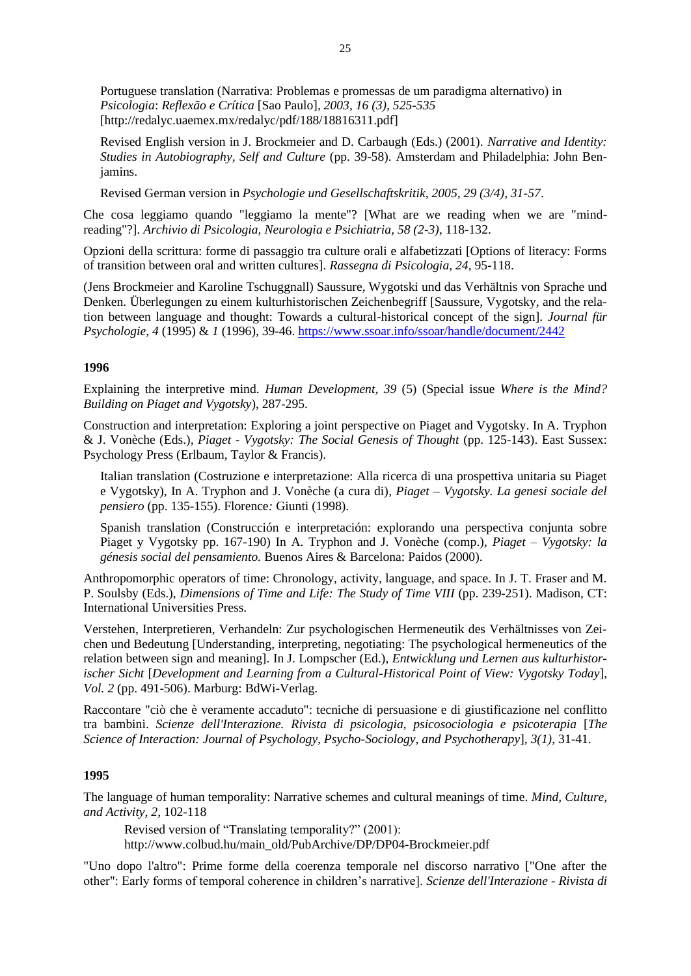Portuguese translation (Narrativa: Problemas e promessas de um paradigma alternativo) in *Psicologia*: *Reflexão e Crítica* [Sao Paulo]*, 2003, 16 (3), 525-535* [http://redalyc.uaemex.mx/redalyc/pdf/188/18816311.pdf]

Revised English version in J. Brockmeier and D. Carbaugh (Eds.) (2001). *Narrative and Identity: Studies in Autobiography, Self and Culture* (pp. 39-58). Amsterdam and Philadelphia: John Benjamins.

Revised German version in *Psychologie und Gesellschaftskritik, 2005, 29 (3/4), 31-57*.

Che cosa leggiamo quando "leggiamo la mente"? [What are we reading when we are "mindreading"?]. *Archivio di Psicologia, Neurologia e Psichiatria, 58 (2-3)*, 118-132.

Opzioni della scrittura: forme di passaggio tra culture orali e alfabetizzati [Options of literacy: Forms of transition between oral and written cultures]. *Rassegna di Psicologia, 24*, 95-118.

(Jens Brockmeier and Karoline Tschuggnall) Saussure, Wygotski und das Verhältnis von Sprache und Denken. Überlegungen zu einem kulturhistorischen Zeichenbegriff [Saussure, Vygotsky, and the relation between language and thought: Towards a cultural-historical concept of the sign]. *Journal für Psychologie, 4* (1995) & *1* (1996), 39-46. <https://www.ssoar.info/ssoar/handle/document/2442>

## **1996**

Explaining the interpretive mind. *Human Development, 39* (5) (Special issue *Where is the Mind? Building on Piaget and Vygotsky*), 287-295.

Construction and interpretation: Exploring a joint perspective on Piaget and Vygotsky. In A. Tryphon & J. Vonèche (Eds.)*, Piaget - Vygotsky: The Social Genesis of Thought* (pp. 125-143). East Sussex: Psychology Press (Erlbaum, Taylor & Francis).

Italian translation (Costruzione e interpretazione: Alla ricerca di una prospettiva unitaria su Piaget e Vygotsky), In A. Tryphon and J. Vonèche (a cura di)*, Piaget – Vygotsky. La genesi sociale del pensiero* (pp. 135-155). Florence*:* Giunti (1998).

Spanish translation (Construcción e interpretación: explorando una perspectiva conjunta sobre Piaget y Vygotsky pp. 167-190) In A. Tryphon and J. Vonèche (comp.), *Piaget – Vygotsky: la génesis social del pensamiento.* Buenos Aires & Barcelona: Paidos (2000).

Anthropomorphic operators of time: Chronology, activity, language, and space. In J. T. Fraser and M. P. Soulsby (Eds.), *Dimensions of Time and Life: The Study of Time VIII* (pp. 239-251). Madison, CT: International Universities Press.

Verstehen, Interpretieren, Verhandeln: Zur psychologischen Hermeneutik des Verhältnisses von Zeichen und Bedeutung [Understanding, interpreting, negotiating: The psychological hermeneutics of the relation between sign and meaning]. In J. Lompscher (Ed.), *Entwicklung und Lernen aus kulturhistorischer Sicht* [*Development and Learning from a Cultural-Historical Point of View: Vygotsky Today*], *Vol. 2* (pp. 491-506). Marburg: BdWi-Verlag.

Raccontare "ciò che è veramente accaduto": tecniche di persuasione e di giustificazione nel conflitto tra bambini. *Scienze dell'Interazione. Rivista di psicologia, psicosociologia e psicoterapia* [*The Science of Interaction: Journal of Psychology, Psycho-Sociology, and Psychotherapy*]*, 3(1)*, 31-41.

# **1995**

The language of human temporality: Narrative schemes and cultural meanings of time. *Mind, Culture, and Activity, 2*, 102-118

Revised version of "Translating temporality?" (2001): http://www.colbud.hu/main\_old/PubArchive/DP/DP04-Brockmeier.pdf

"Uno dopo l'altro": Prime forme della coerenza temporale nel discorso narrativo ["One after the other": Early forms of temporal coherence in children's narrative]. *Scienze dell'Interazione - Rivista di*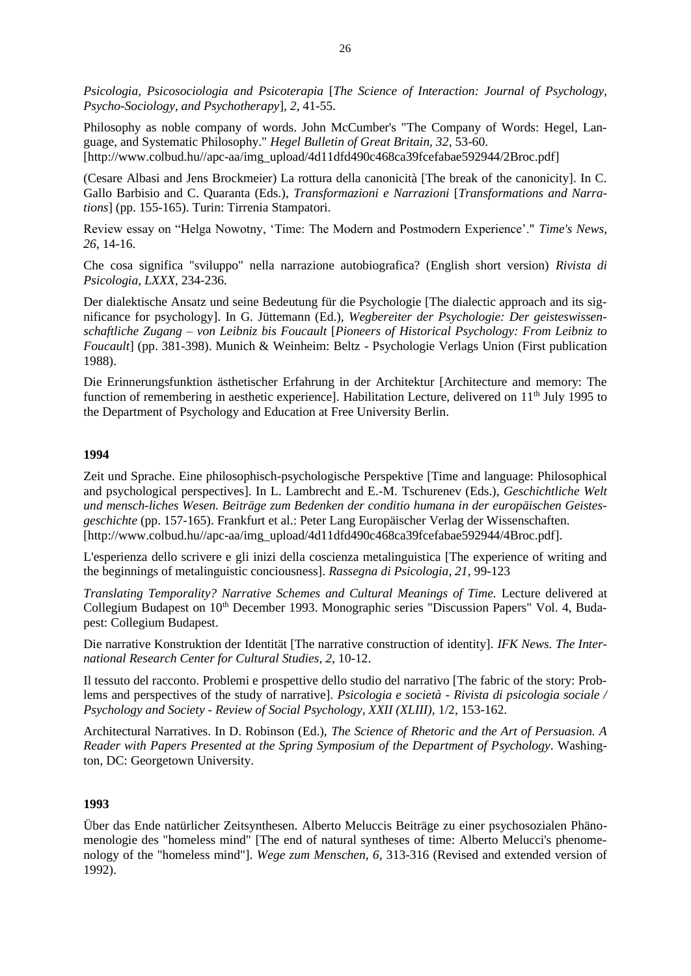*Psicologia, Psicosociologia and Psicoterapia* [*The Science of Interaction: Journal of Psychology, Psycho-Sociology, and Psychotherapy*]*, 2*, 41-55.

Philosophy as noble company of words. John McCumber's "The Company of Words: Hegel, Language, and Systematic Philosophy." *Hegel Bulletin of Great Britain, 32*, 53-60. [http://www.colbud.hu//apc-aa/img\_upload/4d11dfd490c468ca39fcefabae592944/2Broc.pdf]

(Cesare Albasi and Jens Brockmeier) La rottura della canonicità [The break of the canonicity]. In C. Gallo Barbisio and C. Quaranta (Eds.), *Transformazioni e Narrazioni* [*Transformations and Narrations*] (pp. 155-165). Turin: Tirrenia Stampatori.

Review essay on "Helga Nowotny, 'Time: The Modern and Postmodern Experience'." *Time's News, 26*, 14-16.

Che cosa significa "sviluppo" nella narrazione autobiografica? (English short version) *Rivista di Psicologia, LXXX*, 234-236.

Der dialektische Ansatz und seine Bedeutung für die Psychologie [The dialectic approach and its significance for psychology]. In G. Jüttemann (Ed.), *Wegbereiter der Psychologie: Der geisteswissenschaftliche Zugang – von Leibniz bis Foucault* [*Pioneers of Historical Psychology: From Leibniz to Foucault*] (pp. 381-398). Munich & Weinheim: Beltz - Psychologie Verlags Union (First publication 1988).

Die Erinnerungsfunktion ästhetischer Erfahrung in der Architektur [Architecture and memory: The function of remembering in aesthetic experience]. Habilitation Lecture, delivered on  $11<sup>th</sup>$  July 1995 to the Department of Psychology and Education at Free University Berlin.

## **1994**

Zeit und Sprache. Eine philosophisch-psychologische Perspektive [Time and language: Philosophical and psychological perspectives]. In L. Lambrecht and E.-M. Tschurenev (Eds.), *Geschichtliche Welt und mensch-liches Wesen. Beiträge zum Bedenken der conditio humana in der europäischen Geistesgeschichte* (pp. 157-165). Frankfurt et al.: Peter Lang Europäischer Verlag der Wissenschaften. [http://www.colbud.hu//apc-aa/img\_upload/4d11dfd490c468ca39fcefabae592944/4Broc.pdf].

L'esperienza dello scrivere e gli inizi della coscienza metalinguistica [The experience of writing and the beginnings of metalinguistic conciousness]. *Rassegna di Psicologia, 21*, 99-123

*Translating Temporality? Narrative Schemes and Cultural Meanings of Time.* Lecture delivered at Collegium Budapest on  $10<sup>th</sup>$  December 1993. Monographic series "Discussion Papers" Vol. 4, Budapest: Collegium Budapest.

Die narrative Konstruktion der Identität [The narrative construction of identity]. *IFK News. The International Research Center for Cultural Studies, 2*, 10-12.

Il tessuto del racconto. Problemi e prospettive dello studio del narrativo [The fabric of the story: Problems and perspectives of the study of narrative]. *Psicologia e società - Rivista di psicologia sociale / Psychology and Society - Review of Social Psychology, XXII (XLIII),* 1/2, 153-162.

Architectural Narratives. In D. Robinson (Ed.), *The Science of Rhetoric and the Art of Persuasion. A Reader with Papers Presented at the Spring Symposium of the Department of Psychology*. Washington, DC: Georgetown University.

## **1993**

Über das Ende natürlicher Zeitsynthesen. Alberto Meluccis Beiträge zu einer psychosozialen Phänomenologie des "homeless mind" [The end of natural syntheses of time: Alberto Melucci's phenomenology of the "homeless mind"]. *Wege zum Menschen, 6*, 313-316 (Revised and extended version of 1992).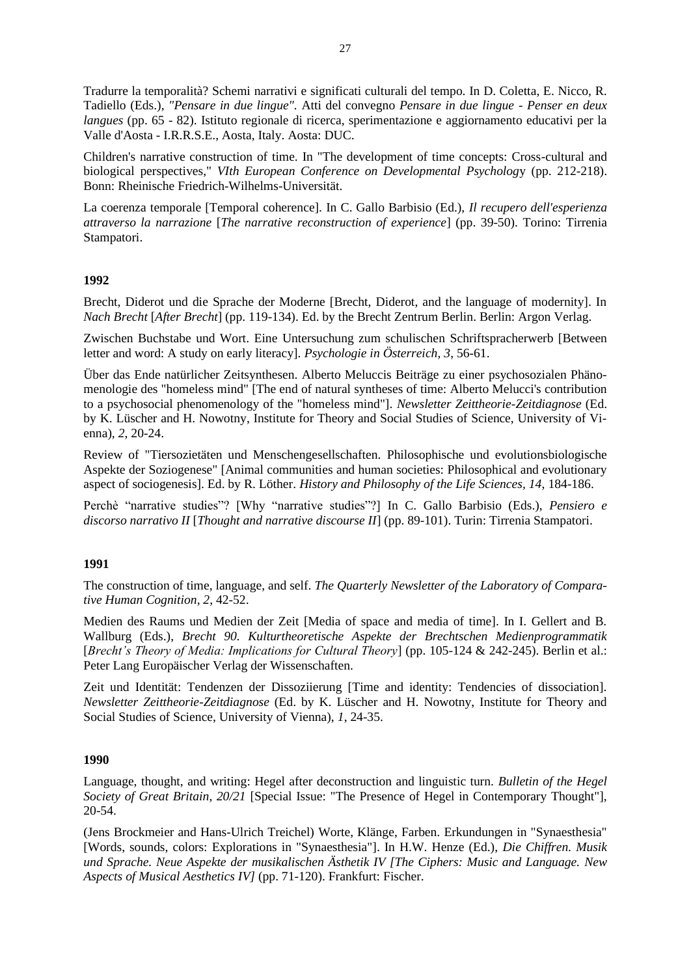Tradurre la temporalità? Schemi narrativi e significati culturali del tempo. In D. Coletta, E. Nicco, R. Tadiello (Eds.), *"Pensare in due lingue".* Atti del convegno *Pensare in due lingue* - *Penser en deux langues* (pp. 65 - 82). Istituto regionale di ricerca, sperimentazione e aggiornamento educativi per la Valle d'Aosta - I.R.R.S.E., Aosta, Italy. Aosta: DUC.

Children's narrative construction of time. In "The development of time concepts: Cross-cultural and biological perspectives," *VIth European Conference on Developmental Psycholog*y (pp. 212-218). Bonn: Rheinische Friedrich-Wilhelms-Universität.

La coerenza temporale [Temporal coherence]. In C. Gallo Barbisio (Ed.), *Il recupero dell'esperienza attraverso la narrazione* [*The narrative reconstruction of experience*] (pp. 39-50). Torino: Tirrenia Stampatori.

# **1992**

Brecht, Diderot und die Sprache der Moderne [Brecht, Diderot, and the language of modernity]. In *Nach Brecht* [*After Brecht*] (pp. 119-134). Ed. by the Brecht Zentrum Berlin. Berlin: Argon Verlag.

Zwischen Buchstabe und Wort. Eine Untersuchung zum schulischen Schriftspracherwerb [Between letter and word: A study on early literacy]. *Psychologie in Österreich, 3*, 56-61.

Über das Ende natürlicher Zeitsynthesen. Alberto Meluccis Beiträge zu einer psychosozialen Phänomenologie des "homeless mind" [The end of natural syntheses of time: Alberto Melucci's contribution to a psychosocial phenomenology of the "homeless mind"]. *Newsletter Zeittheorie-Zeitdiagnose* (Ed. by K. Lüscher and H. Nowotny, Institute for Theory and Social Studies of Science, University of Vienna), *2*, 20-24.

Review of "Tiersozietäten und Menschengesellschaften. Philosophische und evolutionsbiologische Aspekte der Soziogenese" [Animal communities and human societies: Philosophical and evolutionary aspect of sociogenesis]. Ed. by R. Löther. *History and Philosophy of the Life Sciences, 14*, 184-186.

Perchè "narrative studies"? [Why "narrative studies"?] In C. Gallo Barbisio (Eds.), *Pensiero e discorso narrativo II* [*Thought and narrative discourse II*] (pp. 89-101). Turin: Tirrenia Stampatori.

### **1991**

The construction of time, language, and self. *The Quarterly Newsletter of the Laboratory of Comparative Human Cognition, 2*, 42-52.

Medien des Raums und Medien der Zeit [Media of space and media of time]. In I. Gellert and B. Wallburg (Eds.), *Brecht 90. Kulturtheoretische Aspekte der Brechtschen Medienprogrammatik*  [*Brecht's Theory of Media: Implications for Cultural Theory*] (pp. 105-124 & 242-245). Berlin et al.: Peter Lang Europäischer Verlag der Wissenschaften.

Zeit und Identität: Tendenzen der Dissoziierung [Time and identity: Tendencies of dissociation]. *Newsletter Zeittheorie-Zeitdiagnose* (Ed. by K. Lüscher and H. Nowotny, Institute for Theory and Social Studies of Science, University of Vienna), *1*, 24-35.

### **1990**

Language, thought, and writing: Hegel after deconstruction and linguistic turn. *Bulletin of the Hegel Society of Great Britain, 20/21* [Special Issue: "The Presence of Hegel in Contemporary Thought"], 20-54.

(Jens Brockmeier and Hans-Ulrich Treichel) Worte, Klänge, Farben. Erkundungen in "Synaesthesia" [Words, sounds, colors: Explorations in "Synaesthesia"]. In H.W. Henze (Ed.), *Die Chiffren. Musik und Sprache. Neue Aspekte der musikalischen Ästhetik IV [The Ciphers: Music and Language. New Aspects of Musical Aesthetics IV]* (pp. 71-120). Frankfurt: Fischer.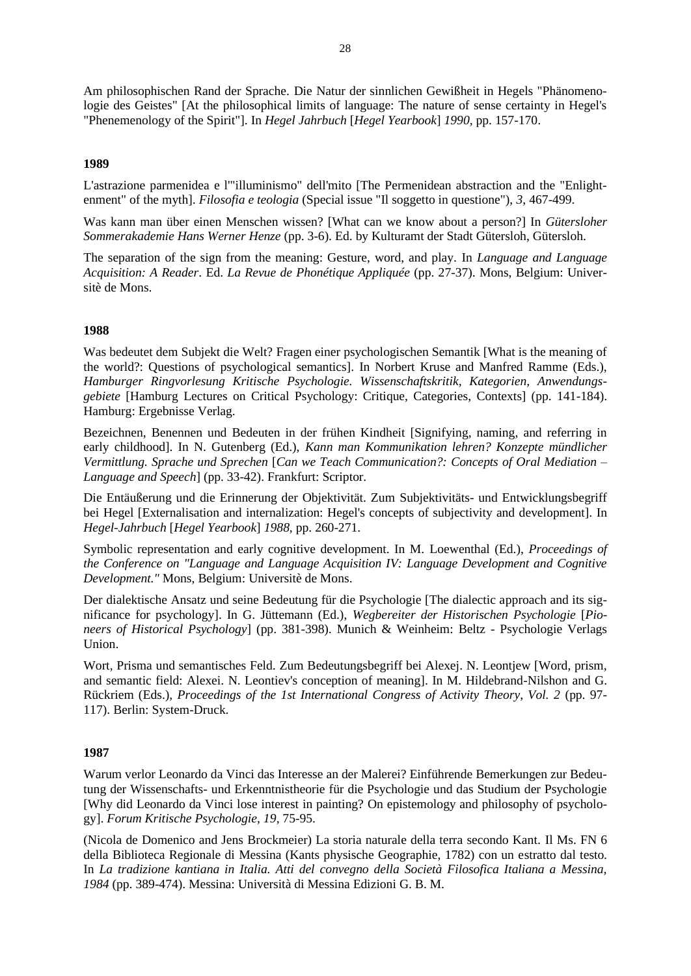Am philosophischen Rand der Sprache. Die Natur der sinnlichen Gewißheit in Hegels "Phänomenologie des Geistes" [At the philosophical limits of language: The nature of sense certainty in Hegel's "Phenemenology of the Spirit"]. In *Hegel Jahrbuch* [*Hegel Yearbook*] *1990*, pp. 157-170.

# **1989**

L'astrazione parmenidea e l'"illuminismo" dell'mito [The Permenidean abstraction and the "Enlightenment" of the myth]. *Filosofia e teologia* (Special issue "Il soggetto in questione"), *3*, 467-499.

Was kann man über einen Menschen wissen? [What can we know about a person?] In *Gütersloher Sommerakademie Hans Werner Henze* (pp. 3-6). Ed. by Kulturamt der Stadt Gütersloh, Gütersloh.

The separation of the sign from the meaning: Gesture, word, and play. In *Language and Language Acquisition: A Reader*. Ed. *La Revue de Phonétique Appliquée* (pp. 27-37). Mons, Belgium: Universitè de Mons.

### **1988**

Was bedeutet dem Subjekt die Welt? Fragen einer psychologischen Semantik [What is the meaning of the world?: Questions of psychological semantics]. In Norbert Kruse and Manfred Ramme (Eds.), *Hamburger Ringvorlesung Kritische Psychologie. Wissenschaftskritik, Kategorien, Anwendungsgebiete* [Hamburg Lectures on Critical Psychology: Critique, Categories, Contexts] (pp. 141-184). Hamburg: Ergebnisse Verlag.

Bezeichnen, Benennen und Bedeuten in der frühen Kindheit [Signifying, naming, and referring in early childhood]. In N. Gutenberg (Ed.), *Kann man Kommunikation lehren? Konzepte mündlicher Vermittlung. Sprache und Sprechen* [*Can we Teach Communication?: Concepts of Oral Mediation – Language and Speech*] (pp. 33-42). Frankfurt: Scriptor.

Die Entäußerung und die Erinnerung der Objektivität. Zum Subjektivitäts- und Entwicklungsbegriff bei Hegel [Externalisation and internalization: Hegel's concepts of subjectivity and development]. In *Hegel-Jahrbuch* [*Hegel Yearbook*] *1988*, pp. 260-271.

Symbolic representation and early cognitive development. In M. Loewenthal (Ed.), *Proceedings of the Conference on "Language and Language Acquisition IV: Language Development and Cognitive Development."* Mons, Belgium: Universitè de Mons.

Der dialektische Ansatz und seine Bedeutung für die Psychologie [The dialectic approach and its significance for psychology]. In G. Jüttemann (Ed.), *Wegbereiter der Historischen Psychologie* [*Pioneers of Historical Psychology*] (pp. 381-398). Munich & Weinheim: Beltz - Psychologie Verlags Union.

Wort, Prisma und semantisches Feld. Zum Bedeutungsbegriff bei Alexej. N. Leontjew [Word, prism, and semantic field: Alexei. N. Leontiev's conception of meaning]. In M. Hildebrand-Nilshon and G. Rückriem (Eds.), *Proceedings of the 1st International Congress of Activity Theory, Vol. 2* (pp. 97- 117). Berlin: System-Druck.

### **1987**

Warum verlor Leonardo da Vinci das Interesse an der Malerei? Einführende Bemerkungen zur Bedeutung der Wissenschafts- und Erkenntnistheorie für die Psychologie und das Studium der Psychologie [Why did Leonardo da Vinci lose interest in painting? On epistemology and philosophy of psychology]. *Forum Kritische Psychologie, 19*, 75-95.

(Nicola de Domenico and Jens Brockmeier) La storia naturale della terra secondo Kant. Il Ms. FN 6 della Biblioteca Regionale di Messina (Kants physische Geographie, 1782) con un estratto dal testo. In *La tradizione kantiana in Italia. Atti del convegno della Società Filosofica Italiana a Messina, 1984* (pp. 389-474). Messina: Università di Messina Edizioni G. B. M.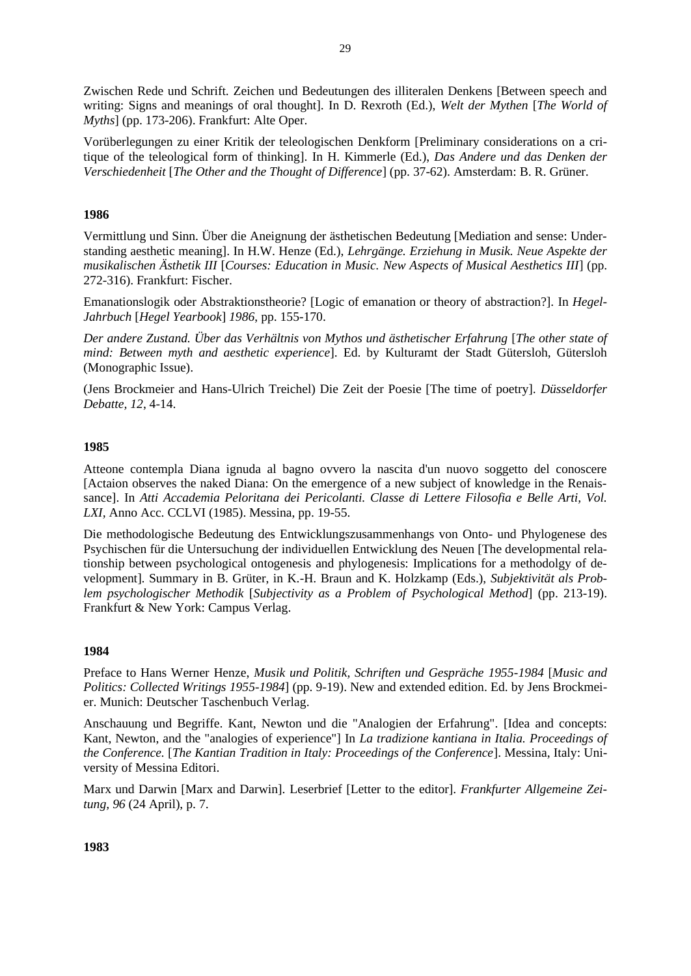Zwischen Rede und Schrift. Zeichen und Bedeutungen des illiteralen Denkens [Between speech and writing: Signs and meanings of oral thought]. In D. Rexroth (Ed.), *Welt der Mythen* [*The World of Myths*] (pp. 173-206). Frankfurt: Alte Oper.

Vorüberlegungen zu einer Kritik der teleologischen Denkform [Preliminary considerations on a critique of the teleological form of thinking]. In H. Kimmerle (Ed.), *Das Andere und das Denken der Verschiedenheit* [*The Other and the Thought of Difference*] (pp. 37-62). Amsterdam: B. R. Grüner.

## **1986**

Vermittlung und Sinn. Über die Aneignung der ästhetischen Bedeutung [Mediation and sense: Understanding aesthetic meaning]. In H.W. Henze (Ed.), *Lehrgänge. Erziehung in Musik. Neue Aspekte der musikalischen Ästhetik III* [*Courses: Education in Music. New Aspects of Musical Aesthetics III*] (pp. 272-316). Frankfurt: Fischer.

Emanationslogik oder Abstraktionstheorie? [Logic of emanation or theory of abstraction?]. In *Hegel-Jahrbuch* [*Hegel Yearbook*] *1986*, pp. 155-170.

*Der andere Zustand. Über das Verhältnis von Mythos und ästhetischer Erfahrung* [*The other state of mind: Between myth and aesthetic experience*]. Ed. by Kulturamt der Stadt Gütersloh, Gütersloh (Monographic Issue).

(Jens Brockmeier and Hans-Ulrich Treichel) Die Zeit der Poesie [The time of poetry]*. Düsseldorfer Debatte, 12*, 4-14.

### **1985**

Atteone contempla Diana ignuda al bagno ovvero la nascita d'un nuovo soggetto del conoscere [Actaion observes the naked Diana: On the emergence of a new subject of knowledge in the Renaissance]. In *Atti Accademia Peloritana dei Pericolanti. Classe di Lettere Filosofia e Belle Arti, Vol. LXI,* Anno Acc. CCLVI (1985). Messina, pp. 19-55.

Die methodologische Bedeutung des Entwicklungszusammenhangs von Onto- und Phylogenese des Psychischen für die Untersuchung der individuellen Entwicklung des Neuen [The developmental relationship between psychological ontogenesis and phylogenesis: Implications for a methodolgy of development]. Summary in B. Grüter, in K.-H. Braun and K. Holzkamp (Eds.), *Subjektivität als Problem psychologischer Methodik* [*Subjectivity as a Problem of Psychological Method*] (pp. 213-19). Frankfurt & New York: Campus Verlag.

### **1984**

Preface to Hans Werner Henze, *Musik und Politik, Schriften und Gespräche 1955-1984* [*Music and Politics: Collected Writings 1955-1984*] (pp. 9-19). New and extended edition. Ed. by Jens Brockmeier. Munich: Deutscher Taschenbuch Verlag.

Anschauung und Begriffe. Kant, Newton und die "Analogien der Erfahrung". [Idea and concepts: Kant, Newton, and the "analogies of experience"] In *La tradizione kantiana in Italia. Proceedings of the Conference.* [*The Kantian Tradition in Italy: Proceedings of the Conference*]. Messina, Italy: University of Messina Editori.

Marx und Darwin [Marx and Darwin]. Leserbrief [Letter to the editor]. *Frankfurter Allgemeine Zeitung, 96* (24 April), p. 7.

**1983**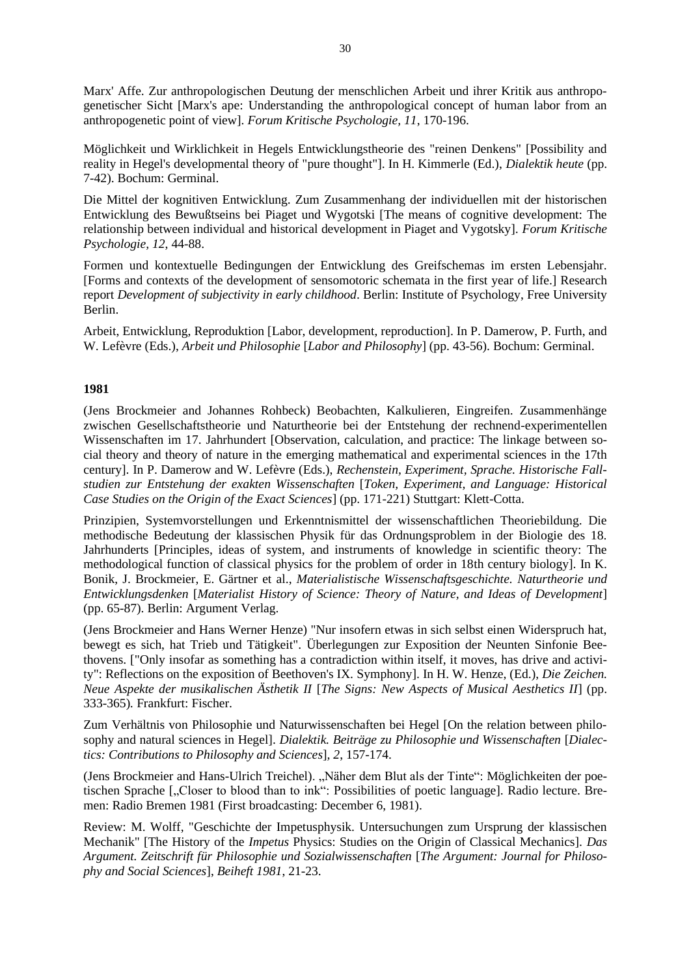Marx' Affe. Zur anthropologischen Deutung der menschlichen Arbeit und ihrer Kritik aus anthropogenetischer Sicht [Marx's ape: Understanding the anthropological concept of human labor from an anthropogenetic point of view]. *Forum Kritische Psychologie, 11*, 170-196.

Möglichkeit und Wirklichkeit in Hegels Entwicklungstheorie des "reinen Denkens" [Possibility and reality in Hegel's developmental theory of "pure thought"]. In H. Kimmerle (Ed.), *Dialektik heute* (pp. 7-42). Bochum: Germinal.

Die Mittel der kognitiven Entwicklung. Zum Zusammenhang der individuellen mit der historischen Entwicklung des Bewußtseins bei Piaget und Wygotski [The means of cognitive development: The relationship between individual and historical development in Piaget and Vygotsky]. *Forum Kritische Psychologie, 12*, 44-88.

Formen und kontextuelle Bedingungen der Entwicklung des Greifschemas im ersten Lebensjahr. [Forms and contexts of the development of sensomotoric schemata in the first year of life.] Research report *Development of subjectivity in early childhood*. Berlin: Institute of Psychology, Free University Berlin.

Arbeit, Entwicklung, Reproduktion [Labor, development, reproduction]. In P. Damerow, P. Furth, and W. Lefèvre (Eds.), *Arbeit und Philosophie* [*Labor and Philosophy*] (pp. 43-56). Bochum: Germinal.

## **1981**

(Jens Brockmeier and Johannes Rohbeck) Beobachten, Kalkulieren, Eingreifen. Zusammenhänge zwischen Gesellschaftstheorie und Naturtheorie bei der Entstehung der rechnend-experimentellen Wissenschaften im 17. Jahrhundert [Observation, calculation, and practice: The linkage between social theory and theory of nature in the emerging mathematical and experimental sciences in the 17th century]. In P. Damerow and W. Lefèvre (Eds.), *Rechenstein, Experiment, Sprache. Historische Fallstudien zur Entstehung der exakten Wissenschaften* [*Token, Experiment, and Language: Historical Case Studies on the Origin of the Exact Sciences*] (pp. 171-221) Stuttgart: Klett-Cotta.

Prinzipien, Systemvorstellungen und Erkenntnismittel der wissenschaftlichen Theoriebildung. Die methodische Bedeutung der klassischen Physik für das Ordnungsproblem in der Biologie des 18. Jahrhunderts [Principles, ideas of system, and instruments of knowledge in scientific theory: The methodological function of classical physics for the problem of order in 18th century biology]. In K. Bonik, J. Brockmeier, E. Gärtner et al., *Materialistische Wissenschaftsgeschichte. Naturtheorie und Entwicklungsdenken* [*Materialist History of Science: Theory of Nature, and Ideas of Development*] (pp. 65-87). Berlin: Argument Verlag.

(Jens Brockmeier and Hans Werner Henze) "Nur insofern etwas in sich selbst einen Widerspruch hat, bewegt es sich, hat Trieb und Tätigkeit". Überlegungen zur Exposition der Neunten Sinfonie Beethovens. ["Only insofar as something has a contradiction within itself, it moves, has drive and activity": Reflections on the exposition of Beethoven's IX. Symphony]. In H. W. Henze, (Ed.), *Die Zeichen. Neue Aspekte der musikalischen Ästhetik II* [*The Signs: New Aspects of Musical Aesthetics II*] (pp. 333-365)*.* Frankfurt: Fischer.

Zum Verhältnis von Philosophie und Naturwissenschaften bei Hegel [On the relation between philosophy and natural sciences in Hegel]. *Dialektik. Beiträge zu Philosophie und Wissenschaften* [*Dialectics: Contributions to Philosophy and Sciences*]*, 2*, 157-174.

(Jens Brockmeier and Hans-Ulrich Treichel). "Näher dem Blut als der Tinte": Möglichkeiten der poetischen Sprache [, Closer to blood than to ink": Possibilities of poetic language]. Radio lecture. Bremen: Radio Bremen 1981 (First broadcasting: December 6, 1981).

Review: M. Wolff, "Geschichte der Impetusphysik. Untersuchungen zum Ursprung der klassischen Mechanik" [The History of the *Impetus* Physics: Studies on the Origin of Classical Mechanics]. *Das Argument. Zeitschrift für Philosophie und Sozialwissenschaften* [*The Argument: Journal for Philosophy and Social Sciences*], *Beiheft 1981*, 21-23.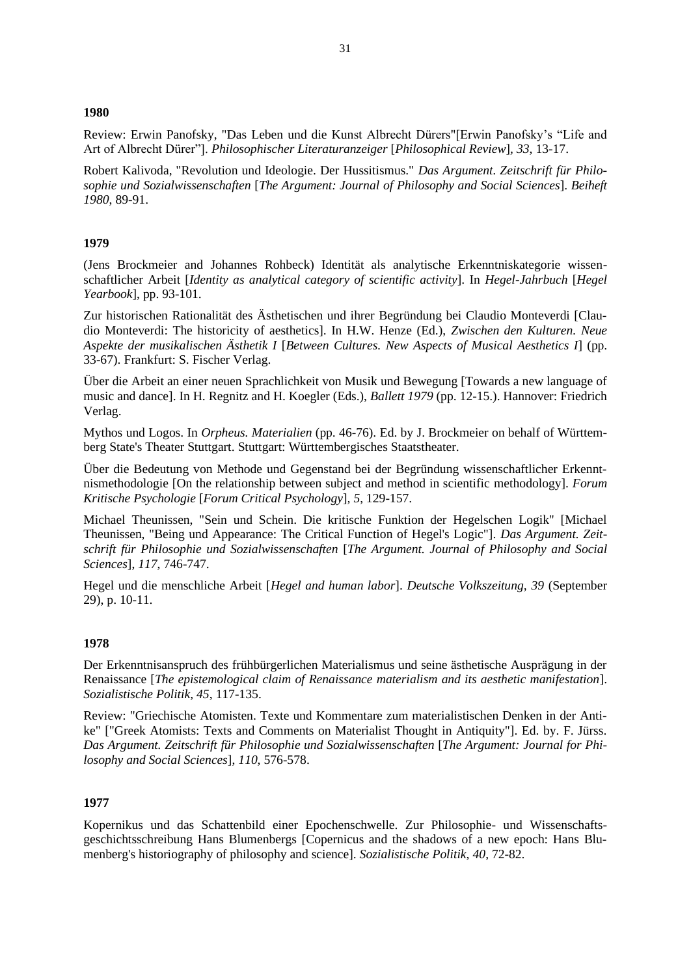### **1980**

Review: Erwin Panofsky, "Das Leben und die Kunst Albrecht Dürers"[Erwin Panofsky's "Life and Art of Albrecht Dürer"]. *Philosophischer Literaturanzeiger* [*Philosophical Review*]*, 33*, 13-17.

Robert Kalivoda, "Revolution und Ideologie. Der Hussitismus." *Das Argument. Zeitschrift für Philosophie und Sozialwissenschaften* [*The Argument: Journal of Philosophy and Social Sciences*]. *Beiheft 1980*, 89-91.

## **1979**

(Jens Brockmeier and Johannes Rohbeck) Identität als analytische Erkenntniskategorie wissenschaftlicher Arbeit [*Identity as analytical category of scientific activity*]. In *Hegel-Jahrbuch* [*Hegel Yearbook*], pp. 93-101.

Zur historischen Rationalität des Ästhetischen und ihrer Begründung bei Claudio Monteverdi [Claudio Monteverdi: The historicity of aesthetics]. In H.W. Henze (Ed.), *Zwischen den Kulturen. Neue Aspekte der musikalischen Ästhetik I* [*Between Cultures. New Aspects of Musical Aesthetics I*] (pp. 33-67). Frankfurt: S. Fischer Verlag.

Über die Arbeit an einer neuen Sprachlichkeit von Musik und Bewegung [Towards a new language of music and dance]. In H. Regnitz and H. Koegler (Eds.), *Ballett 1979* (pp. 12-15.). Hannover: Friedrich Verlag.

Mythos und Logos. In *Orpheus. Materialien* (pp. 46-76). Ed. by J. Brockmeier on behalf of Württemberg State's Theater Stuttgart. Stuttgart: Württembergisches Staatstheater.

Über die Bedeutung von Methode und Gegenstand bei der Begründung wissenschaftlicher Erkenntnismethodologie [On the relationship between subject and method in scientific methodology]. *Forum Kritische Psychologie* [*Forum Critical Psychology*]*, 5*, 129-157.

Michael Theunissen, "Sein und Schein. Die kritische Funktion der Hegelschen Logik" [Michael Theunissen, "Being und Appearance: The Critical Function of Hegel's Logic"]. *Das Argument. Zeitschrift für Philosophie und Sozialwissenschaften* [*The Argument. Journal of Philosophy and Social Sciences*], *117*, 746-747.

Hegel und die menschliche Arbeit [*Hegel and human labor*]. *Deutsche Volkszeitung, 39* (September 29), p. 10-11.

### **1978**

Der Erkenntnisanspruch des frühbürgerlichen Materialismus und seine ästhetische Ausprägung in der Renaissance [*The epistemological claim of Renaissance materialism and its aesthetic manifestation*]. *Sozialistische Politik, 45*, 117-135.

Review: "Griechische Atomisten. Texte und Kommentare zum materialistischen Denken in der Antike" ["Greek Atomists: Texts and Comments on Materialist Thought in Antiquity"]. Ed. by. F. Jürss. *Das Argument. Zeitschrift für Philosophie und Sozialwissenschaften* [*The Argument: Journal for Philosophy and Social Sciences*], *110*, 576-578.

### **1977**

Kopernikus und das Schattenbild einer Epochenschwelle. Zur Philosophie- und Wissenschaftsgeschichtsschreibung Hans Blumenbergs [Copernicus and the shadows of a new epoch: Hans Blumenberg's historiography of philosophy and science]. *Sozialistische Politik, 40*, 72-82.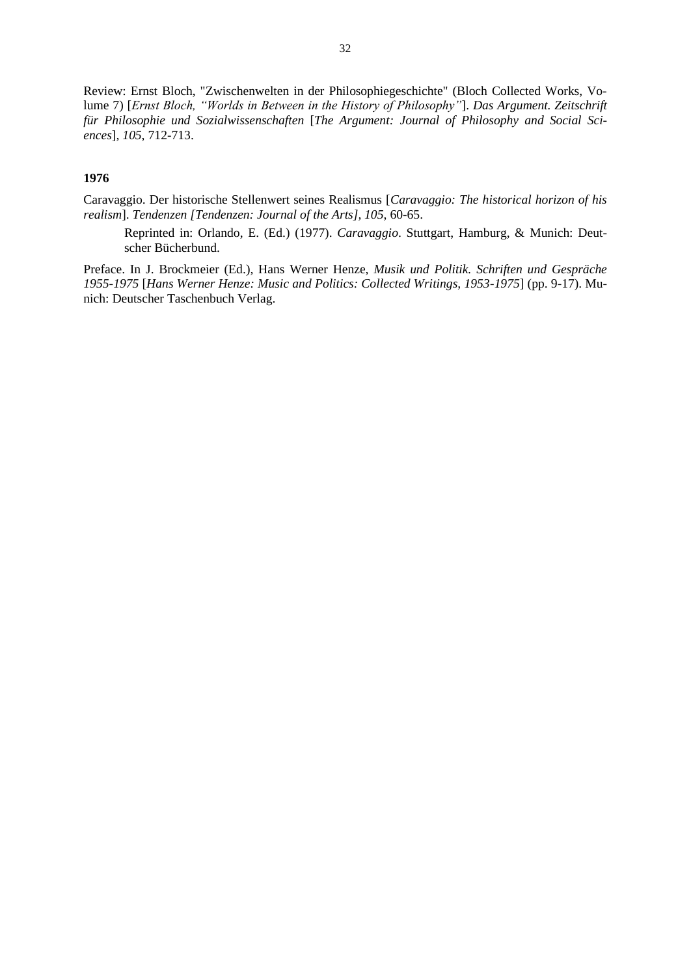Review: Ernst Bloch, "Zwischenwelten in der Philosophiegeschichte" (Bloch Collected Works, Volume 7) [*Ernst Bloch, "Worlds in Between in the History of Philosophy"*]. *Das Argument. Zeitschrift für Philosophie und Sozialwissenschaften* [*The Argument: Journal of Philosophy and Social Sciences*]*, 105*, 712-713.

# **1976**

Caravaggio. Der historische Stellenwert seines Realismus [*Caravaggio: The historical horizon of his realism*]. *Tendenzen [Tendenzen: Journal of the Arts], 105*, 60-65.

Reprinted in: Orlando, E. (Ed.) (1977). *Caravaggio*. Stuttgart, Hamburg, & Munich: Deutscher Bücherbund.

Preface. In J. Brockmeier (Ed.)*,* Hans Werner Henze, *Musik und Politik. Schriften und Gespräche 1955-1975* [*Hans Werner Henze: Music and Politics: Collected Writings, 1953-1975*] (pp. 9-17). Munich: Deutscher Taschenbuch Verlag.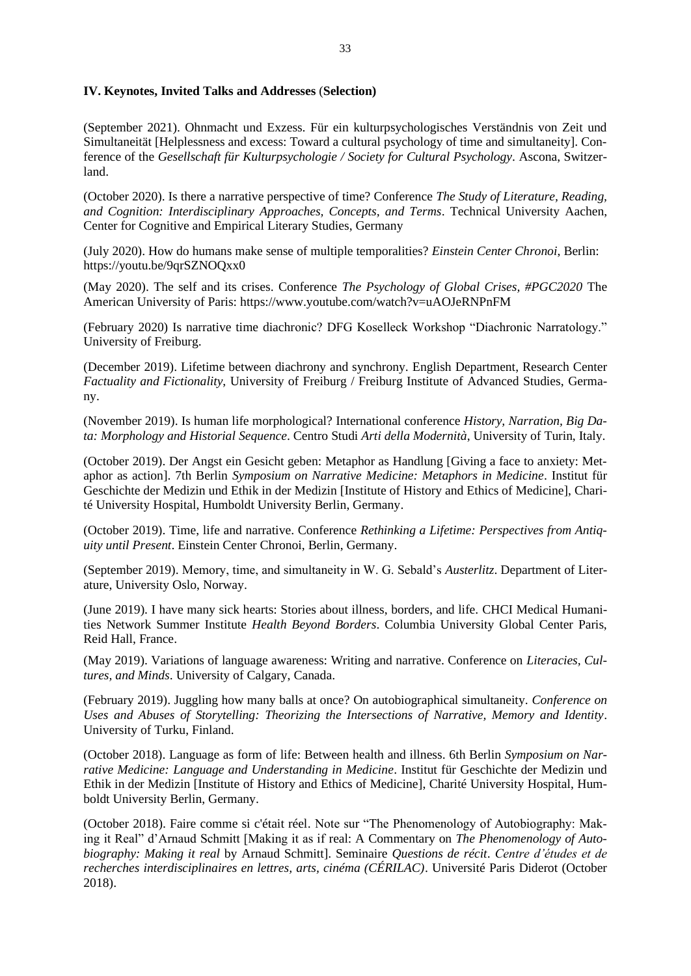## **IV. Keynotes, Invited Talks and Addresses** (**Selection)**

(September 2021). Ohnmacht und Exzess. Für ein kulturpsychologisches Verständnis von Zeit und Simultaneität [Helplessness and excess: Toward a cultural psychology of time and simultaneity]. Conference of the *Gesellschaft für Kulturpsychologie / Society for Cultural Psychology*. Ascona, Switzerland.

(October 2020). Is there a narrative perspective of time? Conference *The Study of Literature, Reading, and Cognition: Interdisciplinary Approaches, Concepts, and Terms*. Technical University Aachen, Center for Cognitive and Empirical Literary Studies, Germany

(July 2020). How do humans make sense of multiple temporalities? *Einstein Center Chronoi*, Berlin: <https://youtu.be/9qrSZNOQxx0>

(May 2020). The self and its crises. Conference *The Psychology of Global Crises, #PGC2020* The American University of Paris:<https://www.youtube.com/watch?v=uAOJeRNPnFM>

(February 2020) Is narrative time diachronic? DFG Koselleck Workshop "Diachronic Narratology." University of Freiburg.

(December 2019). Lifetime between diachrony and synchrony. English Department, Research Center *Factuality and Fictionality*, University of Freiburg / Freiburg Institute of Advanced Studies, Germany.

(November 2019). Is human life morphological? International conference *History, Narration, Big Data: Morphology and Historial Sequence*. Centro Studi *Arti della Modernità*, University of Turin, Italy.

(October 2019). Der Angst ein Gesicht geben: Metaphor as Handlung [Giving a face to anxiety: Metaphor as action]. 7th Berlin *Symposium on Narrative Medicine: Metaphors in Medicine*. Institut für Geschichte der Medizin und Ethik in der Medizin [Institute of History and Ethics of Medicine], Charité University Hospital, Humboldt University Berlin, Germany.

(October 2019). Time, life and narrative. Conference *Rethinking a Lifetime: Perspectives from Antiquity until Present*. Einstein Center Chronoi, Berlin, Germany.

(September 2019). Memory, time, and simultaneity in W. G. Sebald's *Austerlitz*. Department of Literature, University Oslo, Norway.

(June 2019). I have many sick hearts: Stories about illness, borders, and life. CHCI Medical Humanities Network Summer Institute *Health Beyond Borders*. Columbia University Global Center Paris, Reid Hall, France.

(May 2019). Variations of language awareness: Writing and narrative. Conference on *Literacies, Cultures, and Minds*. University of Calgary, Canada.

(February 2019). Juggling how many balls at once? On autobiographical simultaneity. *Conference on Uses and Abuses of Storytelling: Theorizing the Intersections of Narrative, Memory and Identity*. University of Turku, Finland.

(October 2018). Language as form of life: Between health and illness. 6th Berlin *Symposium on Narrative Medicine: Language and Understanding in Medicine*. Institut für Geschichte der Medizin und Ethik in der Medizin [Institute of History and Ethics of Medicine], Charité University Hospital, Humboldt University Berlin, Germany.

(October 2018). Faire comme si c'était réel. Note sur "The Phenomenology of Autobiography: Making it Real" d'Arnaud Schmitt [Making it as if real: A Commentary on *The Phenomenology of Autobiography: Making it real* by Arnaud Schmitt]. Seminaire *Questions de récit*. *Centre d'études et de recherches interdisciplinaires en lettres, arts, cinéma (CÉRILAC)*. Université Paris Diderot (October 2018).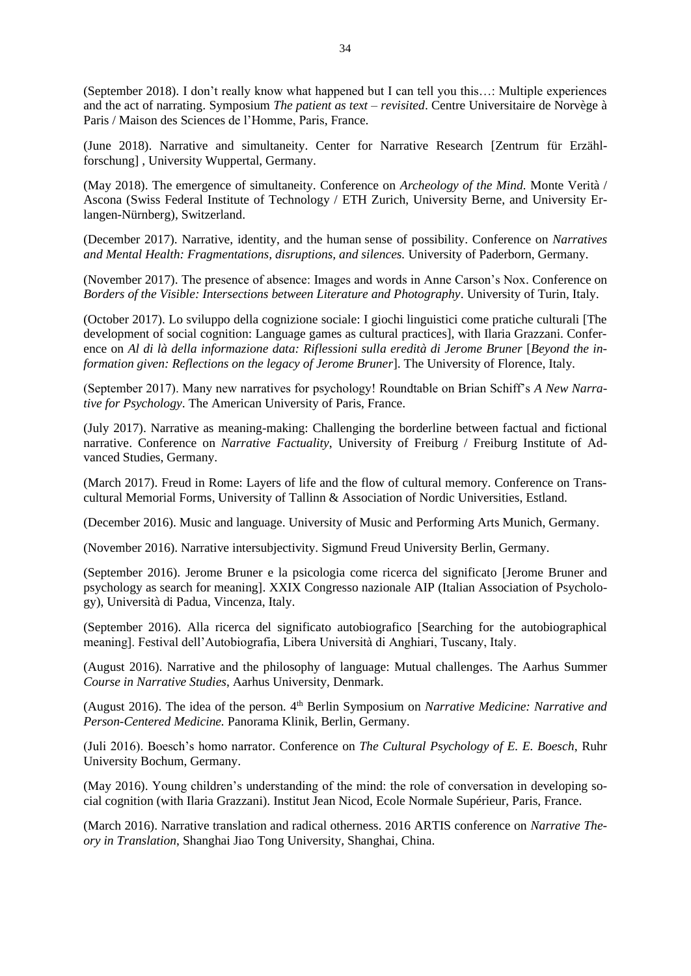(September 2018). I don't really know what happened but I can tell you this…: Multiple experiences and the act of narrating. Symposium *The patient as text – revisited*. Centre Universitaire de Norvège à Paris / Maison des Sciences de l'Homme, Paris, France.

(June 2018). Narrative and simultaneity. Center for Narrative Research [Zentrum für Erzählforschung] , University Wuppertal, Germany.

(May 2018). The emergence of simultaneity. Conference on *Archeology of the Mind.* Monte Verità / Ascona (Swiss Federal Institute of Technology / ETH Zurich, University Berne, and University Erlangen-Nürnberg), Switzerland.

(December 2017). Narrative, identity, and the human sense of possibility. Conference on *Narratives and Mental Health: Fragmentations, disruptions, and silences.* University of Paderborn, Germany.

(November 2017). The presence of absence: Images and words in Anne Carson's Nox. Conference on *Borders of the Visible: Intersections between Literature and Photography*. University of Turin, Italy.

(October 2017). Lo sviluppo della cognizione sociale: I giochi linguistici come pratiche culturali [The development of social cognition: Language games as cultural practices], with Ilaria Grazzani. Conference on *Al di là della informazione data: Riflessioni sulla eredità di Jerome Bruner* [*Beyond the information given: Reflections on the legacy of Jerome Bruner*]. The University of Florence, Italy.

(September 2017). Many new narratives for psychology! Roundtable on Brian Schiff's *A New Narrative for Psychology*. The American University of Paris, France.

(July 2017). Narrative as meaning-making: Challenging the borderline between factual and fictional narrative. Conference on *Narrative Factuality*, University of Freiburg / Freiburg Institute of Advanced Studies, Germany.

(March 2017). Freud in Rome: Layers of life and the flow of cultural memory. Conference on Transcultural Memorial Forms, University of Tallinn & Association of Nordic Universities, Estland.

(December 2016). Music and language. University of Music and Performing Arts Munich, Germany.

(November 2016). Narrative intersubjectivity. Sigmund Freud University Berlin, Germany.

(September 2016). Jerome Bruner e la psicologia come ricerca del significato [Jerome Bruner and psychology as search for meaning]. XXIX Congresso nazionale AIP (Italian Association of Psychology), Università di Padua, Vincenza, Italy.

(September 2016). Alla ricerca del significato autobiografico [Searching for the autobiographical meaning]. Festival dell'Autobiografia, Libera Università di Anghiari, Tuscany, Italy.

(August 2016). Narrative and the philosophy of language: Mutual challenges. The Aarhus Summer *Course in Narrative Studies*, Aarhus University, Denmark.

(August 2016). The idea of the person. 4<sup>th</sup> Berlin Symposium on *Narrative Medicine: Narrative and Person-Centered Medicine.* Panorama Klinik, Berlin, Germany.

(Juli 2016). Boesch's homo narrator. Conference on *The Cultural Psychology of E. E. Boesch*, Ruhr University Bochum, Germany.

(May 2016). Young children's understanding of the mind: the role of conversation in developing social cognition (with Ilaria Grazzani). Institut Jean Nicod, Ecole Normale Supérieur, Paris, France.

(March 2016). Narrative translation and radical otherness. 2016 ARTIS conference on *Narrative Theory in Translation*, Shanghai Jiao Tong University, Shanghai, China.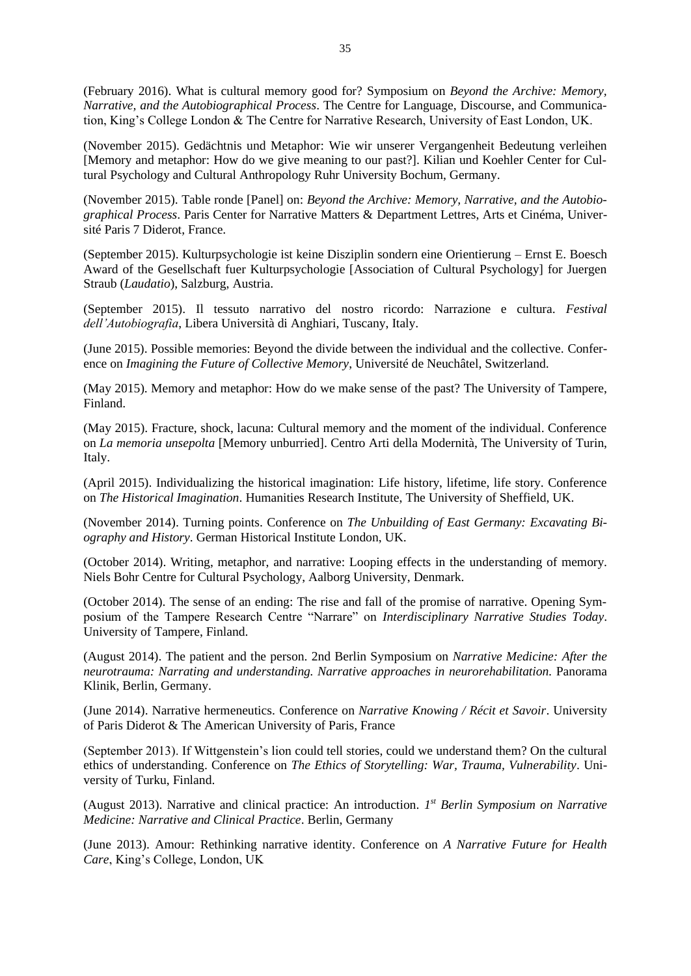(February 2016). What is cultural memory good for? Symposium on *Beyond the Archive: Memory, Narrative, and the Autobiographical Process*. The Centre for Language, Discourse, and Communication, King's College London & The Centre for Narrative Research, University of East London, UK.

(November 2015). Gedächtnis und Metaphor: Wie wir unserer Vergangenheit Bedeutung verleihen [Memory and metaphor: How do we give meaning to our past?]. Kilian und Koehler Center for Cultural Psychology and Cultural Anthropology Ruhr University Bochum, Germany.

(November 2015). Table ronde [Panel] on: *Beyond the Archive: Memory, Narrative, and the Autobiographical Process*. Paris Center for Narrative Matters & Department Lettres, Arts et Cinéma, Université Paris 7 Diderot, France.

(September 2015). Kulturpsychologie ist keine Disziplin sondern eine Orientierung – Ernst E. Boesch Award of the Gesellschaft fuer Kulturpsychologie [Association of Cultural Psychology] for Juergen Straub (*Laudatio*), Salzburg, Austria.

(September 2015). Il tessuto narrativo del nostro ricordo: Narrazione e cultura. *Festival dell'Autobiografia*, Libera Università di Anghiari, Tuscany, Italy.

(June 2015). Possible memories: Beyond the divide between the individual and the collective. Conference on *Imagining the Future of Collective Memory*, Université de Neuchâtel, Switzerland.

(May 2015). Memory and metaphor: How do we make sense of the past? The University of Tampere, Finland.

(May 2015). Fracture, shock, lacuna: Cultural memory and the moment of the individual. Conference on *La memoria unsepolta* [Memory unburried]. Centro Arti della Modernità, The University of Turin, Italy.

(April 2015). Individualizing the historical imagination: Life history, lifetime, life story. Conference on *The Historical Imagination*. Humanities Research Institute, The University of Sheffield, UK.

(November 2014). Turning points. Conference on *The Unbuilding of East Germany: Excavating Biography and History*. German Historical Institute London, UK.

(October 2014). Writing, metaphor, and narrative: Looping effects in the understanding of memory. Niels Bohr Centre for Cultural Psychology, Aalborg University, Denmark.

(October 2014). The sense of an ending: The rise and fall of the promise of narrative. Opening Symposium of the Tampere Research Centre "Narrare" on *Interdisciplinary Narrative Studies Today*. University of Tampere, Finland.

(August 2014). The patient and the person. 2nd Berlin Symposium on *Narrative Medicine: After the neurotrauma: Narrating and understanding. Narrative approaches in neurorehabilitation.* Panorama Klinik, Berlin, Germany.

(June 2014). Narrative hermeneutics. Conference on *Narrative Knowing / Récit et Savoir*. University of Paris Diderot & The American University of Paris, France

(September 2013). If Wittgenstein's lion could tell stories, could we understand them? On the cultural ethics of understanding. Conference on *The Ethics of Storytelling: War, Trauma, Vulnerability*. University of Turku, Finland.

(August 2013). Narrative and clinical practice: An introduction. *1 st Berlin Symposium on Narrative Medicine: Narrative and Clinical Practice*. Berlin, Germany

(June 2013). Amour: Rethinking narrative identity. Conference on *A Narrative Future for Health Care*, King's College, London, UK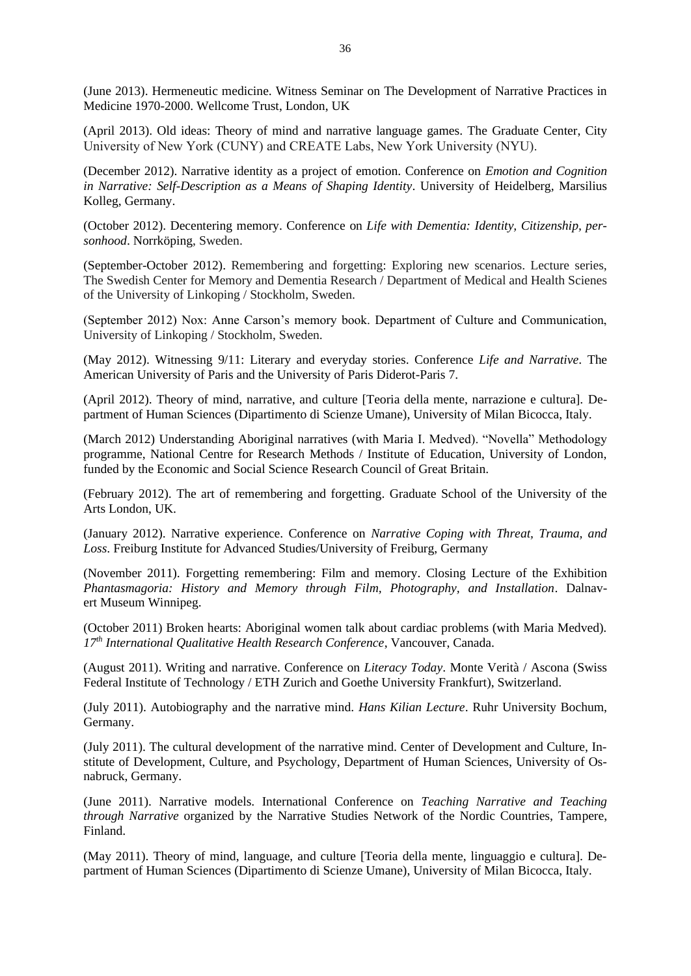(June 2013). Hermeneutic medicine. Witness Seminar on The Development of Narrative Practices in Medicine 1970-2000. Wellcome Trust, London, UK

(April 2013). Old ideas: Theory of mind and narrative language games. The Graduate Center, City University of New York (CUNY) and CREATE Labs, New York University (NYU).

(December 2012). Narrative identity as a project of emotion. Conference on *Emotion and Cognition in Narrative: Self-Description as a Means of Shaping Identity*. University of Heidelberg, Marsilius Kolleg, Germany.

(October 2012). Decentering memory. Conference on *Life with Dementia: Identity, Citizenship, personhood*. Norrköping, Sweden.

(September-October 2012). Remembering and forgetting: Exploring new scenarios. Lecture series, The Swedish Center for Memory and Dementia Research / Department of Medical and Health Scienes of the University of Linkoping / Stockholm, Sweden.

(September 2012) Nox: Anne Carson's memory book. Department of Culture and Communication, University of Linkoping / Stockholm, Sweden.

(May 2012). Witnessing 9/11: Literary and everyday stories. Conference *Life and Narrative*. The American University of Paris and the University of Paris Diderot-Paris 7.

(April 2012). Theory of mind, narrative, and culture [Teoria della mente, narrazione e cultura]. Department of Human Sciences (Dipartimento di Scienze Umane), University of Milan Bicocca, Italy.

(March 2012) Understanding Aboriginal narratives (with Maria I. Medved). "Novella" Methodology programme, National Centre for Research Methods / Institute of Education, University of London, funded by the Economic and Social Science Research Council of Great Britain.

(February 2012). The art of remembering and forgetting. Graduate School of the University of the Arts London, UK.

(January 2012). Narrative experience. Conference on *Narrative Coping with Threat, Trauma, and Loss*. Freiburg Institute for Advanced Studies/University of Freiburg, Germany

(November 2011). Forgetting remembering: Film and memory. Closing Lecture of the Exhibition *Phantasmagoria: History and Memory through Film, Photography, and Installation*. Dalnavert Museum Winnipeg.

(October 2011) Broken hearts: Aboriginal women talk about cardiac problems (with Maria Medved). *17th International Qualitative Health Research Conference*, Vancouver, Canada.

(August 2011). Writing and narrative. Conference on *Literacy Today*. Monte Verità / Ascona (Swiss Federal Institute of Technology / ETH Zurich and Goethe University Frankfurt), Switzerland.

(July 2011). Autobiography and the narrative mind. *Hans Kilian Lecture*. Ruhr University Bochum, Germany.

(July 2011). The cultural development of the narrative mind. Center of Development and Culture, Institute of Development, Culture, and Psychology, Department of Human Sciences, University of Osnabruck, Germany.

(June 2011). Narrative models. International Conference on *Teaching Narrative and Teaching through Narrative* organized by the Narrative Studies Network of the Nordic Countries, Tampere, Finland.

(May 2011). Theory of mind, language, and culture [Teoria della mente, linguaggio e cultura]. Department of Human Sciences (Dipartimento di Scienze Umane), University of Milan Bicocca, Italy.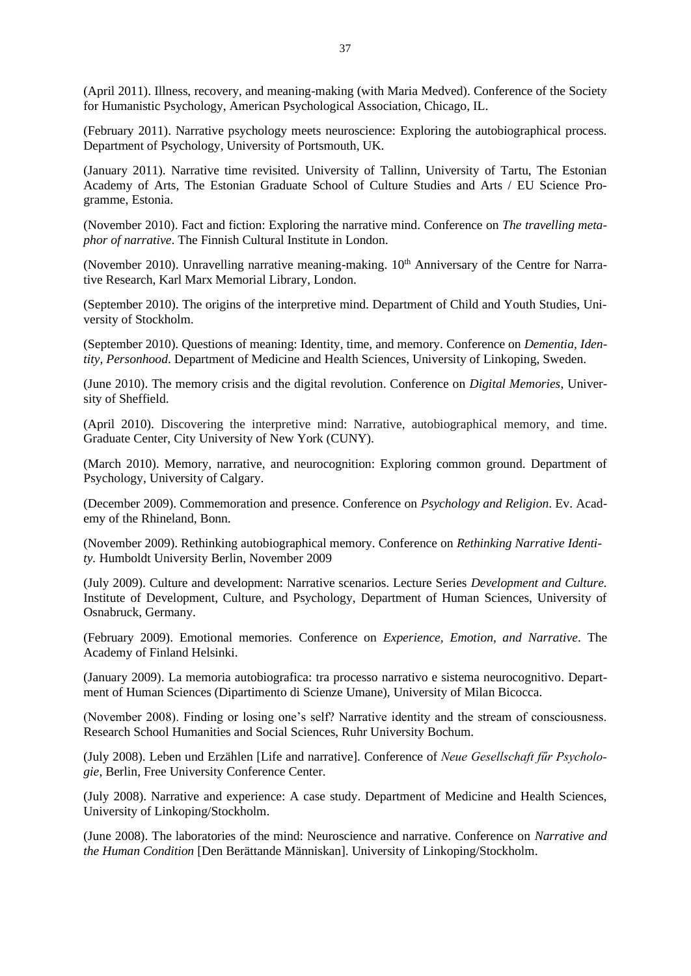(April 2011). Illness, recovery, and meaning-making (with Maria Medved). Conference of the Society for Humanistic Psychology, American Psychological Association, Chicago, IL.

(February 2011). Narrative psychology meets neuroscience: Exploring the autobiographical process. Department of Psychology, University of Portsmouth, UK.

(January 2011). Narrative time revisited. University of Tallinn, University of Tartu, The Estonian Academy of Arts, The Estonian Graduate School of Culture Studies and Arts / EU Science Programme, Estonia.

(November 2010). Fact and fiction: Exploring the narrative mind. Conference on *The travelling metaphor of narrative*. The Finnish Cultural Institute in London.

(November 2010). Unravelling narrative meaning-making.  $10<sup>th</sup>$  Anniversary of the Centre for Narrative Research, Karl Marx Memorial Library, London.

(September 2010). The origins of the interpretive mind. Department of Child and Youth Studies, University of Stockholm.

(September 2010). Questions of meaning: Identity, time, and memory. Conference on *Dementia, Identity, Personhood*. Department of Medicine and Health Sciences, University of Linkoping, Sweden.

(June 2010). The memory crisis and the digital revolution. Conference on *Digital Memories*, University of Sheffield.

(April 2010). Discovering the interpretive mind: Narrative, autobiographical memory, and time. Graduate Center, City University of New York (CUNY).

(March 2010). Memory, narrative, and neurocognition: Exploring common ground. Department of Psychology, University of Calgary.

(December 2009). Commemoration and presence. Conference on *Psychology and Religion*. Ev. Academy of the Rhineland, Bonn.

(November 2009). Rethinking autobiographical memory. Conference on *Rethinking Narrative Identity.* Humboldt University Berlin, November 2009

(July 2009). Culture and development: Narrative scenarios. Lecture Series *Development and Culture.*  Institute of Development, Culture, and Psychology, Department of Human Sciences, University of Osnabruck, Germany.

(February 2009). Emotional memories. Conference on *Experience, Emotion, and Narrative*. The Academy of Finland Helsinki.

(January 2009). La memoria autobiografica: tra processo narrativo e sistema neurocognitivo. Department of Human Sciences (Dipartimento di Scienze Umane), University of Milan Bicocca.

(November 2008). Finding or losing one's self? Narrative identity and the stream of consciousness. Research School Humanities and Social Sciences, Ruhr University Bochum.

(July 2008). Leben und Erzählen [Life and narrative]. Conference of *Neue Gesellschaft fűr Psychologie*, Berlin, Free University Conference Center.

(July 2008). Narrative and experience: A case study. Department of Medicine and Health Sciences, University of Linkoping/Stockholm.

(June 2008). The laboratories of the mind: Neuroscience and narrative. Conference on *Narrative and the Human Condition* [Den Berättande Människan]. University of Linkoping/Stockholm.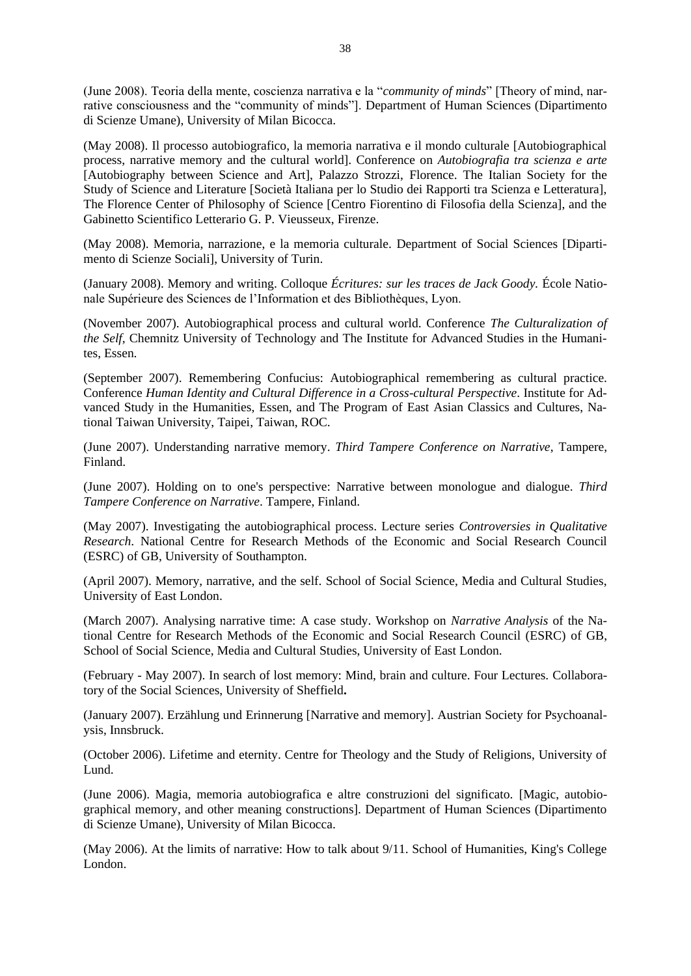(June 2008). Teoria della mente, coscienza narrativa e la "*community of minds*" [Theory of mind, narrative consciousness and the "community of minds"]. Department of Human Sciences (Dipartimento di Scienze Umane), University of Milan Bicocca.

(May 2008). Il processo autobiografico, la memoria narrativa e il mondo culturale [Autobiographical process, narrative memory and the cultural world]. Conference on *Autobiografia tra scienza e arte* [Autobiography between Science and Art], Palazzo Strozzi, Florence. The Italian Society for the Study of Science and Literature [Società Italiana per lo Studio dei Rapporti tra Scienza e Letteratura], The Florence Center of Philosophy of Science [Centro Fiorentino di Filosofia della Scienza], and the Gabinetto Scientifico Letterario G. P. Vieusseux, Firenze.

(May 2008). Memoria, narrazione, e la memoria culturale. Department of Social Sciences [Dipartimento di Scienze Sociali], University of Turin.

(January 2008). Memory and writing. Colloque *Écritures: sur les traces de Jack Goody.* École Nationale Supérieure des Sciences de l'Information et des Bibliothèques, Lyon.

(November 2007). Autobiographical process and cultural world. Conference *The Culturalization of the Self,* Chemnitz University of Technology and The Institute for Advanced Studies in the Humanites, Essen.

(September 2007). Remembering Confucius: Autobiographical remembering as cultural practice. Conference *Human Identity and Cultural Difference in a Cross-cultural Perspective*. Institute for Advanced Study in the Humanities, Essen, and The Program of East Asian Classics and Cultures, National Taiwan University, Taipei, Taiwan, ROC.

(June 2007). Understanding narrative memory. *Third Tampere Conference on Narrative*, Tampere, Finland.

(June 2007). Holding on to one's perspective: Narrative between monologue and dialogue. *Third Tampere Conference on Narrative*. Tampere, Finland.

(May 2007). Investigating the autobiographical process. Lecture series *Controversies in Qualitative Research*. National Centre for Research Methods of the Economic and Social Research Council (ESRC) of GB, University of Southampton.

(April 2007). Memory, narrative, and the self. School of Social Science, Media and Cultural Studies, University of East London.

(March 2007). Analysing narrative time: A case study. Workshop on *Narrative Analysis* of the National Centre for Research Methods of the Economic and Social Research Council (ESRC) of GB, School of Social Science, Media and Cultural Studies, University of East London.

(February - May 2007). In search of lost memory: Mind, brain and culture. Four Lectures. Collaboratory of the Social Sciences, University of Sheffield**.**

(January 2007). Erzählung und Erinnerung [Narrative and memory]. Austrian Society for Psychoanalysis, Innsbruck.

(October 2006). Lifetime and eternity. Centre for Theology and the Study of Religions, University of Lund.

(June 2006). Magia, memoria autobiografica e altre construzioni del significato. [Magic, autobiographical memory, and other meaning constructions]. Department of Human Sciences (Dipartimento di Scienze Umane), University of Milan Bicocca.

(May 2006). At the limits of narrative: How to talk about 9/11. School of Humanities, King's College London.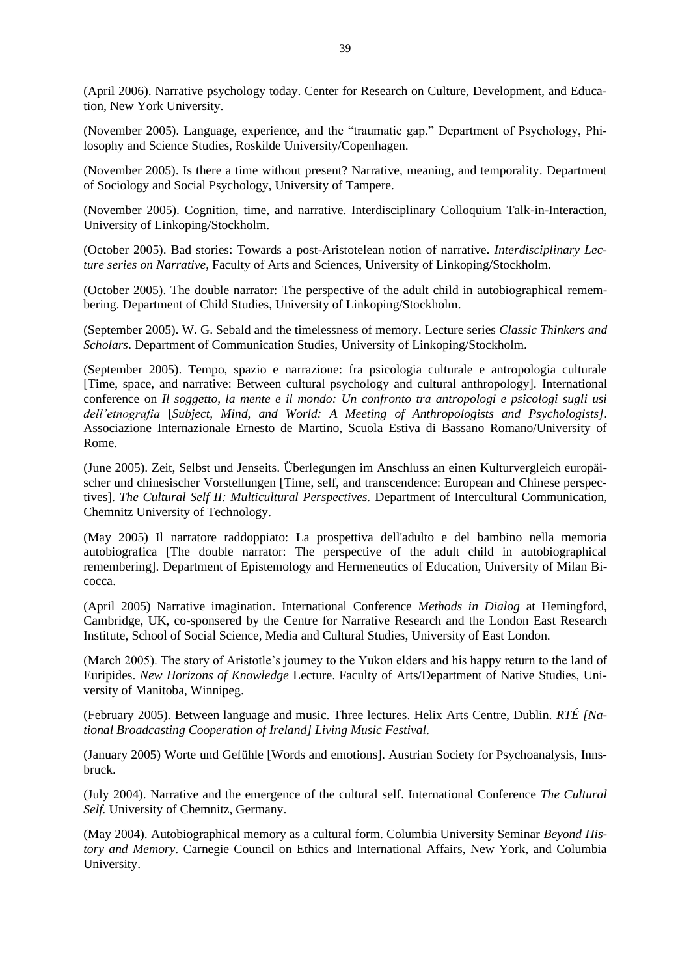(April 2006). Narrative psychology today. Center for Research on Culture, Development, and Education, New York University.

(November 2005). Language, experience, and the "traumatic gap." Department of Psychology, Philosophy and Science Studies, Roskilde University/Copenhagen.

(November 2005). Is there a time without present? Narrative, meaning, and temporality. Department of Sociology and Social Psychology, University of Tampere.

(November 2005). Cognition, time, and narrative. Interdisciplinary Colloquium Talk-in-Interaction, University of Linkoping/Stockholm.

(October 2005). Bad stories: Towards a post-Aristotelean notion of narrative. *Interdisciplinary Lecture series on Narrative*, Faculty of Arts and Sciences, University of Linkoping/Stockholm.

(October 2005). The double narrator: The perspective of the adult child in autobiographical remembering. Department of Child Studies, University of Linkoping/Stockholm.

(September 2005). W. G. Sebald and the timelessness of memory. Lecture series *Classic Thinkers and Scholars*. Department of Communication Studies, University of Linkoping/Stockholm.

(September 2005). Tempo, spazio e narrazione: fra psicologia culturale e antropologia culturale [Time, space, and narrative: Between cultural psychology and cultural anthropology]. International conference on *Il soggetto, la mente e il mondo: Un confronto tra antropologi e psicologi sugli usi dell'etnografia* [*Subject, Mind, and World: A Meeting of Anthropologists and Psychologists]*. Associazione Internazionale Ernesto de Martino, Scuola Estiva di Bassano Romano/University of Rome.

(June 2005). Zeit, Selbst und Jenseits. Überlegungen im Anschluss an einen Kulturvergleich europäischer und chinesischer Vorstellungen [Time, self, and transcendence: European and Chinese perspectives]. *The Cultural Self II: Multicultural Perspectives.* Department of Intercultural Communication, Chemnitz University of Technology.

(May 2005) Il narratore raddoppiato: La prospettiva dell'adulto e del bambino nella memoria autobiografica [The double narrator: The perspective of the adult child in autobiographical remembering]. Department of Epistemology and Hermeneutics of Education, University of Milan Bicocca.

(April 2005) Narrative imagination. International Conference *Methods in Dialog* at Hemingford, Cambridge, UK, co-sponsered by the Centre for Narrative Research and the London East Research Institute, School of Social Science, Media and Cultural Studies, University of East London.

(March 2005). The story of Aristotle's journey to the Yukon elders and his happy return to the land of Euripides. *New Horizons of Knowledge* Lecture. Faculty of Arts/Department of Native Studies, University of Manitoba, Winnipeg.

(February 2005). Between language and music. Three lectures. Helix Arts Centre, Dublin. *RTÉ [National Broadcasting Cooperation of Ireland] Living Music Festival*.

(January 2005) Worte und Gefühle [Words and emotions]. Austrian Society for Psychoanalysis, Innsbruck.

(July 2004). Narrative and the emergence of the cultural self. International Conference *The Cultural Self.* University of Chemnitz, Germany.

(May 2004). Autobiographical memory as a cultural form. Columbia University Seminar *Beyond History and Memory*. Carnegie Council on Ethics and International Affairs, New York, and Columbia University.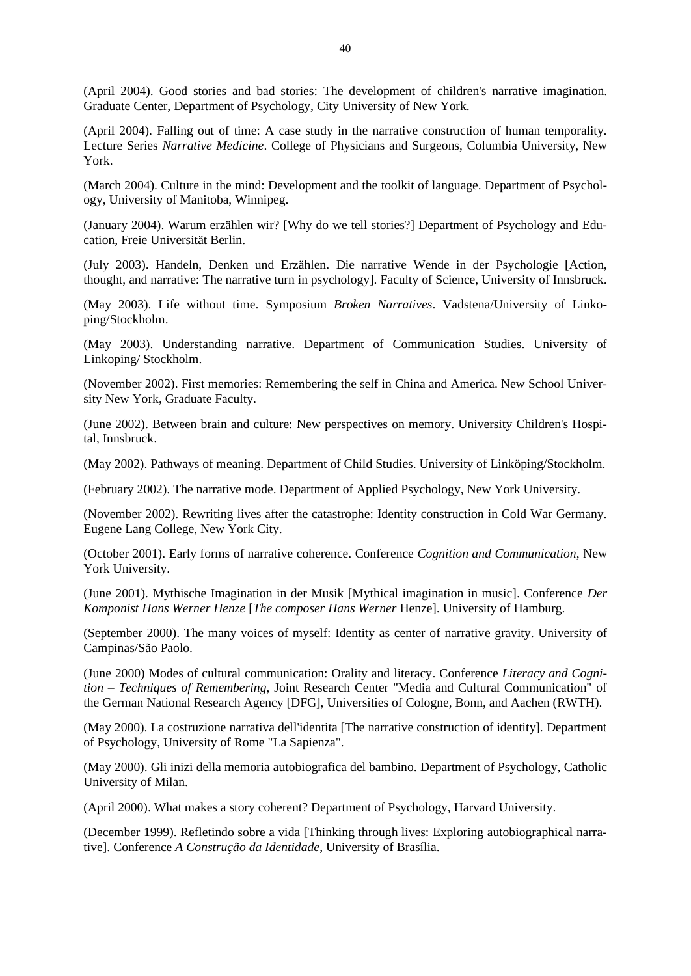(April 2004). Good stories and bad stories: The development of children's narrative imagination. Graduate Center, Department of Psychology, City University of New York.

(April 2004). Falling out of time: A case study in the narrative construction of human temporality. Lecture Series *Narrative Medicine*. College of Physicians and Surgeons, Columbia University, New York.

(March 2004). Culture in the mind: Development and the toolkit of language. Department of Psychology, University of Manitoba, Winnipeg.

(January 2004). Warum erzählen wir? [Why do we tell stories?] Department of Psychology and Education, Freie Universität Berlin.

(July 2003). Handeln, Denken und Erzählen. Die narrative Wende in der Psychologie [Action, thought, and narrative: The narrative turn in psychology]. Faculty of Science, University of Innsbruck.

(May 2003). Life without time. Symposium *Broken Narratives*. Vadstena/University of Linkoping/Stockholm.

(May 2003). Understanding narrative. Department of Communication Studies. University of Linkoping/ Stockholm.

(November 2002). First memories: Remembering the self in China and America. New School University New York, Graduate Faculty.

(June 2002). Between brain and culture: New perspectives on memory. University Children's Hospital, Innsbruck.

(May 2002). Pathways of meaning. Department of Child Studies. University of Linköping/Stockholm.

(February 2002). The narrative mode. Department of Applied Psychology, New York University.

(November 2002). Rewriting lives after the catastrophe: Identity construction in Cold War Germany. Eugene Lang College, New York City.

(October 2001). Early forms of narrative coherence. Conference *Cognition and Communication*, New York University.

(June 2001). Mythische Imagination in der Musik [Mythical imagination in music]. Conference *Der Komponist Hans Werner Henze* [*The composer Hans Werner* Henze]. University of Hamburg.

(September 2000). The many voices of myself: Identity as center of narrative gravity. University of Campinas/São Paolo.

(June 2000) Modes of cultural communication: Orality and literacy. Conference *Literacy and Cognition – Techniques of Remembering*, Joint Research Center "Media and Cultural Communication" of the German National Research Agency [DFG], Universities of Cologne, Bonn, and Aachen (RWTH).

(May 2000). La costruzione narrativa dell'identita [The narrative construction of identity]. Department of Psychology, University of Rome "La Sapienza".

(May 2000). Gli inizi della memoria autobiografica del bambino. Department of Psychology, Catholic University of Milan.

(April 2000). What makes a story coherent? Department of Psychology, Harvard University.

(December 1999). Refletindo sobre a vida [Thinking through lives: Exploring autobiographical narrative]. Conference *A Construção da Identidade*, University of Brasília.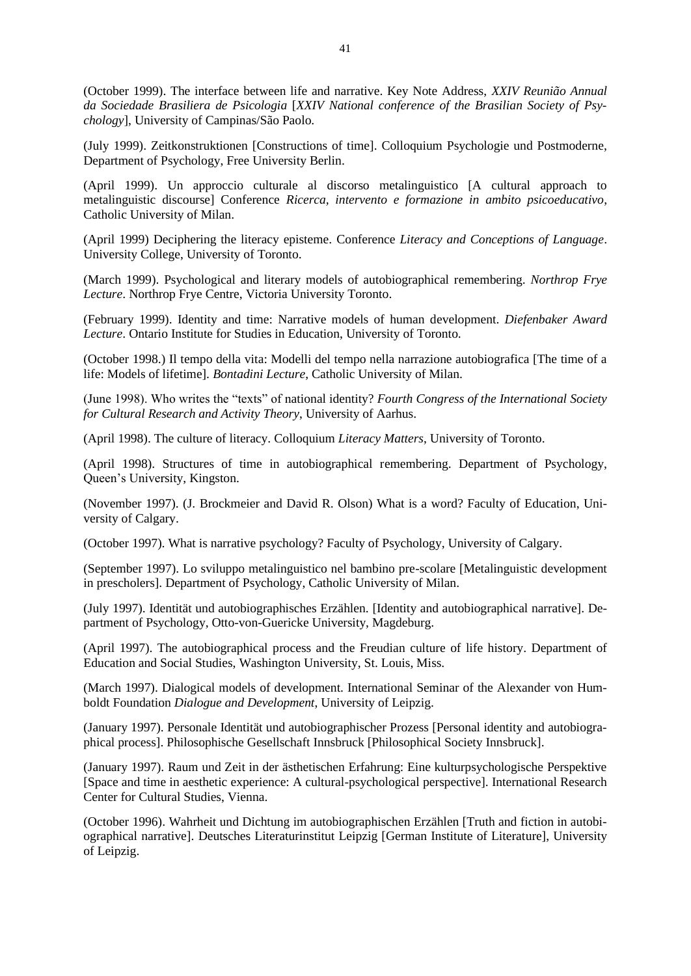(October 1999). The interface between life and narrative. Key Note Address, *XXIV Reunião Annual da Sociedade Brasiliera de Psicologia* [*XXIV National conference of the Brasilian Society of Psychology*], University of Campinas/São Paolo.

(July 1999). Zeitkonstruktionen [Constructions of time]. Colloquium Psychologie und Postmoderne, Department of Psychology, Free University Berlin.

(April 1999). Un approccio culturale al discorso metalinguistico [A cultural approach to metalinguistic discourse] Conference *Ricerca, intervento e formazione in ambito psicoeducativo*, Catholic University of Milan.

(April 1999) Deciphering the literacy episteme. Conference *Literacy and Conceptions of Language*. University College, University of Toronto.

(March 1999). Psychological and literary models of autobiographical remembering. *Northrop Frye Lecture*. Northrop Frye Centre, Victoria University Toronto.

(February 1999). Identity and time: Narrative models of human development. *Diefenbaker Award Lecture*. Ontario Institute for Studies in Education, University of Toronto.

(October 1998.) Il tempo della vita: Modelli del tempo nella narrazione autobiografica [The time of a life: Models of lifetime]. *Bontadini Lecture*, Catholic University of Milan.

(June 1998). Who writes the "texts" of national identity? *Fourth Congress of the International Society for Cultural Research and Activity Theory*, University of Aarhus.

(April 1998). The culture of literacy. Colloquium *Literacy Matters*, University of Toronto.

(April 1998). Structures of time in autobiographical remembering. Department of Psychology, Queen's University, Kingston.

(November 1997). (J. Brockmeier and David R. Olson) What is a word? Faculty of Education, University of Calgary.

(October 1997). What is narrative psychology? Faculty of Psychology, University of Calgary.

(September 1997). Lo sviluppo metalinguistico nel bambino pre-scolare [Metalinguistic development in prescholers]. Department of Psychology, Catholic University of Milan.

(July 1997). Identität und autobiographisches Erzählen. [Identity and autobiographical narrative]. Department of Psychology, Otto-von-Guericke University, Magdeburg.

(April 1997). The autobiographical process and the Freudian culture of life history. Department of Education and Social Studies, Washington University, St. Louis, Miss.

(March 1997). Dialogical models of development. International Seminar of the Alexander von Humboldt Foundation *Dialogue and Development*, University of Leipzig.

(January 1997). Personale Identität und autobiographischer Prozess [Personal identity and autobiographical process]. Philosophische Gesellschaft Innsbruck [Philosophical Society Innsbruck].

(January 1997). Raum und Zeit in der ästhetischen Erfahrung: Eine kulturpsychologische Perspektive [Space and time in aesthetic experience: A cultural-psychological perspective]. International Research Center for Cultural Studies, Vienna.

(October 1996). Wahrheit und Dichtung im autobiographischen Erzählen [Truth and fiction in autobiographical narrative]. Deutsches Literaturinstitut Leipzig [German Institute of Literature], University of Leipzig.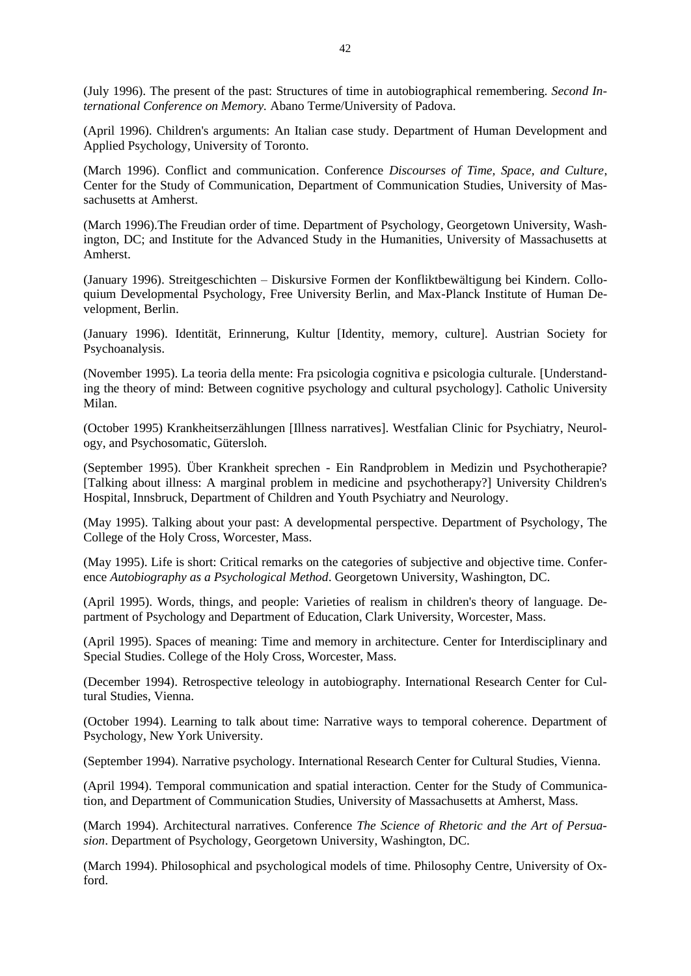(July 1996). The present of the past: Structures of time in autobiographical remembering. *Second International Conference on Memory.* Abano Terme/University of Padova.

(April 1996). Children's arguments: An Italian case study. Department of Human Development and Applied Psychology, University of Toronto.

(March 1996). Conflict and communication. Conference *Discourses of Time, Space, and Culture*, Center for the Study of Communication, Department of Communication Studies, University of Massachusetts at Amherst.

(March 1996).The Freudian order of time. Department of Psychology, Georgetown University, Washington, DC; and Institute for the Advanced Study in the Humanities, University of Massachusetts at Amherst.

(January 1996). Streitgeschichten – Diskursive Formen der Konfliktbewältigung bei Kindern. Colloquium Developmental Psychology, Free University Berlin, and Max-Planck Institute of Human Development, Berlin.

(January 1996). Identität, Erinnerung, Kultur [Identity, memory, culture]. Austrian Society for Psychoanalysis.

(November 1995). La teoria della mente: Fra psicologia cognitiva e psicologia culturale. [Understanding the theory of mind: Between cognitive psychology and cultural psychology]. Catholic University Milan.

(October 1995) Krankheitserzählungen [Illness narratives]. Westfalian Clinic for Psychiatry, Neurology, and Psychosomatic, Gütersloh.

(September 1995). Über Krankheit sprechen - Ein Randproblem in Medizin und Psychotherapie? [Talking about illness: A marginal problem in medicine and psychotherapy?] University Children's Hospital, Innsbruck, Department of Children and Youth Psychiatry and Neurology.

(May 1995). Talking about your past: A developmental perspective. Department of Psychology, The College of the Holy Cross, Worcester, Mass.

(May 1995). Life is short: Critical remarks on the categories of subjective and objective time. Conference *Autobiography as a Psychological Method*. Georgetown University, Washington, DC.

(April 1995). Words, things, and people: Varieties of realism in children's theory of language. Department of Psychology and Department of Education, Clark University, Worcester, Mass.

(April 1995). Spaces of meaning: Time and memory in architecture. Center for Interdisciplinary and Special Studies. College of the Holy Cross, Worcester, Mass.

(December 1994). Retrospective teleology in autobiography. International Research Center for Cultural Studies, Vienna.

(October 1994). Learning to talk about time: Narrative ways to temporal coherence. Department of Psychology, New York University.

(September 1994). Narrative psychology. International Research Center for Cultural Studies, Vienna.

(April 1994). Temporal communication and spatial interaction. Center for the Study of Communication, and Department of Communication Studies, University of Massachusetts at Amherst, Mass.

(March 1994). Architectural narratives. Conference *The Science of Rhetoric and the Art of Persuasion*. Department of Psychology, Georgetown University, Washington, DC.

(March 1994). Philosophical and psychological models of time. Philosophy Centre, University of Oxford.